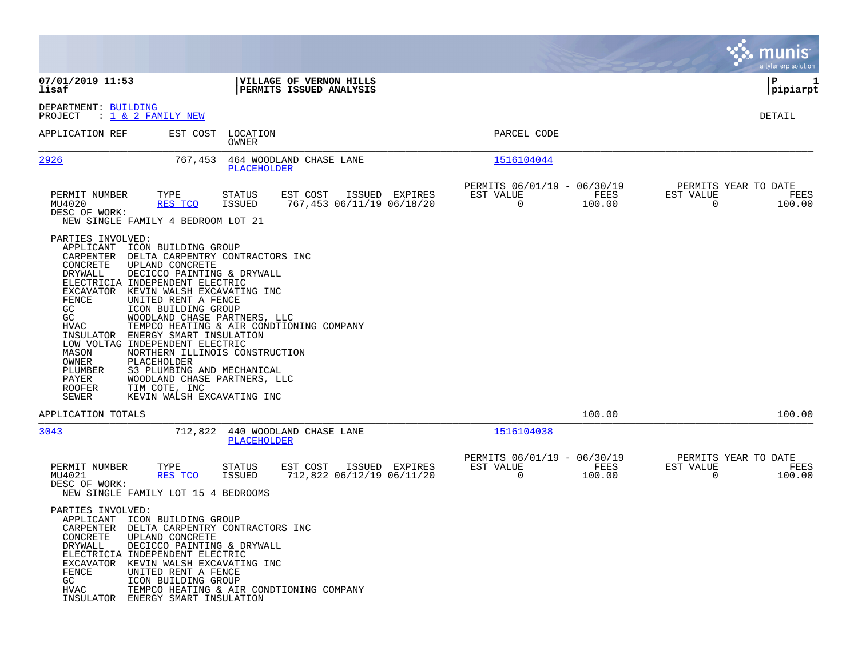|                                                                                                                                                                        |                                                                                                                                                                                                                                                                                                                                                                                                                                                                                                        |                                |                                                    |                |                                               |                |                                        | a tyler erp solution |
|------------------------------------------------------------------------------------------------------------------------------------------------------------------------|--------------------------------------------------------------------------------------------------------------------------------------------------------------------------------------------------------------------------------------------------------------------------------------------------------------------------------------------------------------------------------------------------------------------------------------------------------------------------------------------------------|--------------------------------|----------------------------------------------------|----------------|-----------------------------------------------|----------------|----------------------------------------|----------------------|
| 07/01/2019 11:53<br>lisaf                                                                                                                                              |                                                                                                                                                                                                                                                                                                                                                                                                                                                                                                        |                                | VILLAGE OF VERNON HILLS<br>PERMITS ISSUED ANALYSIS |                |                                               |                |                                        | P<br>1<br> pipiarpt  |
| DEPARTMENT: BUILDING<br>PROJECT                                                                                                                                        | : <u>1 &amp; 2 FAMILY NEW</u>                                                                                                                                                                                                                                                                                                                                                                                                                                                                          |                                |                                                    |                |                                               |                |                                        | DETAIL               |
| APPLICATION REF                                                                                                                                                        | EST COST                                                                                                                                                                                                                                                                                                                                                                                                                                                                                               | LOCATION<br>OWNER              |                                                    |                | PARCEL CODE                                   |                |                                        |                      |
| 2926                                                                                                                                                                   | 767,453                                                                                                                                                                                                                                                                                                                                                                                                                                                                                                | PLACEHOLDER                    | 464 WOODLAND CHASE LANE                            |                | <u> 1516104044</u>                            |                |                                        |                      |
| PERMIT NUMBER<br>MU4020<br>DESC OF WORK:                                                                                                                               | TYPE<br><u>RES TCO</u><br>NEW SINGLE FAMILY 4 BEDROOM LOT 21                                                                                                                                                                                                                                                                                                                                                                                                                                           | <b>STATUS</b><br><b>ISSUED</b> | EST COST<br>767,453 06/11/19 06/18/20              | ISSUED EXPIRES | PERMITS 06/01/19 - 06/30/19<br>EST VALUE<br>0 | FEES<br>100.00 | PERMITS YEAR TO DATE<br>EST VALUE<br>0 | FEES<br>100.00       |
| PARTIES INVOLVED:<br>CONCRETE<br>DRYWALL<br>EXCAVATOR<br>FENCE<br>GC<br>GC<br>HVAC<br>INSULATOR<br>MASON<br>OWNER<br>PLUMBER<br>PAYER<br><b>ROOFER</b><br><b>SEWER</b> | APPLICANT ICON BUILDING GROUP<br>CARPENTER DELTA CARPENTRY CONTRACTORS INC<br>UPLAND CONCRETE<br>DECICCO PAINTING & DRYWALL<br>ELECTRICIA INDEPENDENT ELECTRIC<br>KEVIN WALSH EXCAVATING INC<br>UNITED RENT A FENCE<br>ICON BUILDING GROUP<br>WOODLAND CHASE PARTNERS, LLC<br>ENERGY SMART INSULATION<br>LOW VOLTAG INDEPENDENT ELECTRIC<br>NORTHERN ILLINOIS CONSTRUCTION<br>PLACEHOLDER<br>S3 PLUMBING AND MECHANICAL<br>WOODLAND CHASE PARTNERS, LLC<br>TIM COTE, INC<br>KEVIN WALSH EXCAVATING INC |                                | TEMPCO HEATING & AIR CONDTIONING COMPANY           |                |                                               |                |                                        |                      |
| APPLICATION TOTALS                                                                                                                                                     |                                                                                                                                                                                                                                                                                                                                                                                                                                                                                                        |                                |                                                    |                |                                               | 100.00         |                                        | 100.00               |
| 3043                                                                                                                                                                   | 712,822                                                                                                                                                                                                                                                                                                                                                                                                                                                                                                | PLACEHOLDER                    | 440 WOODLAND CHASE LANE                            |                | 1516104038                                    |                |                                        |                      |
| PERMIT NUMBER<br>MU4021<br>DESC OF WORK:                                                                                                                               | TYPE<br>RES TCO<br>NEW SINGLE FAMILY LOT 15 4 BEDROOMS                                                                                                                                                                                                                                                                                                                                                                                                                                                 | <b>STATUS</b><br><b>ISSUED</b> | EST COST<br>712,822 06/12/19 06/11/20              | ISSUED EXPIRES | PERMITS 06/01/19 - 06/30/19<br>EST VALUE<br>0 | FEES<br>100.00 | PERMITS YEAR TO DATE<br>EST VALUE<br>0 | FEES<br>100.00       |
| PARTIES INVOLVED:<br>CONCRETE<br>DRYWALL<br>FENCE<br>GC<br>HVAC                                                                                                        | APPLICANT ICON BUILDING GROUP<br>CARPENTER DELTA CARPENTRY CONTRACTORS INC<br>UPLAND CONCRETE<br>DECICCO PAINTING & DRYWALL<br>ELECTRICIA INDEPENDENT ELECTRIC<br>EXCAVATOR KEVIN WALSH EXCAVATING INC<br>UNITED RENT A FENCE<br>ICON BUILDING GROUP<br>INSULATOR ENERGY SMART INSULATION                                                                                                                                                                                                              |                                | TEMPCO HEATING & AIR CONDTIONING COMPANY           |                |                                               |                |                                        |                      |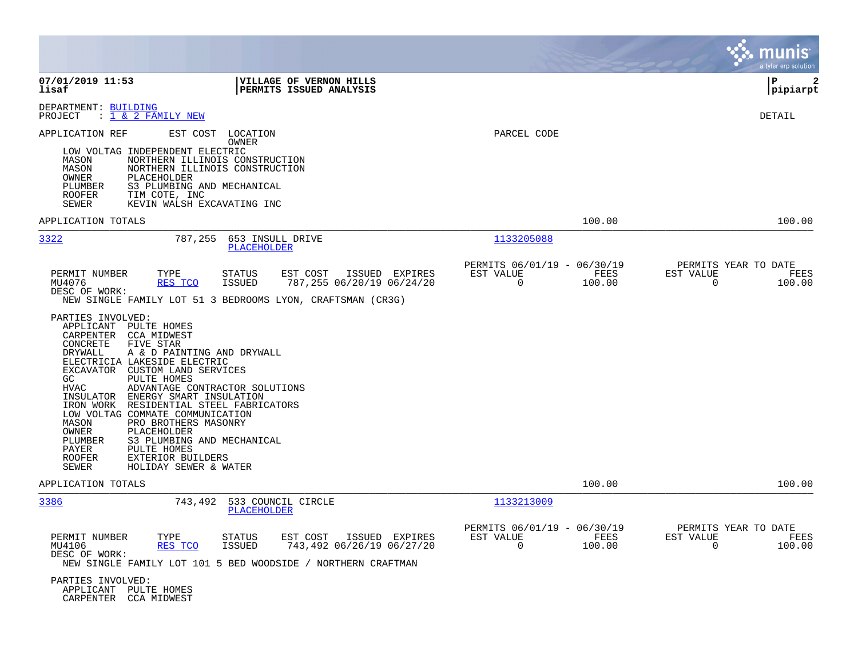|                                                                                                                                                                                                                                                                                                                                                                                                                                                                                                                                                                                                                                       |                                                                           | munis<br>a tyler erp solution                                      |
|---------------------------------------------------------------------------------------------------------------------------------------------------------------------------------------------------------------------------------------------------------------------------------------------------------------------------------------------------------------------------------------------------------------------------------------------------------------------------------------------------------------------------------------------------------------------------------------------------------------------------------------|---------------------------------------------------------------------------|--------------------------------------------------------------------|
| 07/01/2019 11:53<br>VILLAGE OF VERNON HILLS<br>lisaf<br>PERMITS ISSUED ANALYSIS                                                                                                                                                                                                                                                                                                                                                                                                                                                                                                                                                       |                                                                           | 2<br>$\mathbf P$<br> pipiarpt                                      |
| DEPARTMENT: BUILDING<br>: <u>1 &amp; 2 FAMILY NEW</u><br>PROJECT                                                                                                                                                                                                                                                                                                                                                                                                                                                                                                                                                                      |                                                                           | DETAIL                                                             |
| EST COST<br>APPLICATION REF<br>LOCATION<br>OWNER<br>LOW VOLTAG INDEPENDENT ELECTRIC<br>MASON<br>NORTHERN ILLINOIS CONSTRUCTION<br>NORTHERN ILLINOIS CONSTRUCTION<br>MASON                                                                                                                                                                                                                                                                                                                                                                                                                                                             | PARCEL CODE                                                               |                                                                    |
| OWNER<br>PLACEHOLDER<br>PLUMBER<br>S3 PLUMBING AND MECHANICAL<br>TIM COTE, INC<br>ROOFER<br>KEVIN WALSH EXCAVATING INC<br>SEWER                                                                                                                                                                                                                                                                                                                                                                                                                                                                                                       |                                                                           |                                                                    |
| APPLICATION TOTALS                                                                                                                                                                                                                                                                                                                                                                                                                                                                                                                                                                                                                    | 100.00                                                                    | 100.00                                                             |
| 3322<br>787,255<br>653 INSULL DRIVE<br>PLACEHOLDER                                                                                                                                                                                                                                                                                                                                                                                                                                                                                                                                                                                    | 1133205088                                                                |                                                                    |
| PERMIT NUMBER<br>TYPE<br><b>STATUS</b><br>EST COST<br>ISSUED EXPIRES<br>787,255 06/20/19 06/24/20<br>MU4076<br>RES TCO<br><b>ISSUED</b><br>DESC OF WORK:<br>NEW SINGLE FAMILY LOT 51 3 BEDROOMS LYON, CRAFTSMAN (CR3G)                                                                                                                                                                                                                                                                                                                                                                                                                | PERMITS 06/01/19 - 06/30/19<br>EST VALUE<br>FEES<br>$\mathbf 0$<br>100.00 | PERMITS YEAR TO DATE<br>EST VALUE<br>FEES<br>100.00<br>0           |
| PARTIES INVOLVED:<br>APPLICANT<br>PULTE HOMES<br>CARPENTER<br><b>CCA MIDWEST</b><br>CONCRETE<br>FIVE STAR<br>DRYWALL<br>A & D PAINTING AND DRYWALL<br>ELECTRICIA LAKESIDE ELECTRIC<br>EXCAVATOR CUSTOM LAND SERVICES<br><b>PULTE HOMES</b><br>GC.<br><b>HVAC</b><br>ADVANTAGE CONTRACTOR SOLUTIONS<br>INSULATOR<br>ENERGY SMART INSULATION<br>IRON WORK<br>RESIDENTIAL STEEL FABRICATORS<br>LOW VOLTAG COMMATE COMMUNICATION<br>MASON<br>PRO BROTHERS MASONRY<br>PLACEHOLDER<br>OWNER<br>S3 PLUMBING AND MECHANICAL<br>PLUMBER<br>PAYER<br><b>PULTE HOMES</b><br>EXTERIOR BUILDERS<br><b>ROOFER</b><br>SEWER<br>HOLIDAY SEWER & WATER |                                                                           |                                                                    |
| APPLICATION TOTALS                                                                                                                                                                                                                                                                                                                                                                                                                                                                                                                                                                                                                    | 100.00                                                                    | 100.00                                                             |
| 3386<br>743,492<br>533 COUNCIL CIRCLE<br>PLACEHOLDER                                                                                                                                                                                                                                                                                                                                                                                                                                                                                                                                                                                  | 1133213009                                                                |                                                                    |
| PERMIT NUMBER<br>TYPE<br>EST COST<br>ISSUED EXPIRES<br>STATUS<br><b>ISSUED</b><br>MU4106<br>RES TCO<br>743,492 06/26/19 06/27/20<br>DESC OF WORK:<br>NEW SINGLE FAMILY LOT 101 5 BED WOODSIDE / NORTHERN CRAFTMAN                                                                                                                                                                                                                                                                                                                                                                                                                     | PERMITS 06/01/19 - 06/30/19<br>EST VALUE<br>FEES<br>0<br>100.00           | PERMITS YEAR TO DATE<br>EST VALUE<br>FEES<br>$\mathbf 0$<br>100.00 |
| PARTIES INVOLVED:<br>APPLICANT PULTE HOMES<br>CARPENTER CCA MIDWEST                                                                                                                                                                                                                                                                                                                                                                                                                                                                                                                                                                   |                                                                           |                                                                    |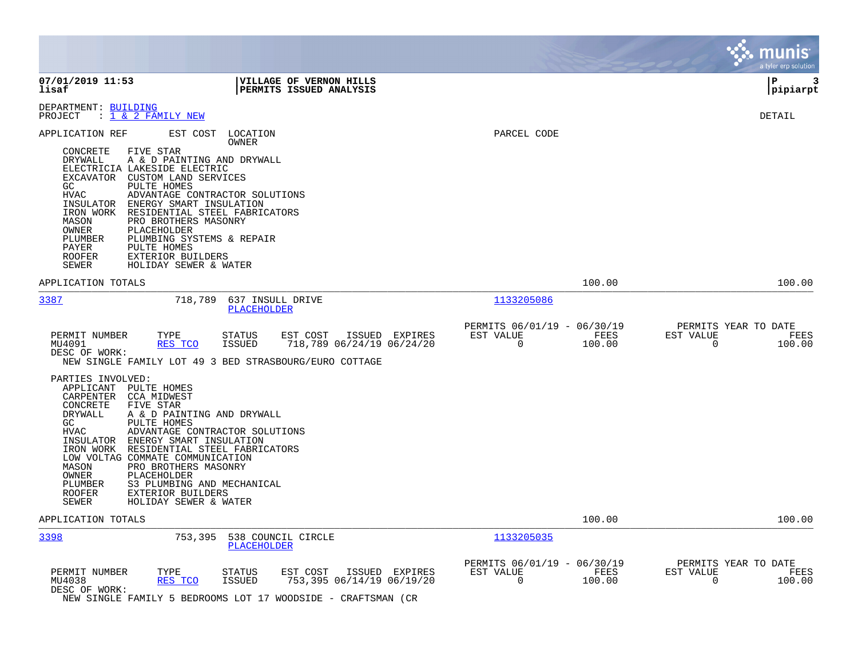|                                                                                                                                                                                                                                                                                                                                                                                                                                                                                                                                                                 |                                                                           | <b>munis</b><br>a tyler erp solution                            |
|-----------------------------------------------------------------------------------------------------------------------------------------------------------------------------------------------------------------------------------------------------------------------------------------------------------------------------------------------------------------------------------------------------------------------------------------------------------------------------------------------------------------------------------------------------------------|---------------------------------------------------------------------------|-----------------------------------------------------------------|
| 07/01/2019 11:53<br>VILLAGE OF VERNON HILLS<br>lisaf<br>PERMITS ISSUED ANALYSIS                                                                                                                                                                                                                                                                                                                                                                                                                                                                                 |                                                                           | l P<br>3<br> pipiarpt                                           |
| DEPARTMENT: BUILDING<br>: <u>1 &amp; 2 FAMILY NEW</u><br>PROJECT                                                                                                                                                                                                                                                                                                                                                                                                                                                                                                |                                                                           | DETAIL                                                          |
| EST COST<br>APPLICATION REF<br>LOCATION<br>OWNER<br>CONCRETE<br>FIVE STAR<br><b>DRYWALL</b><br>A & D PAINTING AND DRYWALL<br>ELECTRICIA LAKESIDE ELECTRIC<br>EXCAVATOR CUSTOM LAND SERVICES<br>GC<br>PULTE HOMES<br><b>HVAC</b><br>ADVANTAGE CONTRACTOR SOLUTIONS<br>INSULATOR<br>ENERGY SMART INSULATION<br>RESIDENTIAL STEEL FABRICATORS<br>IRON WORK<br>MASON<br>PRO BROTHERS MASONRY<br><b>OWNER</b><br>PLACEHOLDER<br>PLUMBER<br>PLUMBING SYSTEMS & REPAIR<br>PAYER<br>PULTE HOMES<br><b>ROOFER</b><br>EXTERIOR BUILDERS<br>SEWER<br>HOLIDAY SEWER & WATER | PARCEL CODE                                                               |                                                                 |
| APPLICATION TOTALS                                                                                                                                                                                                                                                                                                                                                                                                                                                                                                                                              | 100.00                                                                    | 100.00                                                          |
| 3387<br>718,789<br>637 INSULL DRIVE<br>PLACEHOLDER                                                                                                                                                                                                                                                                                                                                                                                                                                                                                                              | 1133205086                                                                |                                                                 |
| PERMIT NUMBER<br>EST COST<br>ISSUED EXPIRES<br>TYPE<br><b>STATUS</b><br>718,789 06/24/19 06/24/20<br>MU4091<br>RES TCO<br>ISSUED<br>DESC OF WORK:<br>NEW SINGLE FAMILY LOT 49 3 BED STRASBOURG/EURO COTTAGE                                                                                                                                                                                                                                                                                                                                                     | PERMITS 06/01/19 - 06/30/19<br>EST VALUE<br>FEES<br>$\mathbf 0$<br>100.00 | PERMITS YEAR TO DATE<br>EST VALUE<br>FEES<br>$\Omega$<br>100.00 |
| PARTIES INVOLVED:<br>APPLICANT PULTE HOMES<br>CARPENTER<br>CCA MIDWEST<br>CONCRETE<br>FIVE STAR<br>DRYWALL<br>A & D PAINTING AND DRYWALL<br>GC<br>PULTE HOMES<br><b>HVAC</b><br>ADVANTAGE CONTRACTOR SOLUTIONS<br>INSULATOR<br>ENERGY SMART INSULATION<br>IRON WORK<br>RESIDENTIAL STEEL FABRICATORS<br>LOW VOLTAG COMMATE COMMUNICATION<br>MASON<br>PRO BROTHERS MASONRY<br>OWNER<br>PLACEHOLDER<br>PLUMBER<br>S3 PLUMBING AND MECHANICAL<br><b>ROOFER</b><br>EXTERIOR BUILDERS<br>SEWER<br>HOLIDAY SEWER & WATER                                              |                                                                           |                                                                 |
| APPLICATION TOTALS                                                                                                                                                                                                                                                                                                                                                                                                                                                                                                                                              | 100.00                                                                    | 100.00                                                          |
| 3398<br>753,395<br>538 COUNCIL CIRCLE<br>PLACEHOLDER                                                                                                                                                                                                                                                                                                                                                                                                                                                                                                            | 1133205035                                                                |                                                                 |
| PERMIT NUMBER<br>TYPE<br><b>STATUS</b><br>EST COST<br>ISSUED EXPIRES<br>753,395 06/14/19 06/19/20<br>MU4038<br>RES TCO<br>ISSUED<br>DESC OF WORK:<br>NEW SINGLE FAMILY 5 BEDROOMS LOT 17 WOODSIDE - CRAFTSMAN (CR                                                                                                                                                                                                                                                                                                                                               | PERMITS 06/01/19 - 06/30/19<br>EST VALUE<br>FEES<br>0<br>100.00           | PERMITS YEAR TO DATE<br>EST VALUE<br>FEES<br>$\Omega$<br>100.00 |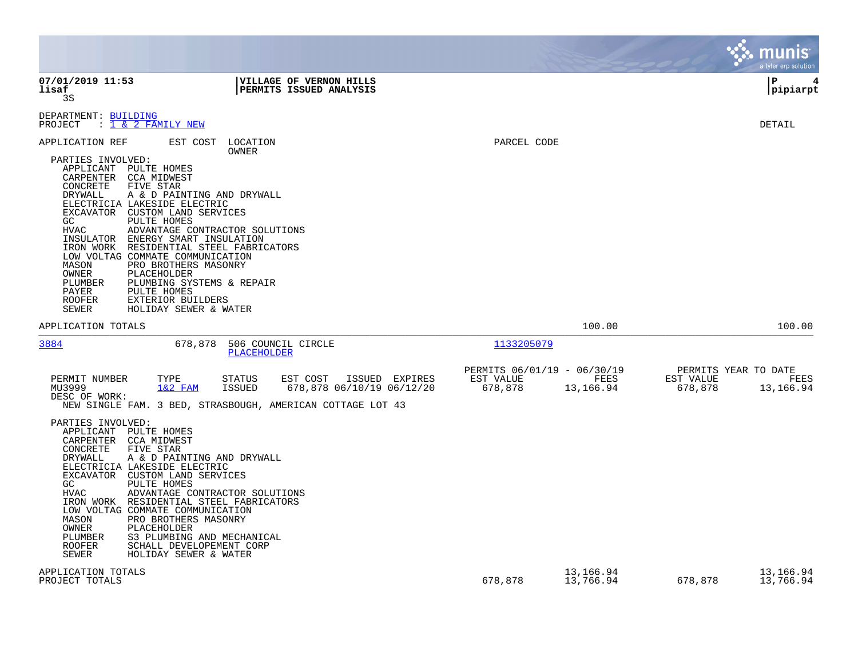|                                                                                                                                                                                                                                                                                                                                                                                                                                                                                                                                                                                                                                                        |                                                     |                          |                      | munis<br>a tyler erp solution             |
|--------------------------------------------------------------------------------------------------------------------------------------------------------------------------------------------------------------------------------------------------------------------------------------------------------------------------------------------------------------------------------------------------------------------------------------------------------------------------------------------------------------------------------------------------------------------------------------------------------------------------------------------------------|-----------------------------------------------------|--------------------------|----------------------|-------------------------------------------|
| 07/01/2019 11:53<br><b>VILLAGE OF VERNON HILLS</b><br>lisaf<br><b>PERMITS ISSUED ANALYSIS</b><br>3S                                                                                                                                                                                                                                                                                                                                                                                                                                                                                                                                                    |                                                     |                          |                      | l P<br>4<br> pipiarpt                     |
| DEPARTMENT: BUILDING<br>: <u>1 &amp; 2 FAMILY NEW</u><br>PROJECT                                                                                                                                                                                                                                                                                                                                                                                                                                                                                                                                                                                       |                                                     |                          |                      | DETAIL                                    |
| APPLICATION REF<br>EST COST<br>LOCATION<br>OWNER<br>PARTIES INVOLVED:<br>APPLICANT PULTE HOMES<br>CARPENTER CCA MIDWEST<br>CONCRETE<br>FIVE STAR<br>DRYWALL<br>A & D PAINTING AND DRYWALL<br>ELECTRICIA LAKESIDE ELECTRIC<br>EXCAVATOR CUSTOM LAND SERVICES<br>GC<br>PULTE HOMES<br><b>HVAC</b><br>ADVANTAGE CONTRACTOR SOLUTIONS<br>INSULATOR ENERGY SMART INSULATION<br>IRON WORK RESIDENTIAL STEEL FABRICATORS<br>LOW VOLTAG COMMATE COMMUNICATION<br>PRO BROTHERS MASONRY<br>MASON<br><b>OWNER</b><br>PLACEHOLDER<br>PLUMBER<br>PLUMBING SYSTEMS & REPAIR<br>PAYER<br>PULTE HOMES<br>ROOFER<br>EXTERIOR BUILDERS<br>SEWER<br>HOLIDAY SEWER & WATER | PARCEL CODE                                         |                          |                      |                                           |
| APPLICATION TOTALS                                                                                                                                                                                                                                                                                                                                                                                                                                                                                                                                                                                                                                     |                                                     | 100.00                   |                      | 100.00                                    |
| 506 COUNCIL CIRCLE<br>3884<br>678,878<br><b>PLACEHOLDER</b>                                                                                                                                                                                                                                                                                                                                                                                                                                                                                                                                                                                            | 1133205079                                          |                          |                      |                                           |
| PERMIT NUMBER<br>TYPE<br><b>STATUS</b><br>EST COST<br>ISSUED EXPIRES<br>MU3999<br>$1&2$ FAM<br>ISSUED<br>678,878 06/10/19 06/12/20<br>DESC OF WORK:<br>NEW SINGLE FAM. 3 BED, STRASBOUGH, AMERICAN COTTAGE LOT 43<br>PARTIES INVOLVED:<br>APPLICANT PULTE HOMES<br>CARPENTER CCA MIDWEST                                                                                                                                                                                                                                                                                                                                                               | PERMITS 06/01/19 - 06/30/19<br>EST VALUE<br>678,878 | <b>FEES</b><br>13,166.94 | EST VALUE<br>678,878 | PERMITS YEAR TO DATE<br>FEES<br>13,166.94 |
| FIVE STAR<br>CONCRETE<br>DRYWALL<br>A & D PAINTING AND DRYWALL<br>ELECTRICIA LAKESIDE ELECTRIC<br>EXCAVATOR CUSTOM LAND SERVICES<br>GC<br>PULTE HOMES<br><b>HVAC</b><br>ADVANTAGE CONTRACTOR SOLUTIONS<br>IRON WORK RESIDENTIAL STEEL FABRICATORS<br>LOW VOLTAG COMMATE COMMUNICATION<br>PRO BROTHERS MASONRY<br>MASON<br>OWNER<br>PLACEHOLDER<br>PLUMBER<br>S3 PLUMBING AND MECHANICAL<br><b>ROOFER</b><br>SCHALL DEVELOPEMENT CORP<br>SEWER<br>HOLIDAY SEWER & WATER                                                                                                                                                                                 |                                                     |                          |                      |                                           |
| APPLICATION TOTALS<br>PROJECT TOTALS                                                                                                                                                                                                                                                                                                                                                                                                                                                                                                                                                                                                                   | 678,878                                             | 13,166.94<br>13,766.94   | 678,878              | 13,166.94<br>13,766.94                    |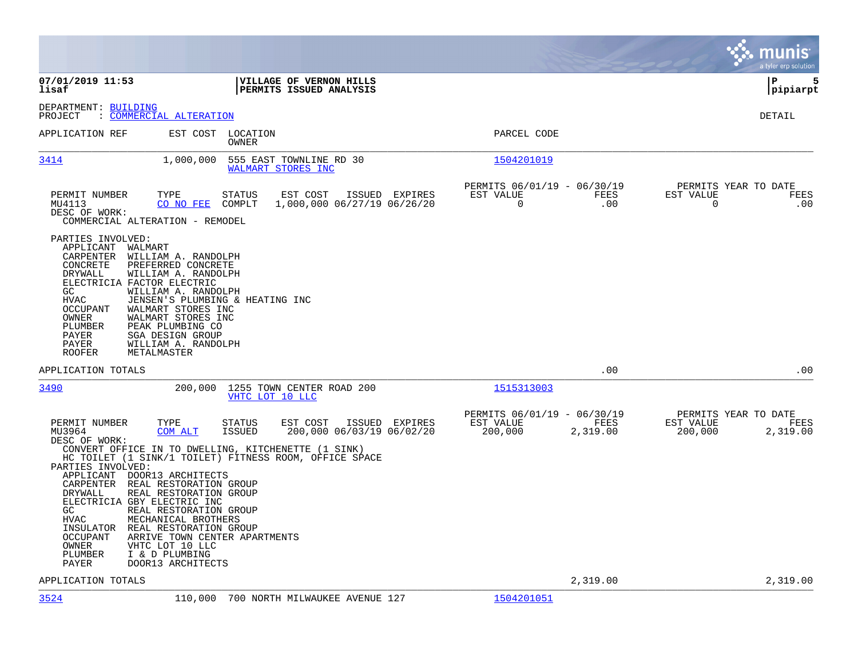|                                                                                                                                                                                                                                                                                                                                                                                                                                             |                                                                                                                                                                                                                                      |                                                     |                  | munis<br>a tyler erp solution                                    |
|---------------------------------------------------------------------------------------------------------------------------------------------------------------------------------------------------------------------------------------------------------------------------------------------------------------------------------------------------------------------------------------------------------------------------------------------|--------------------------------------------------------------------------------------------------------------------------------------------------------------------------------------------------------------------------------------|-----------------------------------------------------|------------------|------------------------------------------------------------------|
| 07/01/2019 11:53<br>lisaf                                                                                                                                                                                                                                                                                                                                                                                                                   | VILLAGE OF VERNON HILLS<br>PERMITS ISSUED ANALYSIS                                                                                                                                                                                   |                                                     |                  | ΙP<br>5<br> pipiarpt                                             |
| DEPARTMENT: BUILDING<br>: COMMERCIAL ALTERATION<br>PROJECT                                                                                                                                                                                                                                                                                                                                                                                  |                                                                                                                                                                                                                                      |                                                     |                  | DETAIL                                                           |
| APPLICATION REF                                                                                                                                                                                                                                                                                                                                                                                                                             | EST COST LOCATION<br><b>OWNER</b>                                                                                                                                                                                                    | PARCEL CODE                                         |                  |                                                                  |
| 3414<br>1,000,000                                                                                                                                                                                                                                                                                                                                                                                                                           | 555 EAST TOWNLINE RD 30<br>WALMART STORES INC                                                                                                                                                                                        | 1504201019                                          |                  |                                                                  |
| PERMIT NUMBER<br>TYPE<br>MU4113<br>CO NO FEE<br>DESC OF WORK:<br>COMMERCIAL ALTERATION - REMODEL                                                                                                                                                                                                                                                                                                                                            | STATUS<br>EST COST<br>ISSUED EXPIRES<br>COMPLT<br>1,000,000 06/27/19 06/26/20                                                                                                                                                        | PERMITS 06/01/19 - 06/30/19<br>EST VALUE<br>0       | FEES<br>.00      | PERMITS YEAR TO DATE<br>EST VALUE<br>FEES<br>0<br>.00            |
| PARTIES INVOLVED:<br>APPLICANT<br>WALMART<br>CARPENTER<br>WILLIAM A. RANDOLPH<br>CONCRETE<br>PREFERRED CONCRETE<br>DRYWALL<br>WILLIAM A. RANDOLPH<br>ELECTRICIA FACTOR ELECTRIC<br>WILLIAM A. RANDOLPH<br>GC<br><b>HVAC</b><br><b>OCCUPANT</b><br>WALMART STORES INC<br>WALMART STORES INC<br>OWNER<br>PLUMBER<br>PEAK PLUMBING CO<br>PAYER<br><b>SGA DESIGN GROUP</b><br>PAYER<br>WILLIAM A. RANDOLPH<br><b>ROOFER</b><br>METALMASTER      | JENSEN'S PLUMBING & HEATING INC                                                                                                                                                                                                      |                                                     |                  |                                                                  |
| APPLICATION TOTALS                                                                                                                                                                                                                                                                                                                                                                                                                          |                                                                                                                                                                                                                                      |                                                     | .00              | .00                                                              |
| 3490                                                                                                                                                                                                                                                                                                                                                                                                                                        | 200,000<br>1255 TOWN CENTER ROAD 200<br>VHTC LOT 10 LLC                                                                                                                                                                              | 1515313003                                          |                  |                                                                  |
| PERMIT NUMBER<br>TYPE<br>COM ALT<br>MU3964<br>DESC OF WORK:<br>PARTIES INVOLVED:<br>APPLICANT DOOR13 ARCHITECTS<br>CARPENTER REAL RESTORATION GROUP<br><b>DRYWALL</b><br>REAL RESTORATION GROUP<br>ELECTRICIA GBY ELECTRIC INC<br>GC<br>REAL RESTORATION GROUP<br>MECHANICAL BROTHERS<br>HVAC<br>INSULATOR REAL RESTORATION GROUP<br><b>OCCUPANT</b><br>VHTC LOT 10 LLC<br>OWNER<br>I & D PLUMBING<br>PLUMBER<br>PAYER<br>DOOR13 ARCHITECTS | STATUS<br>EST COST<br>ISSUED EXPIRES<br><b>ISSUED</b><br>200,000 06/03/19 06/02/20<br>CONVERT OFFICE IN TO DWELLING, KITCHENETTE (1 SINK)<br>HC TOILET (1 SINK/1 TOILET) FITNESS ROOM, OFFICE SPACE<br>ARRIVE TOWN CENTER APARTMENTS | PERMITS 06/01/19 - 06/30/19<br>EST VALUE<br>200,000 | FEES<br>2,319.00 | PERMITS YEAR TO DATE<br>EST VALUE<br>FEES<br>200,000<br>2,319.00 |
| APPLICATION TOTALS                                                                                                                                                                                                                                                                                                                                                                                                                          |                                                                                                                                                                                                                                      |                                                     | 2,319.00         | 2,319.00                                                         |
| 3524<br>110,000                                                                                                                                                                                                                                                                                                                                                                                                                             | 700 NORTH MILWAUKEE AVENUE 127                                                                                                                                                                                                       | 1504201051                                          |                  |                                                                  |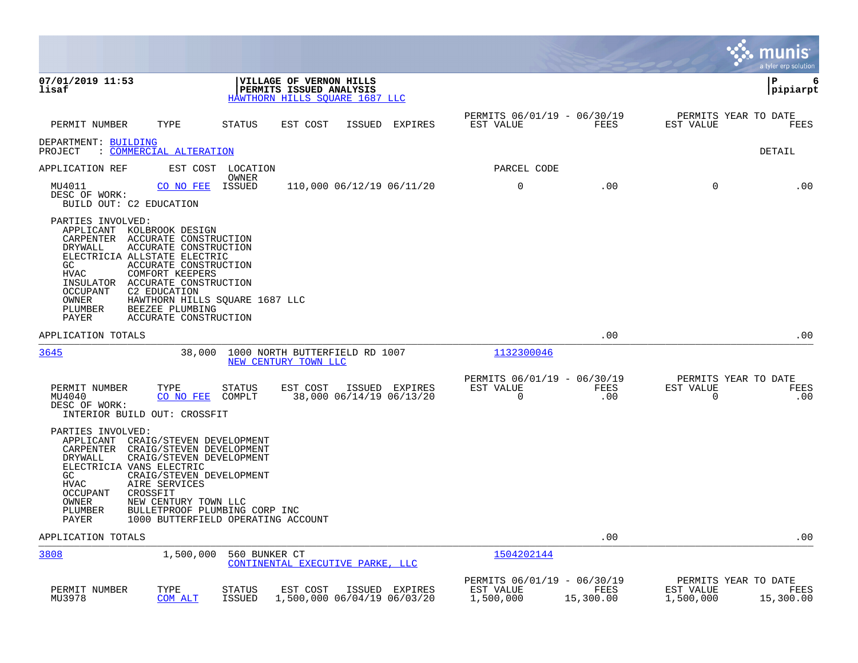|                                                                                                                                                                                                                                                                                                                                                             |                                                                                      |                                                       |                   |                                                | munis<br>a tyler erp solution |
|-------------------------------------------------------------------------------------------------------------------------------------------------------------------------------------------------------------------------------------------------------------------------------------------------------------------------------------------------------------|--------------------------------------------------------------------------------------|-------------------------------------------------------|-------------------|------------------------------------------------|-------------------------------|
| 07/01/2019 11:53<br>lisaf                                                                                                                                                                                                                                                                                                                                   | VILLAGE OF VERNON HILLS<br>PERMITS ISSUED ANALYSIS<br>HAWTHORN HILLS SOUARE 1687 LLC |                                                       |                   |                                                | lΡ<br>6<br> pipiarpt          |
| PERMIT NUMBER<br>TYPE                                                                                                                                                                                                                                                                                                                                       | <b>STATUS</b><br>EST COST<br>ISSUED EXPIRES                                          | PERMITS 06/01/19 - 06/30/19<br>EST VALUE              | FEES              | PERMITS YEAR TO DATE<br>EST VALUE              | FEES                          |
| DEPARTMENT: BUILDING<br>: COMMERCIAL ALTERATION<br>PROJECT                                                                                                                                                                                                                                                                                                  |                                                                                      |                                                       |                   |                                                | DETAIL                        |
| APPLICATION REF                                                                                                                                                                                                                                                                                                                                             | EST COST LOCATION                                                                    | PARCEL CODE                                           |                   |                                                |                               |
| MU4011<br>CO NO FEE<br>DESC OF WORK:<br>BUILD OUT: C2 EDUCATION                                                                                                                                                                                                                                                                                             | OWNER<br>ISSUED<br>110,000 06/12/19 06/11/20                                         | 0                                                     | .00               | 0                                              | .00                           |
| PARTIES INVOLVED:<br>APPLICANT KOLBROOK DESIGN<br>CARPENTER ACCURATE CONSTRUCTION<br>ACCURATE CONSTRUCTION<br>DRYWALL<br>ELECTRICIA ALLSTATE ELECTRIC<br>GC.<br>ACCURATE CONSTRUCTION<br>HVAC<br>COMFORT KEEPERS<br>INSULATOR<br>ACCURATE CONSTRUCTION<br>OCCUPANT<br>C2 EDUCATION<br>OWNER<br>PLUMBER<br>BEEZEE PLUMBING<br>PAYER<br>ACCURATE CONSTRUCTION | HAWTHORN HILLS SQUARE 1687 LLC                                                       |                                                       |                   |                                                |                               |
| APPLICATION TOTALS                                                                                                                                                                                                                                                                                                                                          |                                                                                      |                                                       | .00               |                                                | .00                           |
| 3645<br>38,000                                                                                                                                                                                                                                                                                                                                              | 1000 NORTH BUTTERFIELD RD 1007<br>NEW CENTURY TOWN LLC                               | 1132300046                                            |                   |                                                |                               |
| PERMIT NUMBER<br>TYPE<br>CO NO FEE<br>MU4040<br>DESC OF WORK:<br>INTERIOR BUILD OUT: CROSSFIT                                                                                                                                                                                                                                                               | EST COST<br>STATUS<br>ISSUED EXPIRES<br>COMPLT<br>38,000 06/14/19 06/13/20           | PERMITS 06/01/19 - 06/30/19<br>EST VALUE<br>0         | FEES<br>.00       | PERMITS YEAR TO DATE<br>EST VALUE<br>0         | FEES<br>.00                   |
| PARTIES INVOLVED:<br>APPLICANT<br>CRAIG/STEVEN DEVELOPMENT<br>CARPENTER<br>CRAIG/STEVEN DEVELOPMENT<br>CRAIG/STEVEN DEVELOPMENT<br>DRYWALL<br>ELECTRICIA VANS ELECTRIC<br>GC<br>CRAIG/STEVEN DEVELOPMENT<br>HVAC<br>AIRE SERVICES<br><b>OCCUPANT</b><br>CROSSFIT<br>OWNER<br>NEW CENTURY TOWN LLC<br>PLUMBER<br>PAYER                                       | BULLETPROOF PLUMBING CORP INC<br>1000 BUTTERFIELD OPERATING ACCOUNT                  |                                                       |                   |                                                |                               |
| APPLICATION TOTALS                                                                                                                                                                                                                                                                                                                                          |                                                                                      |                                                       | .00               |                                                | .00                           |
| 3808<br>1,500,000                                                                                                                                                                                                                                                                                                                                           | 560 BUNKER CT<br>CONTINENTAL EXECUTIVE PARKE, LLC                                    | 1504202144                                            |                   |                                                |                               |
| PERMIT NUMBER<br>TYPE<br>MU3978<br><b>COM ALT</b>                                                                                                                                                                                                                                                                                                           | STATUS<br>EST COST<br>ISSUED EXPIRES<br><b>ISSUED</b><br>1,500,000 06/04/19 06/03/20 | PERMITS 06/01/19 - 06/30/19<br>EST VALUE<br>1,500,000 | FEES<br>15,300.00 | PERMITS YEAR TO DATE<br>EST VALUE<br>1,500,000 | FEES<br>15,300.00             |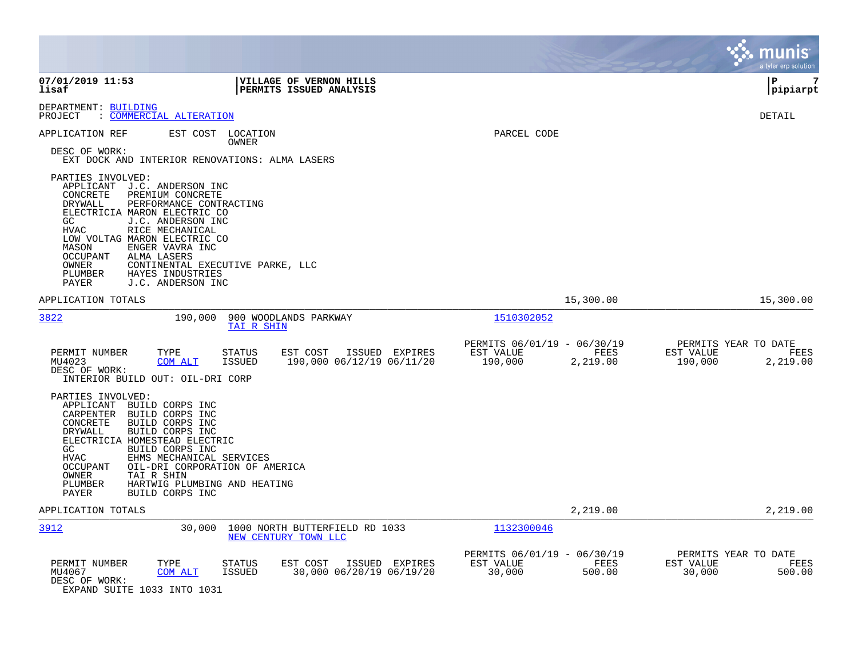|                                                                                                                                                                                                                                                                                                          |                                                                                                                                               |                                                                         | munis<br>a tyler erp solution                                    |
|----------------------------------------------------------------------------------------------------------------------------------------------------------------------------------------------------------------------------------------------------------------------------------------------------------|-----------------------------------------------------------------------------------------------------------------------------------------------|-------------------------------------------------------------------------|------------------------------------------------------------------|
| 07/01/2019 11:53<br>lisaf                                                                                                                                                                                                                                                                                | VILLAGE OF VERNON HILLS<br>PERMITS ISSUED ANALYSIS                                                                                            |                                                                         | lР<br>7<br> pipiarpt                                             |
| DEPARTMENT: BUILDING<br>: COMMERCIAL ALTERATION<br>PROJECT                                                                                                                                                                                                                                               |                                                                                                                                               |                                                                         | DETAIL                                                           |
| APPLICATION REF<br>DESC OF WORK:                                                                                                                                                                                                                                                                         | EST COST<br>LOCATION<br>OWNER<br>EXT DOCK AND INTERIOR RENOVATIONS: ALMA LASERS                                                               | PARCEL CODE                                                             |                                                                  |
| PARTIES INVOLVED:<br>APPLICANT<br>J.C. ANDERSON INC<br><b>CONCRETE</b><br><b>DRYWALL</b><br>ELECTRICIA MARON ELECTRIC CO<br>GC.<br><b>HVAC</b><br>RICE MECHANICAL<br>LOW VOLTAG MARON ELECTRIC CO<br>ENGER VAVRA INC<br>MASON<br><b>OCCUPANT</b><br>ALMA LASERS<br>OWNER<br>PLUMBER<br>PAYER             | PREMIUM CONCRETE<br>PERFORMANCE CONTRACTING<br>J.C. ANDERSON INC<br>CONTINENTAL EXECUTIVE PARKE, LLC<br>HAYES INDUSTRIES<br>J.C. ANDERSON INC |                                                                         |                                                                  |
| APPLICATION TOTALS                                                                                                                                                                                                                                                                                       |                                                                                                                                               | 15,300.00                                                               | 15,300.00                                                        |
| 3822                                                                                                                                                                                                                                                                                                     | 190,000<br>900 WOODLANDS PARKWAY<br>TAI R SHIN                                                                                                | 1510302052                                                              |                                                                  |
| TYPE<br>PERMIT NUMBER<br>MU4023<br>DESC OF WORK:<br>INTERIOR BUILD OUT: OIL-DRI CORP                                                                                                                                                                                                                     | <b>STATUS</b><br>EST COST<br>ISSUED EXPIRES<br>COM ALT<br><b>ISSUED</b><br>190,000 06/12/19 06/11/20                                          | PERMITS 06/01/19 - 06/30/19<br>EST VALUE<br>FEES<br>190,000<br>2,219.00 | PERMITS YEAR TO DATE<br>EST VALUE<br>FEES<br>190,000<br>2,219.00 |
| PARTIES INVOLVED:<br>APPLICANT<br>BUILD CORPS INC<br>BUILD CORPS INC<br>CARPENTER<br>CONCRETE<br>BUILD CORPS INC<br>BUILD CORPS INC<br>DRYWALL<br>ELECTRICIA HOMESTEAD ELECTRIC<br>BUILD CORPS INC<br>GC<br><b>HVAC</b><br><b>OCCUPANT</b><br>TAI R SHIN<br>OWNER<br>PLUMBER<br>PAYER<br>BUILD CORPS INC | EHMS MECHANICAL SERVICES<br>OIL-DRI CORPORATION OF AMERICA<br>HARTWIG PLUMBING AND HEATING                                                    |                                                                         |                                                                  |
| APPLICATION TOTALS                                                                                                                                                                                                                                                                                       |                                                                                                                                               | 2,219.00                                                                | 2,219.00                                                         |
| 3912                                                                                                                                                                                                                                                                                                     | 30,000<br>1000 NORTH BUTTERFIELD RD 1033<br>NEW CENTURY TOWN LLC                                                                              | 1132300046                                                              |                                                                  |
| PERMIT NUMBER<br>TYPE<br>MU4067<br>DESC OF WORK:<br>EXPAND SUITE 1033 INTO 1031                                                                                                                                                                                                                          | ISSUED EXPIRES<br>STATUS<br>EST COST<br>30,000 06/20/19 06/19/20<br>COM ALT<br>ISSUED                                                         | PERMITS 06/01/19 - 06/30/19<br>EST VALUE<br>FEES<br>30,000<br>500.00    | PERMITS YEAR TO DATE<br>EST VALUE<br>FEES<br>30,000<br>500.00    |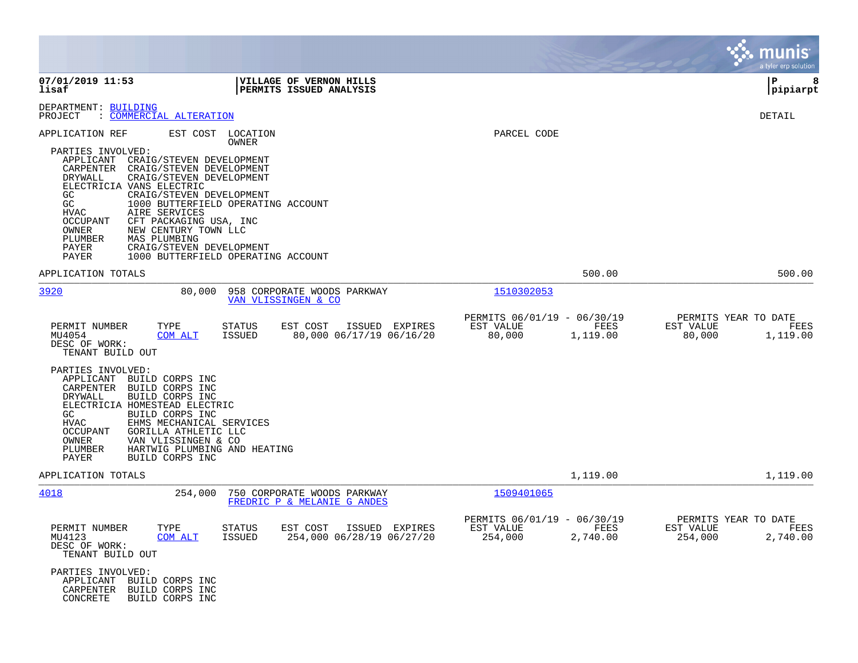|                                                                                                                                                                                                                                                                                                                                                                                                                    |                                                                                                        |                                                                         | munis<br>a tyler erp solution                                    |
|--------------------------------------------------------------------------------------------------------------------------------------------------------------------------------------------------------------------------------------------------------------------------------------------------------------------------------------------------------------------------------------------------------------------|--------------------------------------------------------------------------------------------------------|-------------------------------------------------------------------------|------------------------------------------------------------------|
| 07/01/2019 11:53<br>lisaf                                                                                                                                                                                                                                                                                                                                                                                          | VILLAGE OF VERNON HILLS<br>PERMITS ISSUED ANALYSIS                                                     |                                                                         | l P<br>8<br>pipiarpt                                             |
| DEPARTMENT: BUILDING<br>: COMMERCIAL ALTERATION<br>PROJECT                                                                                                                                                                                                                                                                                                                                                         |                                                                                                        |                                                                         | DETAIL                                                           |
| APPLICATION REF<br>PARTIES INVOLVED:<br>CRAIG/STEVEN DEVELOPMENT<br>APPLICANT<br>CRAIG/STEVEN DEVELOPMENT<br>CARPENTER<br>DRYWALL<br>CRAIG/STEVEN DEVELOPMENT<br>ELECTRICIA VANS ELECTRIC<br>GC.<br>CRAIG/STEVEN DEVELOPMENT<br>GC<br><b>HVAC</b><br>AIRE SERVICES<br>OCCUPANT<br>CFT PACKAGING USA, INC<br>OWNER<br>NEW CENTURY TOWN LLC<br>PLUMBER<br>MAS PLUMBING<br>PAYER<br>CRAIG/STEVEN DEVELOPMENT<br>PAYER | EST COST LOCATION<br>OWNER<br>1000 BUTTERFIELD OPERATING ACCOUNT<br>1000 BUTTERFIELD OPERATING ACCOUNT | PARCEL CODE                                                             |                                                                  |
| APPLICATION TOTALS                                                                                                                                                                                                                                                                                                                                                                                                 |                                                                                                        | 500.00                                                                  | 500.00                                                           |
| 3920<br>80,000                                                                                                                                                                                                                                                                                                                                                                                                     | 958 CORPORATE WOODS PARKWAY<br>VAN VLISSINGEN & CO                                                     | 1510302053                                                              |                                                                  |
| PERMIT NUMBER<br>TYPE<br>MU4054<br>COM ALT<br>DESC OF WORK:<br>TENANT BUILD OUT                                                                                                                                                                                                                                                                                                                                    | EST COST<br>ISSUED EXPIRES<br>STATUS<br>80,000 06/17/19 06/16/20<br><b>ISSUED</b>                      | PERMITS 06/01/19 - 06/30/19<br>EST VALUE<br>FEES<br>80,000<br>1,119.00  | PERMITS YEAR TO DATE<br>EST VALUE<br>FEES<br>80,000<br>1,119.00  |
| PARTIES INVOLVED:<br>APPLICANT BUILD CORPS INC<br>BUILD CORPS INC<br>CARPENTER<br>BUILD CORPS INC<br>DRYWALL<br>ELECTRICIA HOMESTEAD ELECTRIC<br>BUILD CORPS INC<br>GC<br><b>HVAC</b><br>EHMS MECHANICAL SERVICES<br>GORILLA ATHLETIC LLC<br>OCCUPANT<br>OWNER<br>VAN VLISSINGEN & CO<br>HARTWIG PLUMBING AND HEATING<br>PLUMBER<br>BUILD CORPS INC<br>PAYER                                                       |                                                                                                        |                                                                         |                                                                  |
| APPLICATION TOTALS                                                                                                                                                                                                                                                                                                                                                                                                 |                                                                                                        | 1,119.00                                                                | 1,119.00                                                         |
| 4018<br>254,000                                                                                                                                                                                                                                                                                                                                                                                                    | 750 CORPORATE WOODS PARKWAY<br>FREDRIC P & MELANIE G ANDES                                             | 1509401065                                                              |                                                                  |
| PERMIT NUMBER<br>TYPE<br>MU4123<br>COM ALT<br>DESC OF WORK:<br>TENANT BUILD OUT                                                                                                                                                                                                                                                                                                                                    | <b>STATUS</b><br>EST COST<br>ISSUED EXPIRES<br><b>ISSUED</b><br>254,000 06/28/19 06/27/20              | PERMITS 06/01/19 - 06/30/19<br>EST VALUE<br>FEES<br>254,000<br>2,740.00 | PERMITS YEAR TO DATE<br>EST VALUE<br>FEES<br>254,000<br>2,740.00 |
| PARTIES INVOLVED:<br>APPLICANT<br>BUILD CORPS INC<br>CARPENTER<br>BUILD CORPS INC<br>CONCRETE<br>BUILD CORPS INC                                                                                                                                                                                                                                                                                                   |                                                                                                        |                                                                         |                                                                  |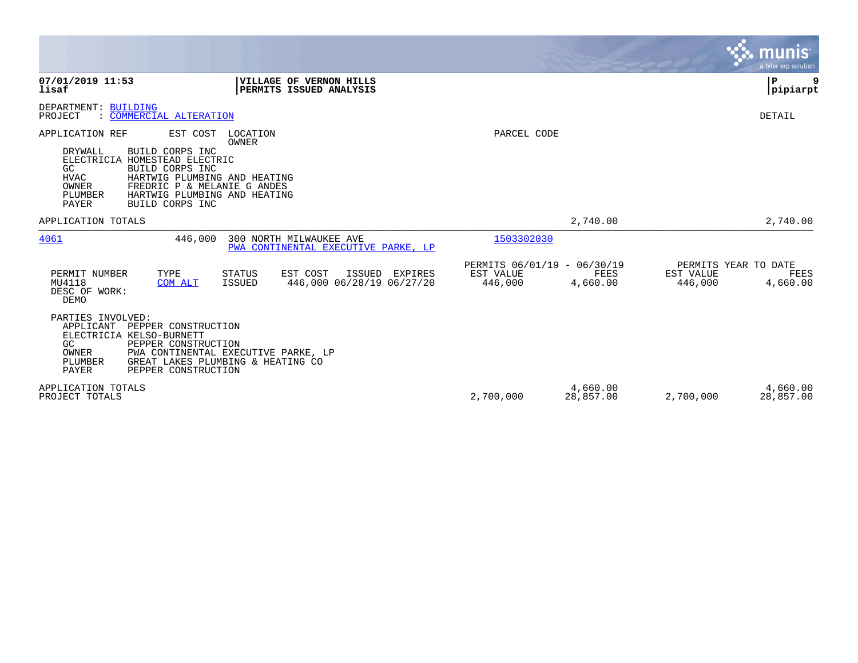|                                                                                                                                                                                                                                                                                             |                                                                                              |                                                     |                       | munis<br>a tyler erp solution                                    |
|---------------------------------------------------------------------------------------------------------------------------------------------------------------------------------------------------------------------------------------------------------------------------------------------|----------------------------------------------------------------------------------------------|-----------------------------------------------------|-----------------------|------------------------------------------------------------------|
| 07/01/2019 11:53<br>lisaf                                                                                                                                                                                                                                                                   | VILLAGE OF VERNON HILLS<br>PERMITS ISSUED ANALYSIS                                           |                                                     |                       | P<br> pipiarpt                                                   |
| DEPARTMENT: BUILDING<br>PROJECT<br>: COMMERCIAL ALTERATION                                                                                                                                                                                                                                  |                                                                                              |                                                     |                       | DETAIL                                                           |
| APPLICATION REF<br>EST COST<br>BUILD CORPS INC<br>DRYWALL<br><b>ELECTRICIA</b><br>HOMESTEAD ELECTRIC<br>GC<br>BUILD CORPS INC<br><b>HVAC</b><br>HARTWIG PLUMBING AND HEATING<br>OWNER<br>FREDRIC P & MELANIE G ANDES<br>PLUMBER<br>HARTWIG PLUMBING AND HEATING<br>PAYER<br>BUILD CORPS INC | LOCATION<br>OWNER                                                                            | PARCEL CODE                                         |                       |                                                                  |
| APPLICATION TOTALS                                                                                                                                                                                                                                                                          |                                                                                              |                                                     | 2,740.00              | 2,740.00                                                         |
| 4061<br>446,000                                                                                                                                                                                                                                                                             | 300 NORTH MILWAUKEE AVE<br>PWA CONTINENTAL EXECUTIVE PARKE, LP                               | 1503302030                                          |                       |                                                                  |
| TYPE<br>PERMIT NUMBER<br>MU4118<br>COM ALT<br>DESC OF WORK:<br><b>DEMO</b>                                                                                                                                                                                                                  | <b>STATUS</b><br>EST COST<br>ISSUED<br>EXPIRES<br>446,000 06/28/19 06/27/20<br><b>ISSUED</b> | PERMITS 06/01/19 - 06/30/19<br>EST VALUE<br>446,000 | FEES<br>4,660.00      | PERMITS YEAR TO DATE<br>EST VALUE<br>FEES<br>446,000<br>4,660.00 |
| PARTIES INVOLVED:<br>APPLICANT<br>PEPPER CONSTRUCTION<br>ELECTRICIA KELSO-BURNETT<br>PEPPER CONSTRUCTION<br>GC.<br>OWNER<br>PLUMBER<br>GREAT LAKES PLUMBING & HEATING CO<br>PAYER<br>PEPPER CONSTRUCTION                                                                                    | PWA CONTINENTAL EXECUTIVE PARKE, LP                                                          |                                                     |                       |                                                                  |
| APPLICATION TOTALS<br>PROJECT TOTALS                                                                                                                                                                                                                                                        |                                                                                              | 2,700,000                                           | 4,660.00<br>28,857.00 | 4,660.00<br>2,700,000<br>28,857.00                               |

**Contract**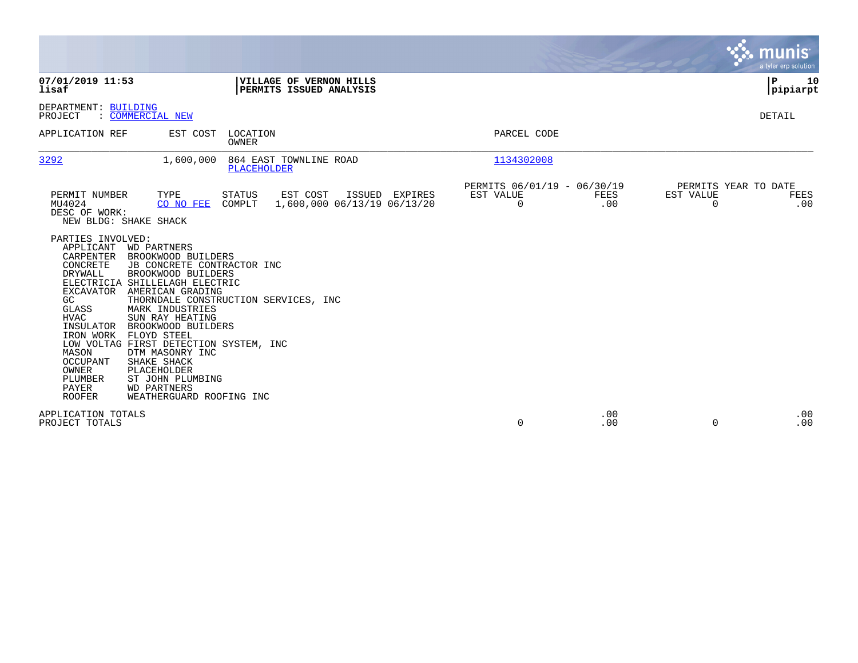|                                                                                                                                                                                                                                                                                                                                                                                                                                                                                                                                                                                                                                                                                                                                                                                                                              |                                                              | munis<br>a tyler erp solution                                   |
|------------------------------------------------------------------------------------------------------------------------------------------------------------------------------------------------------------------------------------------------------------------------------------------------------------------------------------------------------------------------------------------------------------------------------------------------------------------------------------------------------------------------------------------------------------------------------------------------------------------------------------------------------------------------------------------------------------------------------------------------------------------------------------------------------------------------------|--------------------------------------------------------------|-----------------------------------------------------------------|
| 07/01/2019 11:53<br><b>VILLAGE OF VERNON HILLS</b><br>lisaf<br>PERMITS ISSUED ANALYSIS                                                                                                                                                                                                                                                                                                                                                                                                                                                                                                                                                                                                                                                                                                                                       |                                                              | ΙP<br>10<br> pipiarpt                                           |
| DEPARTMENT: BUILDING<br>PROJECT<br>: COMMERCIAL NEW                                                                                                                                                                                                                                                                                                                                                                                                                                                                                                                                                                                                                                                                                                                                                                          |                                                              | DETAIL                                                          |
| APPLICATION REF<br>EST COST<br>LOCATION<br><b>OWNER</b>                                                                                                                                                                                                                                                                                                                                                                                                                                                                                                                                                                                                                                                                                                                                                                      | PARCEL CODE                                                  |                                                                 |
| 3292<br>1,600,000<br>864 EAST TOWNLINE ROAD<br>PLACEHOLDER                                                                                                                                                                                                                                                                                                                                                                                                                                                                                                                                                                                                                                                                                                                                                                   | 1134302008                                                   |                                                                 |
| PERMIT NUMBER<br>TYPE<br><b>STATUS</b><br>EST COST<br>ISSUED EXPIRES<br>MU4024<br>COMPLT<br>1,600,000 06/13/19 06/13/20<br>CO NO FEE<br>DESC OF WORK:<br>NEW BLDG: SHAKE SHACK<br>PARTIES INVOLVED:<br>APPLICANT<br><b>WD PARTNERS</b><br>CARPENTER<br>BROOKWOOD BUILDERS<br>CONCRETE<br>JB CONCRETE CONTRACTOR INC<br><b>DRYWALL</b><br>BROOKWOOD BUILDERS<br>ELECTRICIA SHILLELAGH ELECTRIC<br><b>EXCAVATOR</b><br>AMERICAN GRADING<br>GC<br>THORNDALE CONSTRUCTION SERVICES, INC<br>GLASS<br>MARK INDUSTRIES<br><b>HVAC</b><br>SUN RAY HEATING<br>INSULATOR<br>BROOKWOOD BUILDERS<br>FLOYD STEEL<br>IRON WORK<br>LOW VOLTAG FIRST DETECTION SYSTEM, INC<br>MASON<br>DTM MASONRY INC<br><b>OCCUPANT</b><br>SHAKE SHACK<br><b>OWNER</b><br>PLACEHOLDER<br><b>PLUMBER</b><br>ST JOHN PLUMBING<br><b>WD PARTNERS</b><br>PAYER | PERMITS 06/01/19 - 06/30/19<br>EST VALUE<br>FEES<br>0<br>.00 | PERMITS YEAR TO DATE<br>EST VALUE<br>FEES<br>$\mathbf 0$<br>.00 |
| <b>ROOFER</b><br>WEATHERGUARD ROOFING INC<br>APPLICATION TOTALS<br>PROJECT TOTALS                                                                                                                                                                                                                                                                                                                                                                                                                                                                                                                                                                                                                                                                                                                                            | .00<br>0<br>.00                                              | .00<br>.00<br>$\mathbf 0$                                       |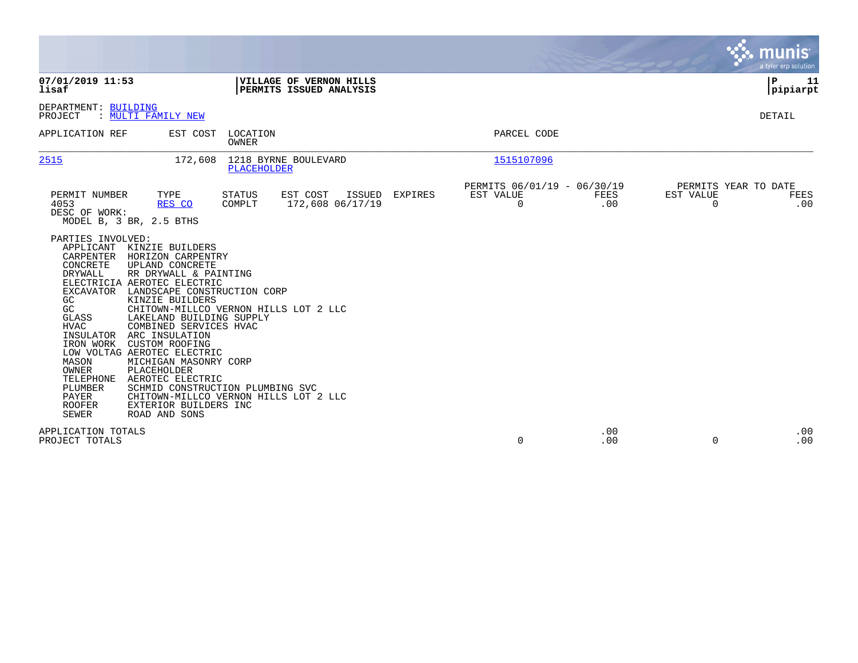|                                                                                                                                                                                                                                                 |                                                                                                                                                                                                                                                                                                                                                                                                                                                                                                                               |                         |                                                    |         |                                               |             |                                        | munis<br>a tyler erp solution |
|-------------------------------------------------------------------------------------------------------------------------------------------------------------------------------------------------------------------------------------------------|-------------------------------------------------------------------------------------------------------------------------------------------------------------------------------------------------------------------------------------------------------------------------------------------------------------------------------------------------------------------------------------------------------------------------------------------------------------------------------------------------------------------------------|-------------------------|----------------------------------------------------|---------|-----------------------------------------------|-------------|----------------------------------------|-------------------------------|
| 07/01/2019 11:53<br>lisaf                                                                                                                                                                                                                       |                                                                                                                                                                                                                                                                                                                                                                                                                                                                                                                               |                         | VILLAGE OF VERNON HILLS<br>PERMITS ISSUED ANALYSIS |         |                                               |             |                                        | ∣₽<br>11<br> pipiarpt         |
| DEPARTMENT: BUILDING<br>PROJECT                                                                                                                                                                                                                 | : MULTI FAMILY NEW                                                                                                                                                                                                                                                                                                                                                                                                                                                                                                            |                         |                                                    |         |                                               |             |                                        | <b>DETAIL</b>                 |
| APPLICATION REF                                                                                                                                                                                                                                 | EST COST                                                                                                                                                                                                                                                                                                                                                                                                                                                                                                                      | LOCATION<br>OWNER       |                                                    |         | PARCEL CODE                                   |             |                                        |                               |
| 2515                                                                                                                                                                                                                                            | 172,608                                                                                                                                                                                                                                                                                                                                                                                                                                                                                                                       | <b>PLACEHOLDER</b>      | 1218 BYRNE BOULEVARD                               |         | 1515107096                                    |             |                                        |                               |
| PERMIT NUMBER<br>4053<br>DESC OF WORK:<br>MODEL B, 3 BR, 2.5 BTHS                                                                                                                                                                               | TYPE<br>RES CO                                                                                                                                                                                                                                                                                                                                                                                                                                                                                                                | <b>STATUS</b><br>COMPLT | EST COST<br>ISSUED<br>172,608 06/17/19             | EXPIRES | PERMITS 06/01/19 - 06/30/19<br>EST VALUE<br>0 | FEES<br>.00 | PERMITS YEAR TO DATE<br>EST VALUE<br>0 | FEES<br>.00                   |
| PARTIES INVOLVED:<br>APPLICANT<br>CARPENTER<br>CONCRETE<br><b>DRYWALL</b><br>EXCAVATOR<br>GC<br>GC<br><b>GLASS</b><br><b>HVAC</b><br>INSULATOR<br>IRON WORK<br>MASON<br>OWNER<br>TELEPHONE<br>PLUMBER<br>PAYER<br><b>ROOFER</b><br><b>SEWER</b> | KINZIE BUILDERS<br>HORIZON CARPENTRY<br>UPLAND CONCRETE<br>RR DRYWALL & PAINTING<br>ELECTRICIA AEROTEC ELECTRIC<br>LANDSCAPE CONSTRUCTION CORP<br>KINZIE BUILDERS<br>CHITOWN-MILLCO VERNON HILLS LOT 2 LLC<br>LAKELAND BUILDING SUPPLY<br>COMBINED SERVICES HVAC<br>ARC INSULATION<br><b>CUSTOM ROOFING</b><br>LOW VOLTAG AEROTEC ELECTRIC<br>MICHIGAN MASONRY CORP<br>PLACEHOLDER<br>AEROTEC ELECTRIC<br>SCHMID CONSTRUCTION PLUMBING SVC<br>CHITOWN-MILLCO VERNON HILLS LOT 2 LLC<br>EXTERIOR BUILDERS INC<br>ROAD AND SONS |                         |                                                    |         |                                               |             |                                        |                               |
| APPLICATION TOTALS<br>PROJECT TOTALS                                                                                                                                                                                                            |                                                                                                                                                                                                                                                                                                                                                                                                                                                                                                                               |                         |                                                    |         | 0                                             | .00<br>.00  | 0                                      | .00<br>.00                    |

the property of the control of

and the contract of the contract of the contract of the contract of the contract of the contract of the contract of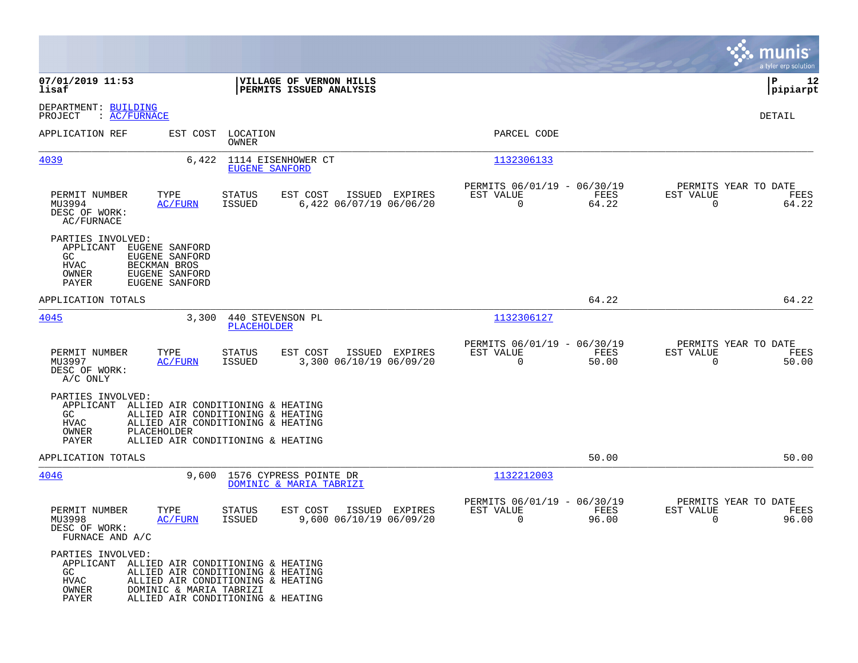|                                                                                                                                                            |                                                                                                                                                  |                                                                          | munis<br>a tyler erp solution                                  |
|------------------------------------------------------------------------------------------------------------------------------------------------------------|--------------------------------------------------------------------------------------------------------------------------------------------------|--------------------------------------------------------------------------|----------------------------------------------------------------|
| 07/01/2019 11:53<br>lisaf                                                                                                                                  | VILLAGE OF VERNON HILLS<br>PERMITS ISSUED ANALYSIS                                                                                               |                                                                          | l P<br>12<br> pipiarpt                                         |
| DEPARTMENT: BUILDING<br>: <u>AC/FURNACE</u><br>PROJECT                                                                                                     |                                                                                                                                                  |                                                                          | <b>DETAIL</b>                                                  |
| APPLICATION REF<br>EST COST                                                                                                                                | LOCATION<br>OWNER                                                                                                                                | PARCEL CODE                                                              |                                                                |
| 4039<br>6,422                                                                                                                                              | 1114 EISENHOWER CT<br><b>EUGENE SANFORD</b>                                                                                                      | 1132306133                                                               |                                                                |
| PERMIT NUMBER<br>TYPE<br>MU3994<br><b>AC/FURN</b><br>DESC OF WORK:<br>AC/FURNACE                                                                           | STATUS<br>EST COST<br>ISSUED EXPIRES<br><b>ISSUED</b><br>6,422 06/07/19 06/06/20                                                                 | PERMITS 06/01/19 - 06/30/19<br>EST VALUE<br>FEES<br>$\Omega$<br>64.22    | PERMITS YEAR TO DATE<br>EST VALUE<br>FEES<br>$\Omega$<br>64.22 |
| PARTIES INVOLVED:<br>APPLICANT EUGENE SANFORD<br>GC<br>EUGENE SANFORD<br><b>HVAC</b><br>BECKMAN BROS<br>OWNER<br>EUGENE SANFORD<br>EUGENE SANFORD<br>PAYER |                                                                                                                                                  |                                                                          |                                                                |
| APPLICATION TOTALS                                                                                                                                         |                                                                                                                                                  | 64.22                                                                    | 64.22                                                          |
| 4045<br>3,300                                                                                                                                              | 440 STEVENSON PL<br>PLACEHOLDER                                                                                                                  | 1132306127                                                               |                                                                |
| PERMIT NUMBER<br>TYPE<br>MU3997<br>AC/FURN<br>DESC OF WORK:<br>A/C ONLY                                                                                    | EST COST<br>ISSUED EXPIRES<br>STATUS<br><b>ISSUED</b><br>3,300 06/10/19 06/09/20                                                                 | PERMITS 06/01/19 - 06/30/19<br>EST VALUE<br>FEES<br>$\mathbf 0$<br>50.00 | PERMITS YEAR TO DATE<br>EST VALUE<br>FEES<br>0<br>50.00        |
| PARTIES INVOLVED:<br>APPLICANT<br>GC<br><b>HVAC</b><br>OWNER<br>PLACEHOLDER<br>PAYER                                                                       | ALLIED AIR CONDITIONING & HEATING<br>ALLIED AIR CONDITIONING & HEATING<br>ALLIED AIR CONDITIONING & HEATING<br>ALLIED AIR CONDITIONING & HEATING |                                                                          |                                                                |
| APPLICATION TOTALS                                                                                                                                         |                                                                                                                                                  | 50.00                                                                    | 50.00                                                          |
| 4046<br>9,600                                                                                                                                              | 1576 CYPRESS POINTE DR<br>DOMINIC & MARIA TABRIZI                                                                                                | 1132212003                                                               |                                                                |
| PERMIT NUMBER<br>TYPE<br>MU3998<br><b>AC/FURN</b><br>DESC OF WORK:<br>FURNACE AND A/C                                                                      | STATUS<br>EST COST<br>ISSUED EXPIRES<br>9,600 06/10/19 06/09/20<br><b>ISSUED</b>                                                                 | PERMITS 06/01/19 - 06/30/19<br>EST VALUE<br>FEES<br>$\mathbf 0$<br>96.00 | PERMITS YEAR TO DATE<br>EST VALUE<br>FEES<br>$\Omega$<br>96.00 |
| PARTIES INVOLVED:<br>APPLICANT<br>GC<br><b>HVAC</b><br>DOMINIC & MARIA TABRIZI<br>OWNER<br><b>PAYER</b>                                                    | ALLIED AIR CONDITIONING & HEATING<br>ALLIED AIR CONDITIONING & HEATING<br>ALLIED AIR CONDITIONING & HEATING<br>ALLIED AIR CONDITIONING & HEATING |                                                                          |                                                                |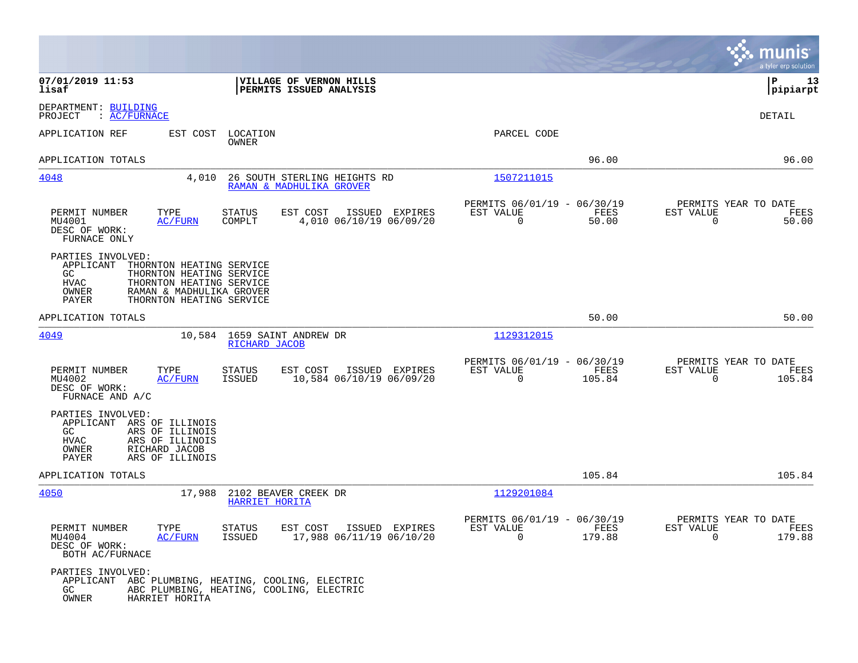|                                                                                                                                                                                                            |                                                                                          |                                                                           | munis<br>a tyler erp solution                                      |
|------------------------------------------------------------------------------------------------------------------------------------------------------------------------------------------------------------|------------------------------------------------------------------------------------------|---------------------------------------------------------------------------|--------------------------------------------------------------------|
| 07/01/2019 11:53<br>lisaf                                                                                                                                                                                  | VILLAGE OF VERNON HILLS<br>PERMITS ISSUED ANALYSIS                                       |                                                                           | P<br>13<br> pipiarpt                                               |
| DEPARTMENT: BUILDING<br>: <u>AC/FURNACE</u><br>PROJECT                                                                                                                                                     |                                                                                          |                                                                           | DETAIL                                                             |
| APPLICATION REF<br>EST COST                                                                                                                                                                                | LOCATION<br>OWNER                                                                        | PARCEL CODE                                                               |                                                                    |
| APPLICATION TOTALS                                                                                                                                                                                         |                                                                                          | 96.00                                                                     | 96.00                                                              |
| 4048<br>4,010                                                                                                                                                                                              | 26 SOUTH STERLING HEIGHTS RD<br>RAMAN & MADHULIKA GROVER                                 | 1507211015                                                                |                                                                    |
| PERMIT NUMBER<br>TYPE<br>MU4001<br><b>AC/FURN</b><br>DESC OF WORK:<br>FURNACE ONLY                                                                                                                         | EST COST<br>ISSUED EXPIRES<br><b>STATUS</b><br>4,010 06/10/19 06/09/20<br>COMPLT         | PERMITS 06/01/19 - 06/30/19<br>EST VALUE<br>FEES<br>$\Omega$<br>50.00     | PERMITS YEAR TO DATE<br>EST VALUE<br>FEES<br>$\Omega$<br>50.00     |
| PARTIES INVOLVED:<br>APPLICANT<br>THORNTON HEATING SERVICE<br>THORNTON HEATING SERVICE<br>GC<br>HVAC<br>THORNTON HEATING SERVICE<br>RAMAN & MADHULIKA GROVER<br>OWNER<br>THORNTON HEATING SERVICE<br>PAYER |                                                                                          |                                                                           |                                                                    |
| APPLICATION TOTALS                                                                                                                                                                                         |                                                                                          | 50.00                                                                     | 50.00                                                              |
| 4049                                                                                                                                                                                                       | 10,584 1659 SAINT ANDREW DR<br>RICHARD JACOB                                             | 1129312015                                                                |                                                                    |
| PERMIT NUMBER<br>TYPE<br>MU4002<br>AC/FURN<br>DESC OF WORK:<br>FURNACE AND A/C                                                                                                                             | <b>STATUS</b><br>EST COST<br>ISSUED EXPIRES<br><b>ISSUED</b><br>10,584 06/10/19 06/09/20 | PERMITS 06/01/19 - 06/30/19<br>EST VALUE<br>FEES<br>$\mathbf 0$<br>105.84 | PERMITS YEAR TO DATE<br>EST VALUE<br>FEES<br>$\mathbf 0$<br>105.84 |
| PARTIES INVOLVED:<br>APPLICANT ARS OF ILLINOIS<br>ARS OF ILLINOIS<br>GC<br>ARS OF ILLINOIS<br>HVAC<br>RICHARD JACOB<br>OWNER<br>PAYER<br>ARS OF ILLINOIS                                                   |                                                                                          |                                                                           |                                                                    |
| APPLICATION TOTALS                                                                                                                                                                                         |                                                                                          | 105.84                                                                    | 105.84                                                             |
| 4050<br>17,988                                                                                                                                                                                             | 2102 BEAVER CREEK DR<br>HARRIET HORITA                                                   | 1129201084                                                                |                                                                    |
| PERMIT NUMBER<br>TYPE<br><b>AC/FURN</b><br>MU4004<br>DESC OF WORK:<br>BOTH AC/FURNACE                                                                                                                      | EST COST<br>ISSUED EXPIRES<br><b>STATUS</b><br>ISSUED<br>17,988 06/11/19 06/10/20        | PERMITS 06/01/19 - 06/30/19<br>EST VALUE<br>FEES<br>0<br>179.88           | PERMITS YEAR TO DATE<br>EST VALUE<br>FEES<br>$\mathbf 0$<br>179.88 |
| PARTIES INVOLVED:<br>APPLICANT<br>GC.<br>OWNER<br>HARRIET HORITA                                                                                                                                           | ABC PLUMBING, HEATING, COOLING, ELECTRIC<br>ABC PLUMBING, HEATING, COOLING, ELECTRIC     |                                                                           |                                                                    |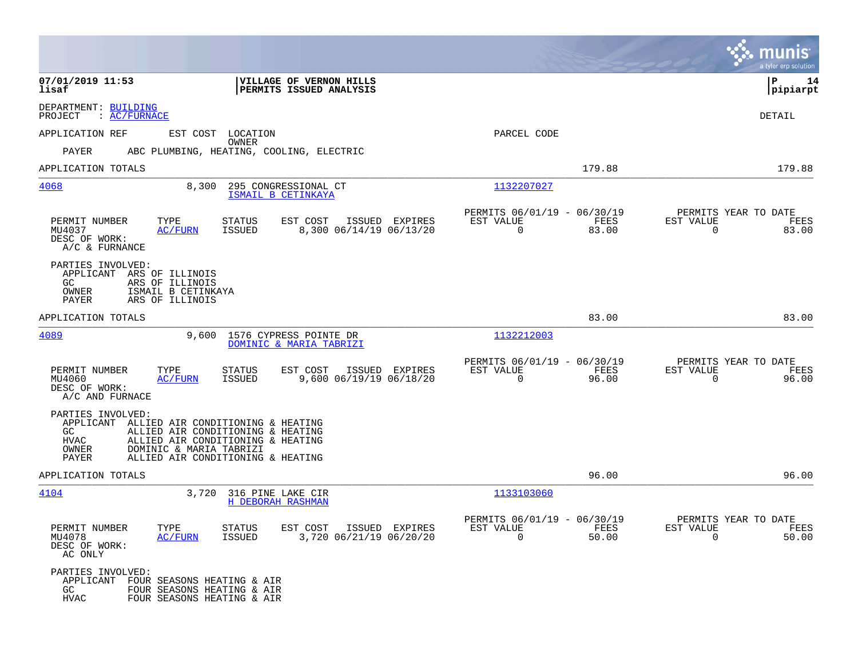|                                                                                                                                                                                                                                                          | munis<br>a tyler erp solution                                                                                                                    |
|----------------------------------------------------------------------------------------------------------------------------------------------------------------------------------------------------------------------------------------------------------|--------------------------------------------------------------------------------------------------------------------------------------------------|
| VILLAGE OF VERNON HILLS<br>07/01/2019 11:53<br>lisaf<br>PERMITS ISSUED ANALYSIS                                                                                                                                                                          | l P<br>14<br> pipiarpt                                                                                                                           |
| DEPARTMENT: BUILDING<br>PROJECT<br>: AC/FURNACE                                                                                                                                                                                                          | DETAIL                                                                                                                                           |
| APPLICATION REF<br>EST COST LOCATION                                                                                                                                                                                                                     | PARCEL CODE                                                                                                                                      |
| OWNER<br>PAYER<br>ABC PLUMBING, HEATING, COOLING, ELECTRIC                                                                                                                                                                                               |                                                                                                                                                  |
| APPLICATION TOTALS                                                                                                                                                                                                                                       | 179.88<br>179.88                                                                                                                                 |
| 8,300<br>4068<br>295 CONGRESSIONAL CT<br>ISMAIL B CETINKAYA                                                                                                                                                                                              | 1132207027                                                                                                                                       |
| PERMIT NUMBER<br>TYPE<br><b>STATUS</b><br>EST COST<br>ISSUED EXPIRES<br><b>AC/FURN</b><br>ISSUED<br>8,300 06/14/19 06/13/20<br>MU4037<br>DESC OF WORK:<br>A/C & FURNANCE                                                                                 | PERMITS 06/01/19 - 06/30/19<br>PERMITS YEAR TO DATE<br>FEES<br>EST VALUE<br>EST VALUE<br>FEES<br>$\mathbf 0$<br>83.00<br>$\mathbf 0$<br>83.00    |
| PARTIES INVOLVED:<br>APPLICANT ARS OF ILLINOIS<br>ARS OF ILLINOIS<br>GC.<br>OWNER<br>ISMAIL B CETINKAYA<br>PAYER<br>ARS OF ILLINOIS                                                                                                                      |                                                                                                                                                  |
| APPLICATION TOTALS                                                                                                                                                                                                                                       | 83.00<br>83.00                                                                                                                                   |
| 4089<br>9,600 1576 CYPRESS POINTE DR<br>DOMINIC & MARIA TABRIZI                                                                                                                                                                                          | 1132212003                                                                                                                                       |
| TYPE<br>EST COST<br>PERMIT NUMBER<br><b>STATUS</b><br>ISSUED EXPIRES<br>MU4060<br><b>AC/FURN</b><br>ISSUED<br>9,600 06/19/19 06/18/20<br>DESC OF WORK:<br>A/C AND FURNACE                                                                                | PERMITS 06/01/19 - 06/30/19<br>PERMITS YEAR TO DATE<br>EST VALUE<br>FEES<br>EST VALUE<br>FEES<br>$\overline{0}$<br>96.00<br>$\mathbf 0$<br>96.00 |
| PARTIES INVOLVED:<br>APPLICANT ALLIED AIR CONDITIONING & HEATING<br>ALLIED AIR CONDITIONING & HEATING<br>GC<br><b>HVAC</b><br>ALLIED AIR CONDITIONING & HEATING<br>OWNER<br>DOMINIC & MARIA TABRIZI<br><b>PAYER</b><br>ALLIED AIR CONDITIONING & HEATING |                                                                                                                                                  |
| APPLICATION TOTALS                                                                                                                                                                                                                                       | 96.00<br>96.00                                                                                                                                   |
| 4104<br>3,720 316 PINE LAKE CIR<br><b>H DEBORAH RASHMAN</b>                                                                                                                                                                                              | 1133103060                                                                                                                                       |
| TYPE<br><b>STATUS</b><br>EST COST<br>ISSUED EXPIRES<br>PERMIT NUMBER<br>MU4078<br><b>AC/FURN</b><br>ISSUED<br>3,720 06/21/19 06/20/20<br>DESC OF WORK:<br>AC ONLY                                                                                        | PERMITS 06/01/19 - 06/30/19<br>PERMITS YEAR TO DATE<br>EST VALUE<br>FEES<br>EST VALUE<br>FEES<br>$\mathbf 0$<br>50.00<br>$\mathbf 0$<br>50.00    |
| PARTIES INVOLVED:<br>APPLICANT FOUR SEASONS HEATING & AIR<br>GC.<br>FOUR SEASONS HEATING & AIR<br><b>HVAC</b><br>FOUR SEASONS HEATING & AIR                                                                                                              |                                                                                                                                                  |

**Contract**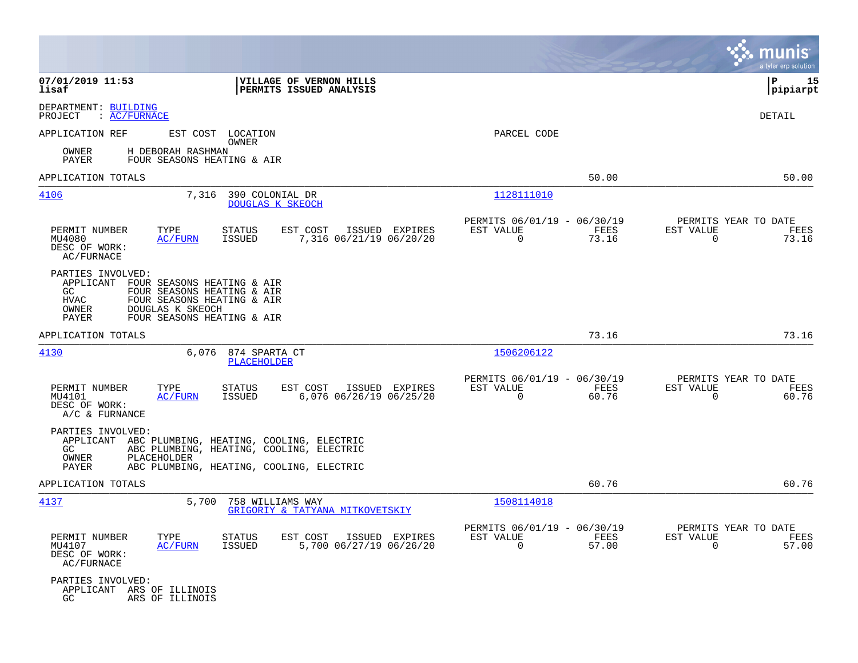|                                                                                                                                                                                                         | munis<br>a tyler erp solution                                                                                                                                      |
|---------------------------------------------------------------------------------------------------------------------------------------------------------------------------------------------------------|--------------------------------------------------------------------------------------------------------------------------------------------------------------------|
| 07/01/2019 11:53<br>VILLAGE OF VERNON HILLS<br>lisaf<br>PERMITS ISSUED ANALYSIS                                                                                                                         | lР<br>15<br> pipiarpt                                                                                                                                              |
| DEPARTMENT: BUILDING<br>PROJECT<br>: AC/FURNACE                                                                                                                                                         | <b>DETAIL</b>                                                                                                                                                      |
| APPLICATION REF<br>EST COST LOCATION<br>OWNER                                                                                                                                                           | PARCEL CODE                                                                                                                                                        |
| OWNER<br>H DEBORAH RASHMAN<br>PAYER<br>FOUR SEASONS HEATING & AIR                                                                                                                                       |                                                                                                                                                                    |
| APPLICATION TOTALS                                                                                                                                                                                      | 50.00<br>50.00                                                                                                                                                     |
| 4106<br>7,316<br>390 COLONIAL DR<br>DOUGLAS K SKEOCH                                                                                                                                                    | 1128111010                                                                                                                                                         |
| PERMIT NUMBER<br>EST COST<br>TYPE<br>STATUS<br>7,316 06/21/19 06/20/20<br>ISSUED<br>MU4080<br>AC/FURN<br>DESC OF WORK:<br>AC/FURNACE                                                                    | PERMITS 06/01/19 - 06/30/19<br>PERMITS YEAR TO DATE<br>EST VALUE<br>FEES<br>EST VALUE<br>ISSUED EXPIRES<br>FEES<br>$\mathbf 0$<br>73.16<br>$\mathbf 0$<br>73.16    |
| PARTIES INVOLVED:<br>APPLICANT FOUR SEASONS HEATING & AIR<br>GC<br>FOUR SEASONS HEATING & AIR<br>FOUR SEASONS HEATING & AIR<br>HVAC<br>DOUGLAS K SKEOCH<br>OWNER<br>FOUR SEASONS HEATING & AIR<br>PAYER |                                                                                                                                                                    |
| APPLICATION TOTALS                                                                                                                                                                                      | 73.16<br>73.16                                                                                                                                                     |
| 4130<br>6,076<br>874 SPARTA CT<br><b>PLACEHOLDER</b>                                                                                                                                                    | 1506206122                                                                                                                                                         |
| PERMIT NUMBER<br>TYPE<br>EST COST<br>STATUS<br>MU4101<br>AC/FURN<br>ISSUED<br>6,076 06/26/19 06/25/20<br>DESC OF WORK:<br>A/C & FURNANCE                                                                | PERMITS 06/01/19 - 06/30/19<br>PERMITS YEAR TO DATE<br>ISSUED EXPIRES<br>EST VALUE<br>FEES<br>EST VALUE<br>FEES<br>$\overline{0}$<br>60.76<br>$\mathbf 0$<br>60.76 |
| PARTIES INVOLVED:<br>APPLICANT ABC PLUMBING, HEATING, COOLING, ELECTRIC<br>ABC PLUMBING, HEATING, COOLING, ELECTRIC<br>GC<br>OWNER<br>PLACEHOLDER<br>PAYER<br>ABC PLUMBING, HEATING, COOLING, ELECTRIC  |                                                                                                                                                                    |
| APPLICATION TOTALS                                                                                                                                                                                      | 60.76<br>60.76                                                                                                                                                     |
| 4137<br>5,700<br>758 WILLIAMS WAY<br>GRIGORIY & TATYANA MITKOVETSKIY                                                                                                                                    | 1508114018                                                                                                                                                         |
| PERMIT NUMBER<br>TYPE<br>STATUS<br>EST COST<br>5,700 06/27/19 06/26/20<br>MU4107<br>AC/FURN<br>ISSUED<br>DESC OF WORK:<br>AC/FURNACE                                                                    | PERMITS 06/01/19 - 06/30/19<br>PERMITS YEAR TO DATE<br>EST VALUE<br>FEES<br>EST VALUE<br>ISSUED EXPIRES<br>FEES<br>$\overline{0}$<br>57.00<br>$\mathbf 0$<br>57.00 |
| PARTIES INVOLVED:<br>APPLICANT ARS OF ILLINOIS<br>GC<br>ARS OF ILLINOIS                                                                                                                                 |                                                                                                                                                                    |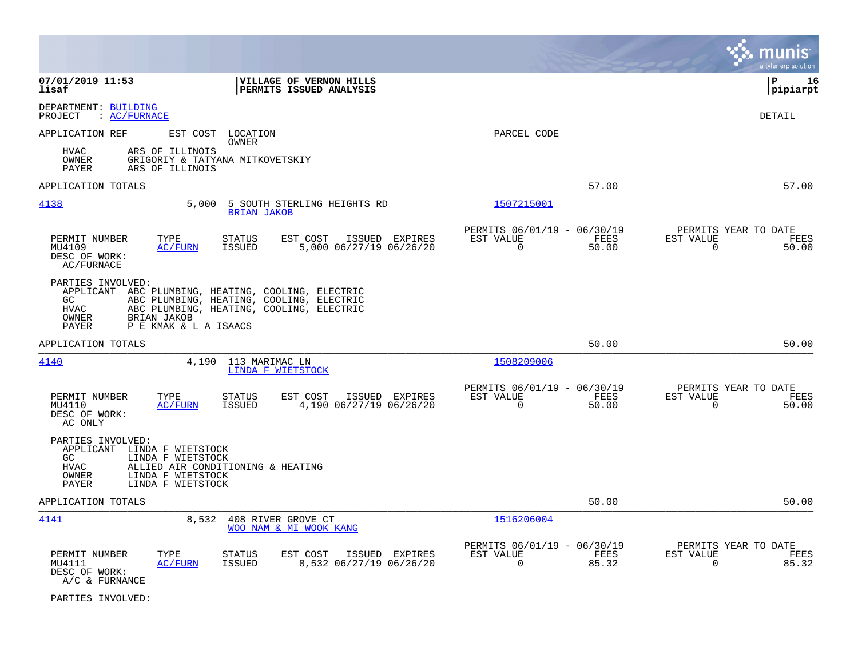|                                                                                                                                                                                                                                                |                                                                          | munis<br>a tyler erp solution                                     |
|------------------------------------------------------------------------------------------------------------------------------------------------------------------------------------------------------------------------------------------------|--------------------------------------------------------------------------|-------------------------------------------------------------------|
| 07/01/2019 11:53<br>VILLAGE OF VERNON HILLS<br>lisaf<br>PERMITS ISSUED ANALYSIS                                                                                                                                                                |                                                                          | l P<br>16<br> pipiarpt                                            |
| DEPARTMENT: BUILDING<br>: AC/FURNACE<br>PROJECT                                                                                                                                                                                                |                                                                          | <b>DETAIL</b>                                                     |
| APPLICATION REF<br>EST COST LOCATION<br>OWNER                                                                                                                                                                                                  | PARCEL CODE                                                              |                                                                   |
| ARS OF ILLINOIS<br>HVAC<br>OWNER<br>GRIGORIY & TATYANA MITKOVETSKIY<br>PAYER<br>ARS OF ILLINOIS                                                                                                                                                |                                                                          |                                                                   |
| APPLICATION TOTALS                                                                                                                                                                                                                             | 57.00                                                                    | 57.00                                                             |
| 4138<br>5,000<br>5 SOUTH STERLING HEIGHTS RD<br><b>BRIAN JAKOB</b>                                                                                                                                                                             | 1507215001                                                               |                                                                   |
| PERMIT NUMBER<br>TYPE<br>STATUS<br>EST COST<br>ISSUED EXPIRES<br>MU4109<br><b>AC/FURN</b><br><b>ISSUED</b><br>5,000 06/27/19 06/26/20<br>DESC OF WORK:<br>AC/FURNACE                                                                           | PERMITS 06/01/19 - 06/30/19<br>EST VALUE<br>FEES<br>0<br>50.00           | PERMITS YEAR TO DATE<br>EST VALUE<br>FEES<br>0<br>50.00           |
| PARTIES INVOLVED:<br>APPLICANT ABC PLUMBING, HEATING, COOLING, ELECTRIC<br>GC<br>ABC PLUMBING, HEATING, COOLING, ELECTRIC<br>ABC PLUMBING, HEATING, COOLING, ELECTRIC<br><b>HVAC</b><br>OWNER<br>BRIAN JAKOB<br>P E KMAK & L A ISAACS<br>PAYER |                                                                          |                                                                   |
| APPLICATION TOTALS                                                                                                                                                                                                                             | 50.00                                                                    | 50.00                                                             |
| 4140<br>4,190<br>113 MARIMAC LN<br>LINDA F WIETSTOCK                                                                                                                                                                                           | 1508209006                                                               |                                                                   |
| ISSUED EXPIRES<br>PERMIT NUMBER<br>TYPE<br>STATUS<br>EST COST<br>4,190 06/27/19 06/26/20<br>MU4110<br>AC/FURN<br><b>ISSUED</b><br>DESC OF WORK:<br>AC ONLY                                                                                     | PERMITS 06/01/19 - 06/30/19<br>EST VALUE<br>FEES<br>$\mathbf 0$<br>50.00 | PERMITS YEAR TO DATE<br>EST VALUE<br>FEES<br>$\mathbf 0$<br>50.00 |
| PARTIES INVOLVED:<br>APPLICANT LINDA F WIETSTOCK<br>GC<br>LINDA F WIETSTOCK<br>HVAC<br>ALLIED AIR CONDITIONING & HEATING<br><b>OWNER</b><br>LINDA F WIETSTOCK<br>PAYER<br>LINDA F WIETSTOCK                                                    |                                                                          |                                                                   |
| APPLICATION TOTALS                                                                                                                                                                                                                             | 50.00                                                                    | 50.00                                                             |
| 4141<br>8,532<br>408 RIVER GROVE CT<br>WOO NAM & MI WOOK KANG                                                                                                                                                                                  | 1516206004                                                               |                                                                   |
| PERMIT NUMBER<br>TYPE<br>EST COST<br>ISSUED EXPIRES<br>STATUS<br>8,532 06/27/19 06/26/20<br>MU4111<br>AC/FURN<br><b>ISSUED</b><br>DESC OF WORK:<br>A/C & FURNANCE                                                                              | PERMITS 06/01/19 - 06/30/19<br>EST VALUE<br>FEES<br>$\Omega$<br>85.32    | PERMITS YEAR TO DATE<br>EST VALUE<br>FEES<br>$\Omega$<br>85.32    |

PARTIES INVOLVED: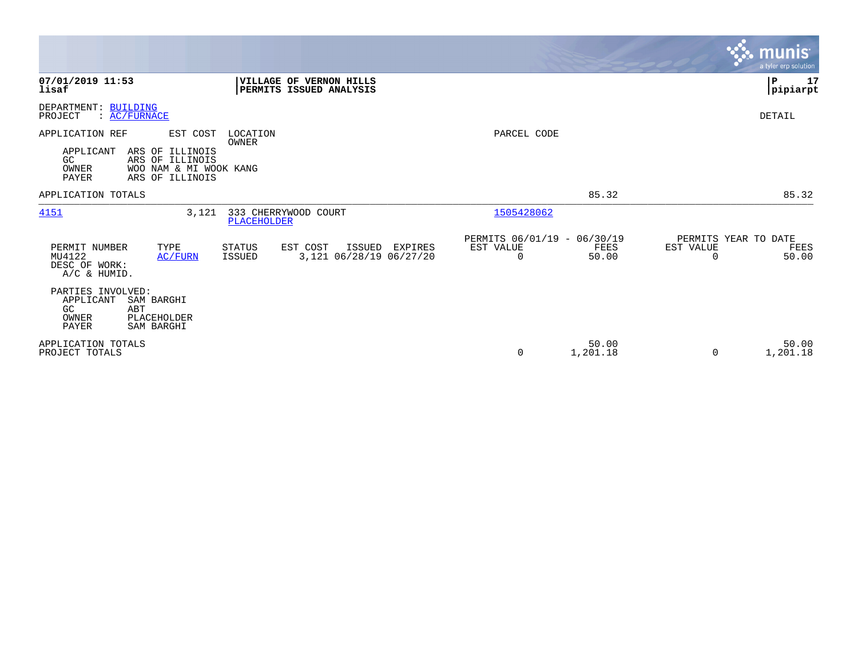|                                                                                                                                                                                 |                                                                | <b>munis</b><br>a tyler erp solution                           |
|---------------------------------------------------------------------------------------------------------------------------------------------------------------------------------|----------------------------------------------------------------|----------------------------------------------------------------|
| 07/01/2019 11:53<br><b>VILLAGE OF VERNON HILLS</b><br>lisaf<br>PERMITS ISSUED ANALYSIS                                                                                          |                                                                | ∣P<br>17<br> pipiarpt                                          |
| DEPARTMENT: BUILDING<br>PROJECT<br>: AC/FURNACE                                                                                                                                 |                                                                | DETAIL                                                         |
| APPLICATION REF<br>EST COST<br>LOCATION<br>OWNER<br>APPLICANT<br>ARS OF ILLINOIS<br>GC<br>ARS OF ILLINOIS<br>OWNER<br>WOO NAM & MI WOOK KANG<br><b>PAYER</b><br>ARS OF ILLINOIS | PARCEL CODE                                                    |                                                                |
| APPLICATION TOTALS                                                                                                                                                              | 85.32                                                          | 85.32                                                          |
| 4151<br>3,121<br>333 CHERRYWOOD COURT<br>PLACEHOLDER                                                                                                                            | 1505428062                                                     |                                                                |
| TYPE<br>EST COST<br>ISSUED<br>PERMIT NUMBER<br><b>STATUS</b><br>EXPIRES<br>MU4122<br>3,121 06/28/19 06/27/20<br><b>ISSUED</b><br>AC/FURN<br>DESC OF WORK:<br>A/C & HUMID.       | PERMITS 06/01/19 - 06/30/19<br>EST VALUE<br>FEES<br>50.00<br>0 | PERMITS YEAR TO DATE<br>EST VALUE<br>FEES<br>50.00<br>$\Omega$ |
| PARTIES INVOLVED:<br>APPLICANT<br>SAM BARGHI<br>GC<br>ABT<br>PLACEHOLDER<br>OWNER<br><b>PAYER</b><br>SAM BARGHI                                                                 |                                                                |                                                                |
| APPLICATION TOTALS<br>PROJECT TOTALS                                                                                                                                            | 50.00<br>0<br>1,201.18                                         | 50.00<br>1,201.18<br>$\Omega$                                  |

 $\mathcal{L}^{\text{max}}$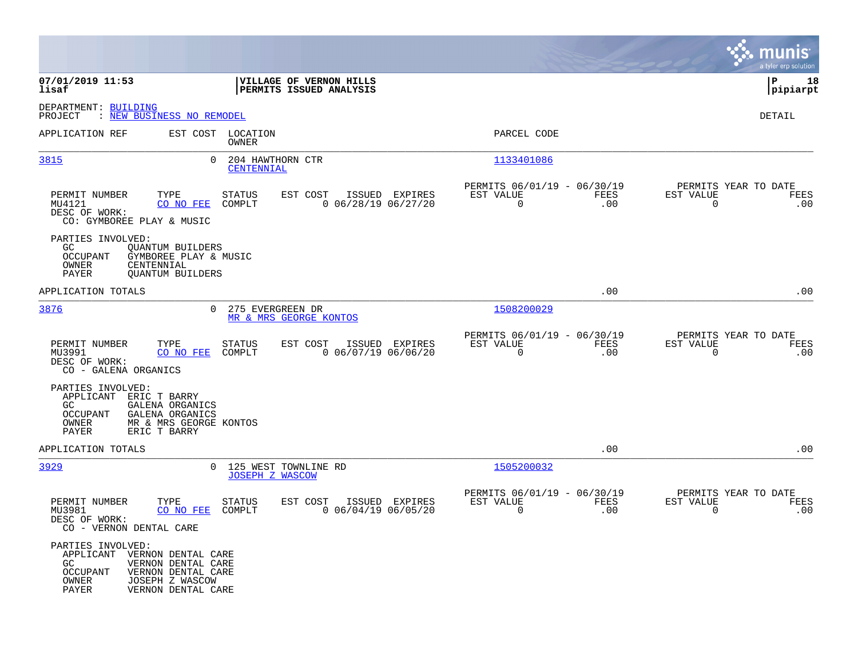|                                                                                                                                                                                      |                                                              |                                                    |                |                                                         |             |                                                  | munis<br>a tyler erp solution |
|--------------------------------------------------------------------------------------------------------------------------------------------------------------------------------------|--------------------------------------------------------------|----------------------------------------------------|----------------|---------------------------------------------------------|-------------|--------------------------------------------------|-------------------------------|
| 07/01/2019 11:53<br>lisaf                                                                                                                                                            |                                                              | VILLAGE OF VERNON HILLS<br>PERMITS ISSUED ANALYSIS |                |                                                         |             |                                                  | l P<br>18<br> pipiarpt        |
| DEPARTMENT: BUILDING<br>: <u>NEW BUSINESS NO REMODEL</u><br>PROJECT                                                                                                                  |                                                              |                                                    |                |                                                         |             |                                                  | <b>DETAIL</b>                 |
| APPLICATION REF                                                                                                                                                                      | EST COST LOCATION<br>OWNER                                   |                                                    |                | PARCEL CODE                                             |             |                                                  |                               |
| <u>3815</u><br>$\mathbf{0}$                                                                                                                                                          | 204 HAWTHORN CTR<br>CENTENNIAL                               |                                                    |                | 1133401086                                              |             |                                                  |                               |
| PERMIT NUMBER<br>TYPE<br>MU4121<br>CO NO FEE<br>DESC OF WORK:<br>CO: GYMBOREE PLAY & MUSIC                                                                                           | <b>STATUS</b><br>EST COST<br>COMPLT                          | ISSUED EXPIRES<br>$0$ 06/28/19 06/27/20            |                | PERMITS 06/01/19 - 06/30/19<br>EST VALUE<br>$\Omega$    | FEES<br>.00 | PERMITS YEAR TO DATE<br>EST VALUE<br>$\mathbf 0$ | FEES<br>.00                   |
| PARTIES INVOLVED:<br>GC<br><b>OUANTUM BUILDERS</b><br><b>OCCUPANT</b><br>GYMBOREE PLAY & MUSIC<br>OWNER<br>CENTENNIAL<br>PAYER<br><b>OUANTUM BUILDERS</b>                            |                                                              |                                                    |                |                                                         |             |                                                  |                               |
| APPLICATION TOTALS                                                                                                                                                                   |                                                              |                                                    |                |                                                         | .00         |                                                  | .00                           |
| 3876                                                                                                                                                                                 | 275 EVERGREEN DR<br>$\overline{0}$<br>MR & MRS GEORGE KONTOS |                                                    |                | 1508200029                                              |             |                                                  |                               |
| TYPE<br>PERMIT NUMBER<br>MU3991<br>CO NO FEE<br>DESC OF WORK:<br>CO - GALENA ORGANICS                                                                                                | EST COST<br>STATUS<br>COMPLT                                 | ISSUED EXPIRES<br>$0$ 06/07/19 06/06/20            |                | PERMITS 06/01/19 - 06/30/19<br>EST VALUE<br>$\mathbf 0$ | FEES<br>.00 | PERMITS YEAR TO DATE<br>EST VALUE<br>$\mathbf 0$ | FEES<br>.00                   |
| PARTIES INVOLVED:<br>APPLICANT<br>ERIC T BARRY<br>GALENA ORGANICS<br>GC<br>OCCUPANT<br>GALENA ORGANICS<br>OWNER<br>MR & MRS GEORGE KONTOS<br>PAYER<br>ERIC T BARRY                   |                                                              |                                                    |                |                                                         |             |                                                  |                               |
| APPLICATION TOTALS                                                                                                                                                                   |                                                              |                                                    |                |                                                         | .00         |                                                  | .00                           |
| 3929                                                                                                                                                                                 | 0 125 WEST TOWNLINE RD<br><b>JOSEPH Z WASCOW</b>             |                                                    |                | 1505200032                                              |             |                                                  |                               |
| PERMIT NUMBER<br>TYPE<br>MU3981<br>CO NO FEE<br>DESC OF WORK:<br>CO - VERNON DENTAL CARE                                                                                             | STATUS<br>EST COST<br>COMPLT                                 | $0$ 06/04/19 06/05/20                              | ISSUED EXPIRES | PERMITS 06/01/19 - 06/30/19<br>EST VALUE<br>$\Omega$    | FEES<br>.00 | PERMITS YEAR TO DATE<br>EST VALUE<br>$\Omega$    | FEES<br>.00                   |
| PARTIES INVOLVED:<br>APPLICANT<br>VERNON DENTAL CARE<br>GC<br>VERNON DENTAL CARE<br>OCCUPANT<br>VERNON DENTAL CARE<br>OWNER<br>JOSEPH Z WASCOW<br><b>PAYER</b><br>VERNON DENTAL CARE |                                                              |                                                    |                |                                                         |             |                                                  |                               |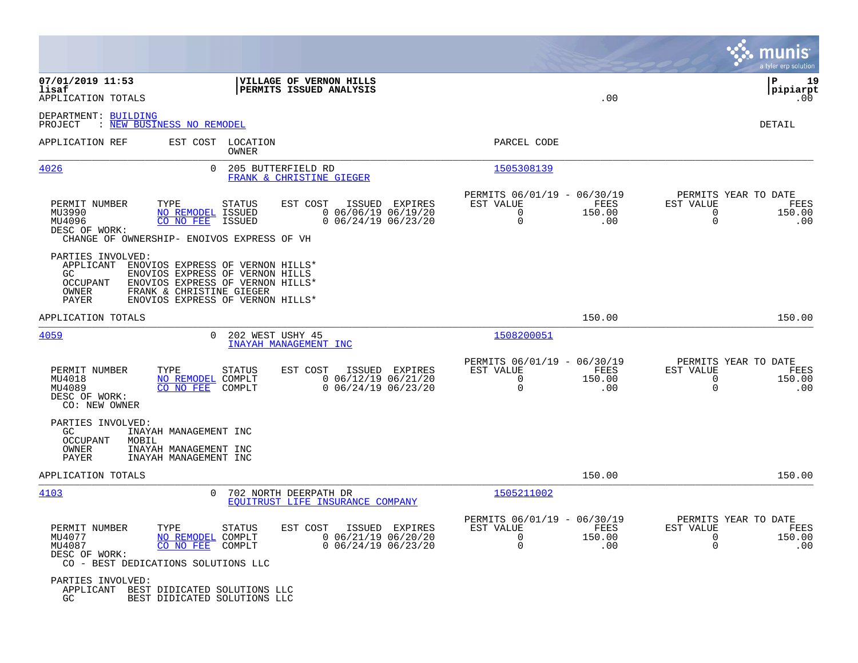|                                                                                                                                                                                                                                                              | munis                                                                                                                                                        | a tyler erp solution   |
|--------------------------------------------------------------------------------------------------------------------------------------------------------------------------------------------------------------------------------------------------------------|--------------------------------------------------------------------------------------------------------------------------------------------------------------|------------------------|
| 07/01/2019 11:53<br>VILLAGE OF VERNON HILLS<br>PERMITS ISSUED ANALYSIS<br>lisaf<br>APPLICATION TOTALS                                                                                                                                                        | l P<br>.00                                                                                                                                                   | 19<br> pipiarpt<br>.00 |
| DEPARTMENT: BUILDING<br>: NEW BUSINESS NO REMODEL<br>PROJECT                                                                                                                                                                                                 | DETAIL                                                                                                                                                       |                        |
| APPLICATION REF<br>EST COST LOCATION<br>OWNER                                                                                                                                                                                                                | PARCEL CODE                                                                                                                                                  |                        |
| 4026<br>205 BUTTERFIELD RD<br>$\mathbf{0}$<br>FRANK & CHRISTINE GIEGER                                                                                                                                                                                       | 1505308139                                                                                                                                                   |                        |
| EST COST<br>ISSUED EXPIRES<br>PERMIT NUMBER<br>TYPE<br>STATUS<br>$0$ 06/06/19 06/19/20<br>MU3990<br>NO REMODEL ISSUED<br>MU4096<br>CO NO FEE<br>$0$ 06/24/19 06/23/20<br>ISSUED<br>DESC OF WORK:<br>CHANGE OF OWNERSHIP- ENOIVOS EXPRESS OF VH               | PERMITS 06/01/19 - 06/30/19<br>PERMITS YEAR TO DATE<br>EST VALUE<br>FEES<br>EST VALUE<br>$\Omega$<br>150.00<br>$\Omega$<br>$\mathbf 0$<br>$\mathbf 0$<br>.00 | FEES<br>150.00<br>.00  |
| PARTIES INVOLVED:<br>APPLICANT<br>ENOVIOS EXPRESS OF VERNON HILLS*<br>ENOVIOS EXPRESS OF VERNON HILLS<br>GC.<br><b>OCCUPANT</b><br>ENOVIOS EXPRESS OF VERNON HILLS*<br>OWNER<br>FRANK & CHRISTINE GIEGER<br>ENOVIOS EXPRESS OF VERNON HILLS*<br><b>PAYER</b> |                                                                                                                                                              |                        |
| APPLICATION TOTALS                                                                                                                                                                                                                                           | 150.00                                                                                                                                                       | 150.00                 |
| 4059<br>202 WEST USHY 45<br>$\Omega$<br>INAYAH MANAGEMENT INC                                                                                                                                                                                                | 1508200051                                                                                                                                                   |                        |
| PERMIT NUMBER<br>TYPE<br><b>STATUS</b><br>EST COST<br>ISSUED EXPIRES<br>$0$ 06/12/19 06/21/20<br>MU4018<br>NO REMODEL COMPLT<br>$0$ 06/24/19 06/23/20<br>MU4089<br>CO NO FEE<br>COMPLT<br>DESC OF WORK:<br>CO: NEW OWNER                                     | PERMITS 06/01/19 - 06/30/19<br>PERMITS YEAR TO DATE<br>EST VALUE<br>FEES<br>EST VALUE<br>$\mathbf 0$<br>$\mathbf 0$<br>150.00<br>0<br>$\mathbf 0$<br>.00     | FEES<br>150.00<br>.00  |
| PARTIES INVOLVED:<br>GC.<br>INAYAH MANAGEMENT INC<br>OCCUPANT<br>MOBIL<br>OWNER<br>INAYAH MANAGEMENT INC<br><b>PAYER</b><br>INAYAH MANAGEMENT INC                                                                                                            |                                                                                                                                                              |                        |
| APPLICATION TOTALS                                                                                                                                                                                                                                           | 150.00                                                                                                                                                       | 150.00                 |
| 4103<br>$\Omega$<br>702 NORTH DEERPATH DR<br>EQUITRUST LIFE INSURANCE COMPANY                                                                                                                                                                                | 1505211002                                                                                                                                                   |                        |
| PERMIT NUMBER<br>TYPE<br>STATUS<br>EST COST<br>ISSUED EXPIRES<br>$0$ 06/21/19 06/20/20<br>MU4077<br>NO REMODEL COMPLT<br>CO NO FEE<br>$0$ 06/24/19 06/23/20<br>MU4087<br>COMPLT<br>DESC OF WORK:<br>CO - BEST DEDICATIONS SOLUTIONS LLC                      | PERMITS 06/01/19 - 06/30/19<br>PERMITS YEAR TO DATE<br>EST VALUE<br>FEES<br>EST VALUE<br>$\Omega$<br>150.00<br>$\Omega$<br>$\mathbf 0$<br>0<br>.00           | FEES<br>150.00<br>.00  |
| PARTIES INVOLVED:<br>APPLICANT BEST DIDICATED SOLUTIONS LLC<br>GC<br>BEST DIDICATED SOLUTIONS LLC                                                                                                                                                            |                                                                                                                                                              |                        |

 $\mathcal{L}^{\text{max}}$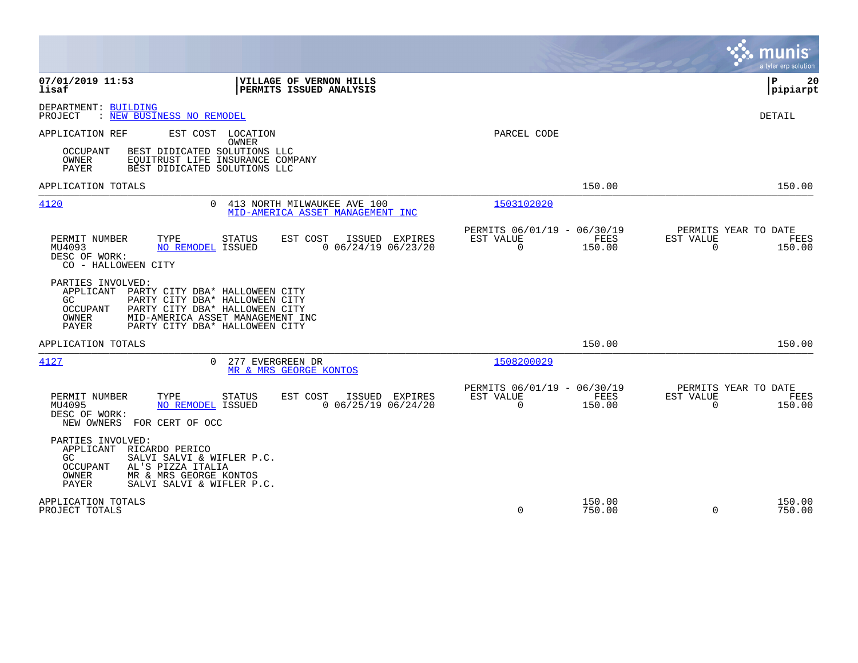|                                                                                                                                                                                                                                                 | munis<br>a tyler erp solution                                                                                                                |
|-------------------------------------------------------------------------------------------------------------------------------------------------------------------------------------------------------------------------------------------------|----------------------------------------------------------------------------------------------------------------------------------------------|
| 07/01/2019 11:53<br>VILLAGE OF VERNON HILLS<br>lisaf<br>PERMITS ISSUED ANALYSIS                                                                                                                                                                 | l P<br>20<br> pipiarpt                                                                                                                       |
| DEPARTMENT: BUILDING<br>: NEW BUSINESS NO REMODEL<br>PROJECT                                                                                                                                                                                    | <b>DETAIL</b>                                                                                                                                |
| APPLICATION REF<br>EST COST LOCATION<br>OWNER<br>OCCUPANT<br>BEST DIDICATED SOLUTIONS LLC<br><b>OWNER</b><br>EQUITRUST LIFE INSURANCE COMPANY<br>BEST DIDICATED SOLUTIONS LLC<br>PAYER                                                          | PARCEL CODE                                                                                                                                  |
| APPLICATION TOTALS                                                                                                                                                                                                                              | 150.00<br>150.00                                                                                                                             |
| 4120<br>$\Omega$<br>413 NORTH MILWAUKEE AVE 100<br>MID-AMERICA ASSET MANAGEMENT INC                                                                                                                                                             | 1503102020                                                                                                                                   |
| PERMIT NUMBER<br>TYPE<br>STATUS<br>EST COST<br>ISSUED EXPIRES<br>MU4093<br>NO REMODEL ISSUED<br>$0$ 06/24/19 06/23/20<br>DESC OF WORK:<br>CO - HALLOWEEN CITY                                                                                   | PERMITS 06/01/19 - 06/30/19<br>PERMITS YEAR TO DATE<br>FEES<br>EST VALUE<br>EST VALUE<br>FEES<br>$\Omega$<br>$\Omega$<br>150.00<br>150.00    |
| PARTIES INVOLVED:<br>APPLICANT<br>PARTY CITY DBA* HALLOWEEN CITY<br>PARTY CITY DBA* HALLOWEEN CITY<br>GC.<br>OCCUPANT<br>PARTY CITY DBA* HALLOWEEN CITY<br>OWNER<br>MID-AMERICA ASSET MANAGEMENT INC<br>PAYER<br>PARTY CITY DBA* HALLOWEEN CITY |                                                                                                                                              |
| APPLICATION TOTALS                                                                                                                                                                                                                              | 150.00<br>150.00                                                                                                                             |
| 4127<br>277 EVERGREEN DR<br>$\Omega$<br>MR & MRS GEORGE KONTOS                                                                                                                                                                                  | 1508200029                                                                                                                                   |
| PERMIT NUMBER<br>TYPE<br>STATUS<br>EST COST<br>ISSUED EXPIRES<br>MU4095<br>NO REMODEL ISSUED<br>$0$ 06/25/19 06/24/20<br>DESC OF WORK:<br>NEW OWNERS<br>FOR CERT OF OCC                                                                         | PERMITS 06/01/19 - 06/30/19<br>PERMITS YEAR TO DATE<br>FEES<br>EST VALUE<br>EST VALUE<br>FEES<br>$\mathbf 0$<br>150.00<br>$\Omega$<br>150.00 |
| PARTIES INVOLVED:<br>APPLICANT<br>RICARDO PERICO<br>GC.<br>SALVI SALVI & WIFLER P.C.<br><b>OCCUPANT</b><br>AL'S PIZZA ITALIA<br>MR & MRS GEORGE KONTOS<br>OWNER<br>PAYER<br>SALVI SALVI & WIFLER P.C.                                           |                                                                                                                                              |
| APPLICATION TOTALS<br>PROJECT TOTALS                                                                                                                                                                                                            | 150.00<br>150.00<br>$\mathbf 0$<br>750.00<br>$\Omega$<br>750.00                                                                              |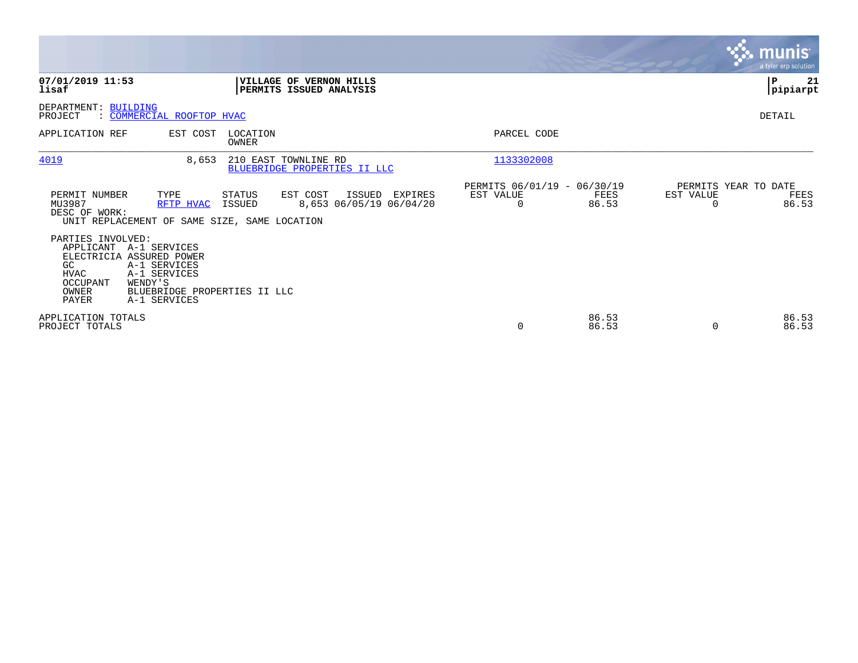|                                                                                                       |                                                                                                                     |                         |                                                      |         |                                                      |                |                | $\mathbf{\mathcal{C}}$ . munis<br>a tyler erp solution |
|-------------------------------------------------------------------------------------------------------|---------------------------------------------------------------------------------------------------------------------|-------------------------|------------------------------------------------------|---------|------------------------------------------------------|----------------|----------------|--------------------------------------------------------|
| 07/01/2019 11:53<br>lisaf                                                                             |                                                                                                                     |                         | VILLAGE OF VERNON HILLS<br>PERMITS ISSUED ANALYSIS   |         |                                                      |                |                | $\mathbf{P}$<br>21<br> pipiarpt                        |
| DEPARTMENT: BUILDING<br>PROJECT                                                                       | : COMMERCIAL ROOFTOP HVAC                                                                                           |                         |                                                      |         |                                                      |                |                | DETAIL                                                 |
| APPLICATION REF                                                                                       | EST COST                                                                                                            | LOCATION<br>OWNER       |                                                      |         | PARCEL CODE                                          |                |                |                                                        |
| 4019                                                                                                  | 8,653                                                                                                               |                         | 210 EAST TOWNLINE RD<br>BLUEBRIDGE PROPERTIES II LLC |         | 1133302008                                           |                |                |                                                        |
| PERMIT NUMBER<br>MU3987<br>DESC OF WORK:                                                              | TYPE<br>RFTP HVAC<br>UNIT REPLACEMENT OF SAME SIZE, SAME LOCATION                                                   | <b>STATUS</b><br>ISSUED | EST COST<br>ISSUED<br>8,653 06/05/19 06/04/20        | EXPIRES | PERMITS 06/01/19 - 06/30/19<br>EST VALUE<br>$\Omega$ | FEES<br>86.53  | EST VALUE<br>∩ | PERMITS YEAR TO DATE<br>FEES<br>86.53                  |
| PARTIES INVOLVED:<br>APPLICANT A-1 SERVICES<br>GC<br><b>HVAC</b><br>OCCUPANT<br>OWNER<br><b>PAYER</b> | ELECTRICIA ASSURED POWER<br>A-1 SERVICES<br>A-1 SERVICES<br>WENDY'S<br>BLUEBRIDGE PROPERTIES II LLC<br>A-1 SERVICES |                         |                                                      |         |                                                      |                |                |                                                        |
| APPLICATION TOTALS<br>PROJECT TOTALS                                                                  |                                                                                                                     |                         |                                                      |         | 0                                                    | 86.53<br>86.53 | $\Omega$       | 86.53<br>86.53                                         |

the property of the control of

and the contract of the contract of the contract of the contract of the contract of the contract of the contract of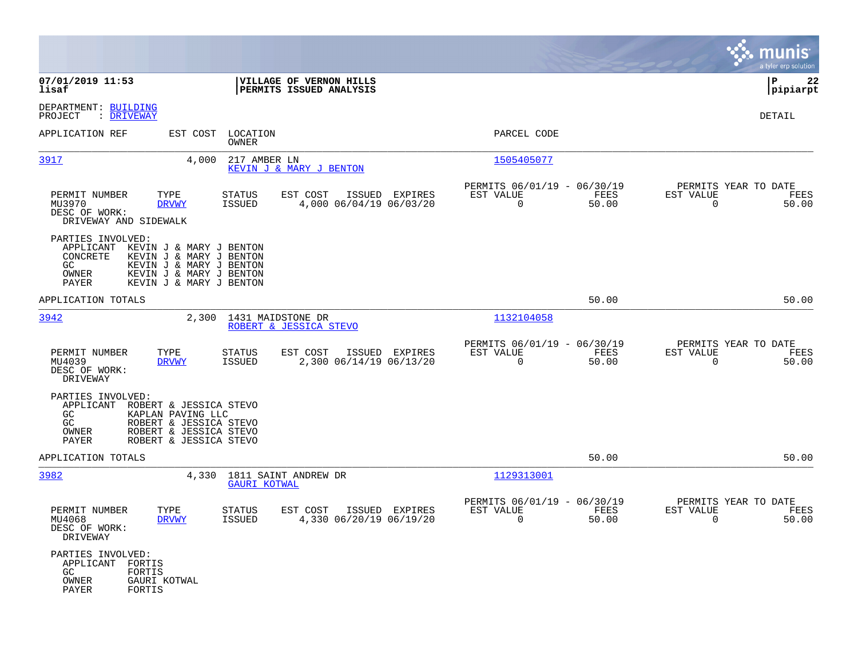|                                                                                                                                                                                                            |                                                                                         |                                                                       | munis<br>a tyler erp solution                                  |
|------------------------------------------------------------------------------------------------------------------------------------------------------------------------------------------------------------|-----------------------------------------------------------------------------------------|-----------------------------------------------------------------------|----------------------------------------------------------------|
| 07/01/2019 11:53<br>lisaf                                                                                                                                                                                  | VILLAGE OF VERNON HILLS<br>PERMITS ISSUED ANALYSIS                                      |                                                                       | 22<br>l P<br>pipiarpt                                          |
| DEPARTMENT: BUILDING<br>: DRIVEWAY<br>PROJECT                                                                                                                                                              |                                                                                         |                                                                       | <b>DETAIL</b>                                                  |
| APPLICATION REF                                                                                                                                                                                            | EST COST LOCATION<br><b>OWNER</b>                                                       | PARCEL CODE                                                           |                                                                |
| 3917<br>4,000                                                                                                                                                                                              | 217 AMBER LN<br>KEVIN J & MARY J BENTON                                                 | 1505405077                                                            |                                                                |
| PERMIT NUMBER<br>TYPE<br>MU3970<br><b>DRVWY</b><br>DESC OF WORK:<br>DRIVEWAY AND SIDEWALK                                                                                                                  | EST COST<br>ISSUED EXPIRES<br><b>STATUS</b><br><b>ISSUED</b><br>4,000 06/04/19 06/03/20 | PERMITS 06/01/19 - 06/30/19<br>EST VALUE<br>FEES<br>$\Omega$<br>50.00 | PERMITS YEAR TO DATE<br>EST VALUE<br>FEES<br>$\Omega$<br>50.00 |
| PARTIES INVOLVED:<br>APPLICANT<br>KEVIN J & MARY J BENTON<br>CONCRETE<br>KEVIN J & MARY J BENTON<br>GC.<br>KEVIN J & MARY J BENTON<br>OWNER<br>KEVIN J & MARY J BENTON<br>KEVIN J & MARY J BENTON<br>PAYER |                                                                                         |                                                                       |                                                                |
| APPLICATION TOTALS                                                                                                                                                                                         |                                                                                         | 50.00                                                                 | 50.00                                                          |
| 3942<br>2,300                                                                                                                                                                                              | 1431 MAIDSTONE DR<br>ROBERT & JESSICA STEVO                                             | 1132104058                                                            |                                                                |
| PERMIT NUMBER<br>TYPE<br>MU4039<br><b>DRVWY</b><br>DESC OF WORK:<br>DRIVEWAY                                                                                                                               | EST COST<br>ISSUED EXPIRES<br><b>STATUS</b><br><b>ISSUED</b><br>2,300 06/14/19 06/13/20 | PERMITS 06/01/19 - 06/30/19<br>EST VALUE<br>FEES<br>$\Omega$<br>50.00 | PERMITS YEAR TO DATE<br>EST VALUE<br>FEES<br>$\Omega$<br>50.00 |
| PARTIES INVOLVED:<br>APPLICANT<br>ROBERT & JESSICA STEVO<br>GC<br>KAPLAN PAVING LLC<br>GC<br>ROBERT & JESSICA STEVO<br>OWNER<br>ROBERT & JESSICA STEVO<br>PAYER<br>ROBERT & JESSICA STEVO                  |                                                                                         |                                                                       |                                                                |
| APPLICATION TOTALS                                                                                                                                                                                         |                                                                                         | 50.00                                                                 | 50.00                                                          |
| 3982<br>4,330                                                                                                                                                                                              | 1811 SAINT ANDREW DR<br><b>GAURI KOTWAL</b>                                             | 1129313001                                                            |                                                                |
| PERMIT NUMBER<br>TYPE<br><b>DRVWY</b><br>MU4068<br>DESC OF WORK:<br>DRIVEWAY                                                                                                                               | EST COST<br>ISSUED EXPIRES<br>STATUS<br><b>ISSUED</b><br>4,330 06/20/19 06/19/20        | PERMITS 06/01/19 - 06/30/19<br>EST VALUE<br>FEES<br>0<br>50.00        | PERMITS YEAR TO DATE<br>EST VALUE<br>FEES<br>50.00<br>0        |
| PARTIES INVOLVED:<br>APPLICANT FORTIS<br>GC<br>FORTIS<br>OWNER<br>GAURI KOTWAL<br>PAYER<br>FORTIS                                                                                                          |                                                                                         |                                                                       |                                                                |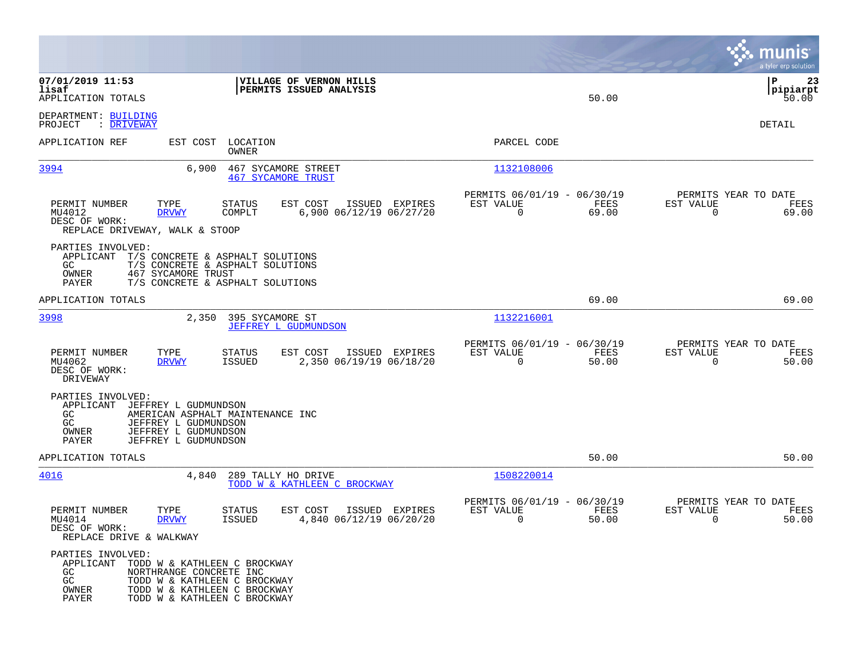|                                                                                                                                                                                                                          |                                                                                                          |                                                                          | munis<br>a tyler erp solution                                     |
|--------------------------------------------------------------------------------------------------------------------------------------------------------------------------------------------------------------------------|----------------------------------------------------------------------------------------------------------|--------------------------------------------------------------------------|-------------------------------------------------------------------|
| 07/01/2019 11:53<br>lisaf<br>APPLICATION TOTALS                                                                                                                                                                          | VILLAGE OF VERNON HILLS<br>PERMITS ISSUED ANALYSIS                                                       | 50.00                                                                    | ΙP<br>23<br> pipiarpt<br>50.00                                    |
| DEPARTMENT: BUILDING<br>: DRIVEWAY<br>PROJECT                                                                                                                                                                            |                                                                                                          |                                                                          | DETAIL                                                            |
| APPLICATION REF                                                                                                                                                                                                          | EST COST LOCATION<br>OWNER                                                                               | PARCEL CODE                                                              |                                                                   |
| 3994<br>6,900                                                                                                                                                                                                            | 467 SYCAMORE STREET<br><b>467 SYCAMORE TRUST</b>                                                         | 1132108006                                                               |                                                                   |
| PERMIT NUMBER<br>TYPE<br>MU4012<br><b>DRVWY</b><br>DESC OF WORK:<br>REPLACE DRIVEWAY, WALK & STOOP                                                                                                                       | STATUS<br>EST COST<br>ISSUED EXPIRES<br>COMPLT<br>6,900 06/12/19 06/27/20                                | PERMITS 06/01/19 - 06/30/19<br>EST VALUE<br>FEES<br>$\mathbf 0$<br>69.00 | PERMITS YEAR TO DATE<br>EST VALUE<br>FEES<br>$\mathbf 0$<br>69.00 |
| PARTIES INVOLVED:<br>APPLICANT<br>GC.<br>OWNER<br>467 SYCAMORE TRUST<br>PAYER                                                                                                                                            | T/S CONCRETE & ASPHALT SOLUTIONS<br>T/S CONCRETE & ASPHALT SOLUTIONS<br>T/S CONCRETE & ASPHALT SOLUTIONS |                                                                          |                                                                   |
| APPLICATION TOTALS                                                                                                                                                                                                       |                                                                                                          | 69.00                                                                    | 69.00                                                             |
| 3998<br>2,350                                                                                                                                                                                                            | 395 SYCAMORE ST<br><b>JEFFREY L GUDMUNDSON</b>                                                           | 1132216001                                                               |                                                                   |
| PERMIT NUMBER<br>TYPE<br>MU4062<br><b>DRVWY</b><br>DESC OF WORK:<br>DRIVEWAY                                                                                                                                             | STATUS<br>ISSUED EXPIRES<br>EST COST<br><b>ISSUED</b><br>2,350 06/19/19 06/18/20                         | PERMITS 06/01/19 - 06/30/19<br>EST VALUE<br>FEES<br>$\mathbf 0$<br>50.00 | PERMITS YEAR TO DATE<br>EST VALUE<br>FEES<br>$\mathbf 0$<br>50.00 |
| PARTIES INVOLVED:<br>APPLICANT<br>JEFFREY L GUDMUNDSON<br>GC.<br>GC<br>JEFFREY L GUDMUNDSON<br>JEFFREY L GUDMUNDSON<br>OWNER<br>PAYER<br>JEFFREY L GUDMUNDSON                                                            | AMERICAN ASPHALT MAINTENANCE INC                                                                         |                                                                          |                                                                   |
| APPLICATION TOTALS                                                                                                                                                                                                       |                                                                                                          | 50.00                                                                    | 50.00                                                             |
| 4016<br>4,840                                                                                                                                                                                                            | 289 TALLY HO DRIVE<br>TODD W & KATHLEEN C BROCKWAY                                                       | 1508220014                                                               |                                                                   |
| PERMIT NUMBER<br>TYPE<br>MU4014<br><b>DRVWY</b><br>DESC OF WORK:<br>REPLACE DRIVE & WALKWAY                                                                                                                              | STATUS<br>EST COST<br>ISSUED EXPIRES<br><b>ISSUED</b><br>4,840 06/12/19 06/20/20                         | PERMITS 06/01/19 - 06/30/19<br>EST VALUE<br>FEES<br>0<br>50.00           | PERMITS YEAR TO DATE<br>EST VALUE<br>FEES<br>0<br>50.00           |
| PARTIES INVOLVED:<br>APPLICANT<br>TODD W & KATHLEEN C BROCKWAY<br>NORTHRANGE CONCRETE INC<br>GC.<br>GC<br>TODD W & KATHLEEN C BROCKWAY<br>TODD W & KATHLEEN C BROCKWAY<br>OWNER<br>PAYER<br>TODD W & KATHLEEN C BROCKWAY |                                                                                                          |                                                                          |                                                                   |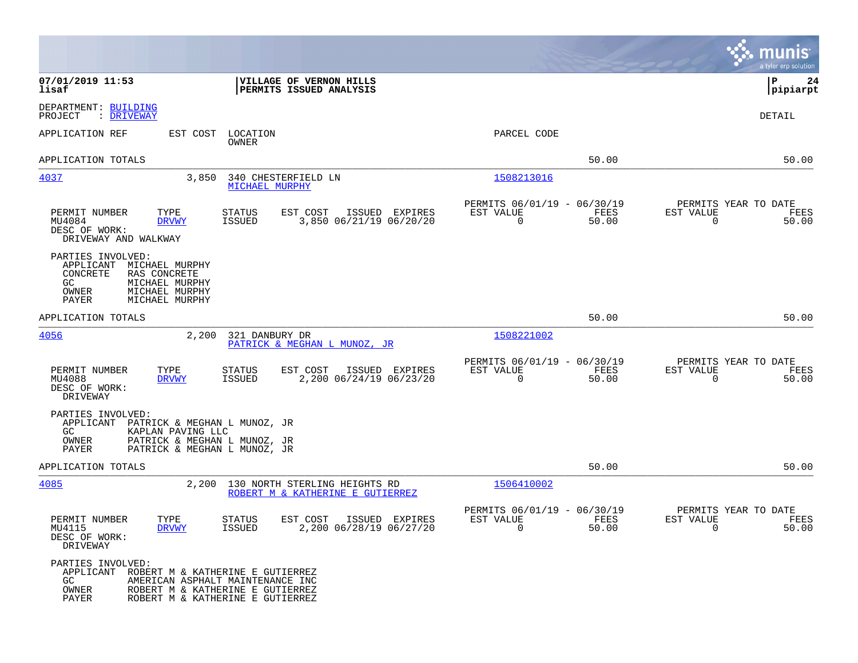|                                                                                                                                                                                                         |                                                                                         |                                                                          | munis<br>a tyler erp solution                                     |
|---------------------------------------------------------------------------------------------------------------------------------------------------------------------------------------------------------|-----------------------------------------------------------------------------------------|--------------------------------------------------------------------------|-------------------------------------------------------------------|
| 07/01/2019 11:53<br>lisaf                                                                                                                                                                               | VILLAGE OF VERNON HILLS<br>PERMITS ISSUED ANALYSIS                                      |                                                                          | l P<br>24<br> pipiarpt                                            |
| DEPARTMENT: BUILDING<br>: DRIVEWAY<br>PROJECT                                                                                                                                                           |                                                                                         |                                                                          | DETAIL                                                            |
| APPLICATION REF<br>EST COST                                                                                                                                                                             | LOCATION<br>OWNER                                                                       | PARCEL CODE                                                              |                                                                   |
| APPLICATION TOTALS                                                                                                                                                                                      |                                                                                         | 50.00                                                                    | 50.00                                                             |
| 4037<br>3,850                                                                                                                                                                                           | 340 CHESTERFIELD LN<br>MICHAEL MURPHY                                                   | 1508213016                                                               |                                                                   |
| PERMIT NUMBER<br>TYPE<br>MU4084<br><b>DRVWY</b><br>DESC OF WORK:<br>DRIVEWAY AND WALKWAY                                                                                                                | STATUS<br>EST COST<br>ISSUED EXPIRES<br>ISSUED<br>3,850 06/21/19 06/20/20               | PERMITS 06/01/19 - 06/30/19<br>EST VALUE<br>FEES<br>$\mathbf 0$<br>50.00 | PERMITS YEAR TO DATE<br>EST VALUE<br>FEES<br>$\mathbf 0$<br>50.00 |
| PARTIES INVOLVED:<br>APPLICANT<br>MICHAEL MURPHY<br>CONCRETE<br>RAS CONCRETE<br>MICHAEL MURPHY<br>GC.<br><b>OWNER</b><br>MICHAEL MURPHY<br>PAYER<br>MICHAEL MURPHY                                      |                                                                                         |                                                                          |                                                                   |
| APPLICATION TOTALS                                                                                                                                                                                      |                                                                                         | 50.00                                                                    | 50.00                                                             |
| 4056<br>2,200                                                                                                                                                                                           | 321 DANBURY DR<br>PATRICK & MEGHAN L MUNOZ, JR                                          | 1508221002                                                               |                                                                   |
| TYPE<br>PERMIT NUMBER<br>MU4088<br><b>DRVWY</b><br>DESC OF WORK:<br>DRIVEWAY                                                                                                                            | <b>STATUS</b><br>EST COST<br>ISSUED EXPIRES<br><b>ISSUED</b><br>2,200 06/24/19 06/23/20 | PERMITS 06/01/19 - 06/30/19<br>EST VALUE<br>FEES<br>$\mathbf 0$<br>50.00 | PERMITS YEAR TO DATE<br>EST VALUE<br>FEES<br>0<br>50.00           |
| PARTIES INVOLVED:<br>APPLICANT<br>PATRICK & MEGHAN L MUNOZ, JR<br>GC.<br>KAPLAN PAVING LLC<br>OWNER<br>PATRICK & MEGHAN L MUNOZ, JR<br>PATRICK & MEGHAN L MUNOZ, JR<br>PAYER                            |                                                                                         |                                                                          |                                                                   |
| APPLICATION TOTALS                                                                                                                                                                                      |                                                                                         | 50.00                                                                    | 50.00                                                             |
| 4085<br>2,200                                                                                                                                                                                           | 130 NORTH STERLING HEIGHTS RD<br>ROBERT M & KATHERINE E GUTIERREZ                       | 1506410002                                                               |                                                                   |
| PERMIT NUMBER<br>TYPE<br>MU4115<br><b>DRVWY</b><br>DESC OF WORK:<br>DRIVEWAY                                                                                                                            | STATUS<br>EST COST<br>ISSUED EXPIRES<br><b>ISSUED</b><br>2,200 06/28/19 06/27/20        | PERMITS 06/01/19 - 06/30/19<br>EST VALUE<br>FEES<br>$\Omega$<br>50.00    | PERMITS YEAR TO DATE<br>EST VALUE<br>FEES<br>$\mathbf 0$<br>50.00 |
| PARTIES INVOLVED:<br>APPLICANT<br>ROBERT M & KATHERINE E GUTIERREZ<br>GC.<br>AMERICAN ASPHALT MAINTENANCE INC<br>OWNER<br>ROBERT M & KATHERINE E GUTIERREZ<br>PAYER<br>ROBERT M & KATHERINE E GUTIERREZ |                                                                                         |                                                                          |                                                                   |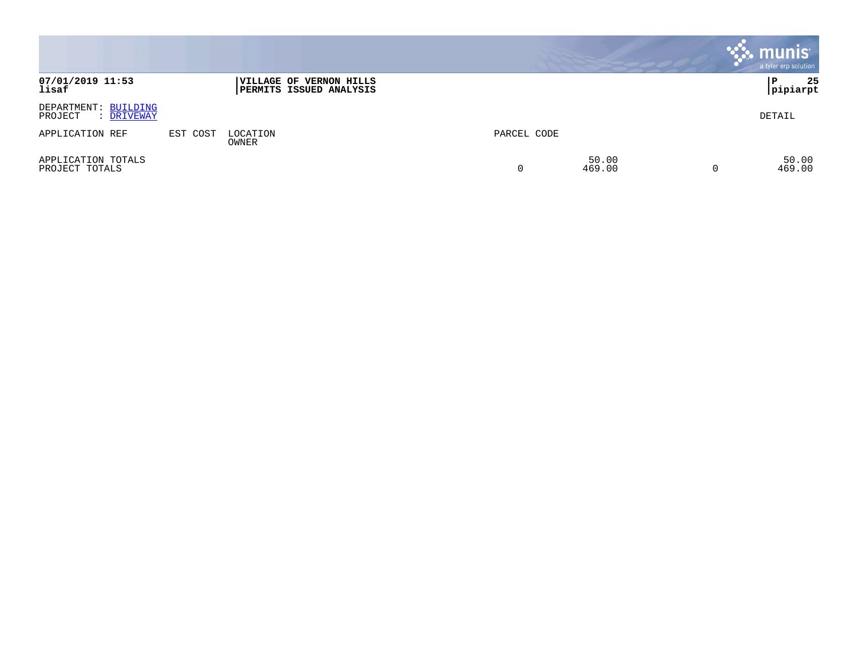|                                               |          |                                                           |             |                 | munis<br>a tyler erp solution |
|-----------------------------------------------|----------|-----------------------------------------------------------|-------------|-----------------|-------------------------------|
| 07/01/2019 11:53<br>lisaf                     |          | VILLAGE OF VERNON HILLS<br><b>PERMITS ISSUED ANALYSIS</b> |             |                 | 25<br>P<br>pipiarpt           |
| DEPARTMENT: BUILDING<br>PROJECT<br>: DRIVEWAY |          |                                                           |             |                 | DETAIL                        |
| APPLICATION REF                               | EST COST | LOCATION<br>OWNER                                         | PARCEL CODE |                 |                               |
| APPLICATION TOTALS<br>PROJECT TOTALS          |          |                                                           | 0           | 50.00<br>469.00 | 50.00<br>469.00               |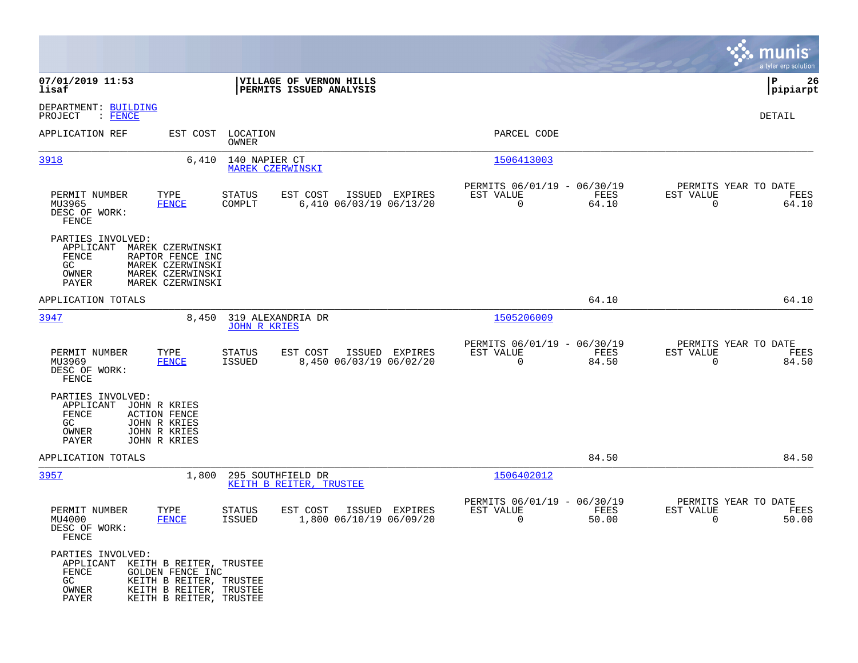|                                                                                                                                                                                              |                                                                                         |                                                                          | munis<br>a tyler erp solution                                  |
|----------------------------------------------------------------------------------------------------------------------------------------------------------------------------------------------|-----------------------------------------------------------------------------------------|--------------------------------------------------------------------------|----------------------------------------------------------------|
| 07/01/2019 11:53<br>lisaf                                                                                                                                                                    | VILLAGE OF VERNON HILLS<br>PERMITS ISSUED ANALYSIS                                      |                                                                          | 26<br>IΡ<br> pipiarpt                                          |
| DEPARTMENT: BUILDING<br>PROJECT<br>$\colon$ FENCE                                                                                                                                            |                                                                                         |                                                                          | DETAIL                                                         |
| APPLICATION REF                                                                                                                                                                              | EST COST LOCATION<br>OWNER                                                              | PARCEL CODE                                                              |                                                                |
| 3918                                                                                                                                                                                         | 6,410<br>140 NAPIER CT<br>MAREK CZERWINSKI                                              | 1506413003                                                               |                                                                |
| TYPE<br>PERMIT NUMBER<br>MU3965<br><b>FENCE</b><br>DESC OF WORK:<br>FENCE                                                                                                                    | STATUS<br>EST COST<br>ISSUED EXPIRES<br>COMPLT<br>6,410 06/03/19 06/13/20               | PERMITS 06/01/19 - 06/30/19<br>FEES<br>EST VALUE<br>$\mathbf 0$<br>64.10 | PERMITS YEAR TO DATE<br>EST VALUE<br>FEES<br>$\Omega$<br>64.10 |
| PARTIES INVOLVED:<br>APPLICANT<br>MAREK CZERWINSKI<br>FENCE<br>RAPTOR FENCE INC<br>GC.<br>MAREK CZERWINSKI<br>MAREK CZERWINSKI<br>OWNER<br>PAYER<br>MAREK CZERWINSKI                         |                                                                                         |                                                                          |                                                                |
| APPLICATION TOTALS                                                                                                                                                                           |                                                                                         | 64.10                                                                    | 64.10                                                          |
| 3947                                                                                                                                                                                         | 8,450<br>319 ALEXANDRIA DR<br><b>JOHN R KRIES</b>                                       | 1505206009                                                               |                                                                |
| PERMIT NUMBER<br>TYPE<br>MU3969<br>FENCE<br>DESC OF WORK:<br>FENCE                                                                                                                           | <b>STATUS</b><br>EST COST<br>ISSUED EXPIRES<br>8,450 06/03/19 06/02/20<br><b>ISSUED</b> | PERMITS 06/01/19 - 06/30/19<br>EST VALUE<br>FEES<br>$\mathbf 0$<br>84.50 | PERMITS YEAR TO DATE<br>EST VALUE<br>FEES<br>$\Omega$<br>84.50 |
| PARTIES INVOLVED:<br>JOHN R KRIES<br>APPLICANT<br>FENCE<br><b>ACTION FENCE</b><br>GC<br>JOHN R KRIES<br>OWNER<br>JOHN R KRIES<br>PAYER<br>JOHN R KRIES                                       |                                                                                         |                                                                          |                                                                |
| APPLICATION TOTALS                                                                                                                                                                           |                                                                                         | 84.50                                                                    | 84.50                                                          |
| 3957                                                                                                                                                                                         | 295 SOUTHFIELD DR<br>1,800<br>KEITH B REITER, TRUSTEE                                   | 1506402012                                                               |                                                                |
| PERMIT NUMBER<br>TYPE<br>MU4000<br><b>FENCE</b><br>DESC OF WORK:<br>FENCE                                                                                                                    | STATUS<br>EST COST<br>ISSUED EXPIRES<br>1,800 06/10/19 06/09/20<br><b>ISSUED</b>        | PERMITS 06/01/19 - 06/30/19<br>EST VALUE<br>FEES<br>0<br>50.00           | PERMITS YEAR TO DATE<br>EST VALUE<br>FEES<br>0<br>50.00        |
| PARTIES INVOLVED:<br>APPLICANT KEITH B REITER, TRUSTEE<br>FENCE<br>GOLDEN FENCE INC<br>GC<br>KEITH B REITER, TRUSTEE<br>OWNER<br>KEITH B REITER, TRUSTEE<br>PAYER<br>KEITH B REITER, TRUSTEE |                                                                                         |                                                                          |                                                                |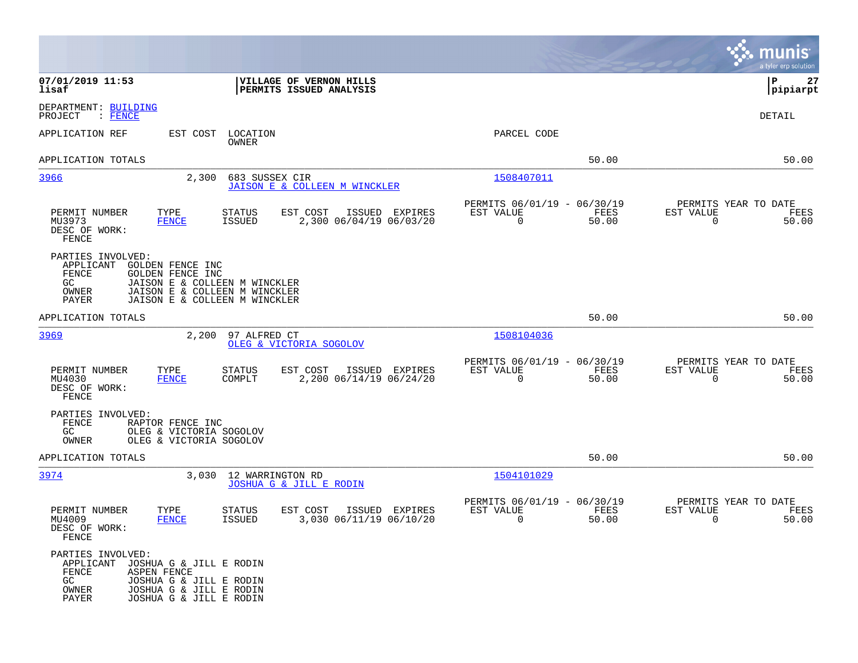|                                                                                                                                                                                                                           |                                                                | munis<br>a tyler erp solution                           |
|---------------------------------------------------------------------------------------------------------------------------------------------------------------------------------------------------------------------------|----------------------------------------------------------------|---------------------------------------------------------|
| 07/01/2019 11:53<br>VILLAGE OF VERNON HILLS<br>lisaf<br>PERMITS ISSUED ANALYSIS                                                                                                                                           |                                                                | l P<br>27<br> pipiarpt                                  |
| DEPARTMENT: BUILDING<br>PROJECT<br>: FENCE                                                                                                                                                                                |                                                                | DETAIL                                                  |
| APPLICATION REF<br>EST COST<br>LOCATION<br>OWNER                                                                                                                                                                          | PARCEL CODE                                                    |                                                         |
| APPLICATION TOTALS                                                                                                                                                                                                        | 50.00                                                          | 50.00                                                   |
| 3966<br>2,300<br>683 SUSSEX CIR<br>JAISON E & COLLEEN M WINCKLER                                                                                                                                                          | 1508407011                                                     |                                                         |
| TYPE<br><b>STATUS</b><br>EST COST<br>ISSUED EXPIRES<br>PERMIT NUMBER<br><b>ISSUED</b><br>MU3973<br><b>FENCE</b><br>2,300 06/04/19 06/03/20<br>DESC OF WORK:<br>FENCE                                                      | PERMITS 06/01/19 - 06/30/19<br>EST VALUE<br>FEES<br>0<br>50.00 | PERMITS YEAR TO DATE<br>EST VALUE<br>FEES<br>0<br>50.00 |
| PARTIES INVOLVED:<br>APPLICANT<br><b>GOLDEN FENCE INC</b><br>FENCE<br><b>GOLDEN FENCE INC</b><br>GC.<br>JAISON E & COLLEEN M WINCKLER<br>JAISON E & COLLEEN M WINCKLER<br>OWNER<br>PAYER<br>JAISON E & COLLEEN M WINCKLER |                                                                |                                                         |
| APPLICATION TOTALS                                                                                                                                                                                                        | 50.00                                                          | 50.00                                                   |
| 3969<br>2,200<br>97 ALFRED CT<br>OLEG & VICTORIA SOGOLOV                                                                                                                                                                  | 1508104036                                                     |                                                         |
| PERMIT NUMBER<br>TYPE<br><b>STATUS</b><br>EST COST<br>ISSUED EXPIRES<br>2,200 06/14/19 06/24/20<br>MU4030<br>COMPLT<br><b>FENCE</b><br>DESC OF WORK:<br>FENCE                                                             | PERMITS 06/01/19 - 06/30/19<br>FEES<br>EST VALUE<br>0<br>50.00 | PERMITS YEAR TO DATE<br>EST VALUE<br>FEES<br>0<br>50.00 |
| PARTIES INVOLVED:<br>FENCE<br>RAPTOR FENCE INC<br>GC<br>OLEG & VICTORIA SOGOLOV<br>OWNER<br>OLEG & VICTORIA SOGOLOV                                                                                                       |                                                                |                                                         |
| APPLICATION TOTALS                                                                                                                                                                                                        | 50.00                                                          | 50.00                                                   |
| 3974<br>3,030<br>12 WARRINGTON RD<br><b>JOSHUA G &amp; JILL E RODIN</b>                                                                                                                                                   | 1504101029                                                     |                                                         |
| PERMIT NUMBER<br>TYPE<br><b>STATUS</b><br>EST COST<br>ISSUED EXPIRES<br>MU4009<br><b>FENCE</b><br><b>ISSUED</b><br>3,030 06/11/19 06/10/20<br>DESC OF WORK:<br>FENCE                                                      | PERMITS 06/01/19 - 06/30/19<br>EST VALUE<br>FEES<br>0<br>50.00 | PERMITS YEAR TO DATE<br>EST VALUE<br>FEES<br>0<br>50.00 |
| PARTIES INVOLVED:<br>APPLICANT<br>JOSHUA G & JILL E RODIN<br>FENCE<br><b>ASPEN FENCE</b><br>GC<br>JOSHUA G & JILL E RODIN<br>OWNER<br>JOSHUA G & JILL E RODIN<br>PAYER<br>JOSHUA G & JILL E RODIN                         |                                                                |                                                         |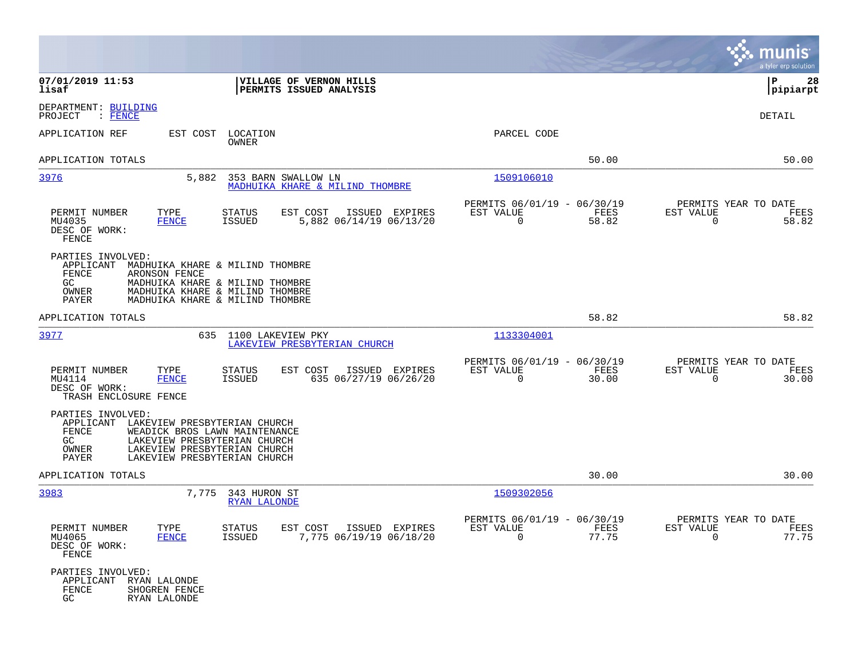|                                                                                                                                                                                                                                  |                                                                          | munis<br>a tyler erp solution                                     |
|----------------------------------------------------------------------------------------------------------------------------------------------------------------------------------------------------------------------------------|--------------------------------------------------------------------------|-------------------------------------------------------------------|
| 07/01/2019 11:53<br>VILLAGE OF VERNON HILLS<br>lisaf<br>PERMITS ISSUED ANALYSIS                                                                                                                                                  |                                                                          | l P<br>28<br> pipiarpt                                            |
| DEPARTMENT: BUILDING<br>PROJECT<br>$\therefore$ FENCE                                                                                                                                                                            |                                                                          | DETAIL                                                            |
| APPLICATION REF<br>EST COST<br>LOCATION<br>OWNER                                                                                                                                                                                 | PARCEL CODE                                                              |                                                                   |
| APPLICATION TOTALS                                                                                                                                                                                                               | 50.00                                                                    | 50.00                                                             |
| 3976<br>353 BARN SWALLOW LN<br>5,882<br>MADHUIKA KHARE & MILIND THOMBRE                                                                                                                                                          | <u>1509106010</u>                                                        |                                                                   |
| PERMIT NUMBER<br>TYPE<br><b>STATUS</b><br>EST COST<br>ISSUED EXPIRES<br>ISSUED<br>5,882 06/14/19 06/13/20<br>MU4035<br><b>FENCE</b><br>DESC OF WORK:<br>FENCE                                                                    | PERMITS 06/01/19 - 06/30/19<br>EST VALUE<br>FEES<br>$\mathbf 0$<br>58.82 | PERMITS YEAR TO DATE<br>EST VALUE<br>FEES<br>$\mathbf 0$<br>58.82 |
| PARTIES INVOLVED:<br>APPLICANT<br>MADHUIKA KHARE & MILIND THOMBRE<br>FENCE<br>ARONSON FENCE<br>GC<br>MADHUIKA KHARE & MILIND THOMBRE<br>MADHUIKA KHARE & MILIND THOMBRE<br>OWNER<br>PAYER<br>MADHUIKA KHARE & MILIND THOMBRE     |                                                                          |                                                                   |
| APPLICATION TOTALS                                                                                                                                                                                                               | 58.82                                                                    | 58.82                                                             |
| 3977<br>635<br>1100 LAKEVIEW PKY<br>LAKEVIEW PRESBYTERIAN CHURCH                                                                                                                                                                 | <u> 1133304001</u>                                                       |                                                                   |
| TYPE<br>PERMIT NUMBER<br>STATUS<br>EST COST<br>ISSUED EXPIRES<br>MU4114<br><b>FENCE</b><br>ISSUED<br>635 06/27/19 06/26/20<br>DESC OF WORK:<br>TRASH ENCLOSURE FENCE                                                             | PERMITS 06/01/19 - 06/30/19<br>FEES<br>EST VALUE<br>$\mathbf 0$<br>30.00 | PERMITS YEAR TO DATE<br>EST VALUE<br>FEES<br>0<br>30.00           |
| PARTIES INVOLVED:<br>APPLICANT<br>LAKEVIEW PRESBYTERIAN CHURCH<br>FENCE<br>WEADICK BROS LAWN MAINTENANCE<br>GC<br>LAKEVIEW PRESBYTERIAN CHURCH<br>LAKEVIEW PRESBYTERIAN CHURCH<br>OWNER<br>LAKEVIEW PRESBYTERIAN CHURCH<br>PAYER |                                                                          |                                                                   |
| APPLICATION TOTALS                                                                                                                                                                                                               | 30.00                                                                    | 30.00                                                             |
| 3983<br>7,775<br>343 HURON ST<br>RYAN LALONDE                                                                                                                                                                                    | 1509302056                                                               |                                                                   |
| PERMIT NUMBER<br>TYPE<br>STATUS<br>EST COST ISSUED EXPIRES<br>MU4065<br><b>FENCE</b><br><b>ISSUED</b><br>7,775 06/19/19 06/18/20<br>DESC OF WORK:<br>FENCE                                                                       | PERMITS 06/01/19 - 06/30/19<br>EST VALUE<br>FEES<br>77.75<br>$\Omega$    | PERMITS YEAR TO DATE<br>EST VALUE<br>FEES<br>$\Omega$<br>77.75    |
| PARTIES INVOLVED:<br>APPLICANT<br>RYAN LALONDE<br>FENCE<br>SHOGREN FENCE<br>GC.<br>RYAN LALONDE                                                                                                                                  |                                                                          |                                                                   |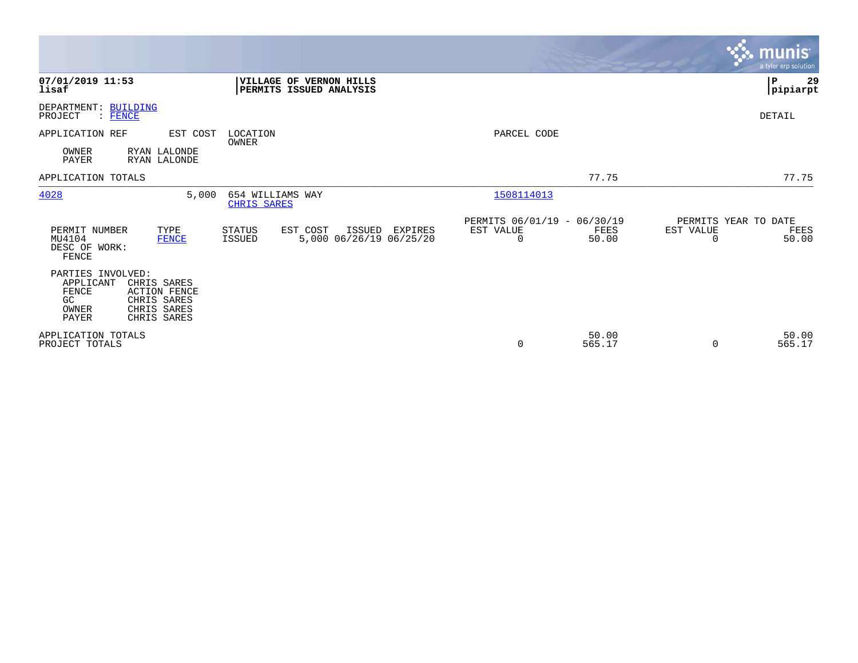|                                                                                                                                                           |                                                                                         |                                                                | <b>munis</b><br>a tyler erp solution                    |
|-----------------------------------------------------------------------------------------------------------------------------------------------------------|-----------------------------------------------------------------------------------------|----------------------------------------------------------------|---------------------------------------------------------|
| 07/01/2019 11:53<br>lisaf                                                                                                                                 | VILLAGE OF VERNON HILLS<br>PERMITS ISSUED ANALYSIS                                      |                                                                | P<br>29<br> pipiarpt                                    |
| DEPARTMENT: BUILDING<br>PROJECT<br>: FENCE                                                                                                                |                                                                                         |                                                                | DETAIL                                                  |
| APPLICATION REF<br>EST COST                                                                                                                               | LOCATION<br>OWNER                                                                       | PARCEL CODE                                                    |                                                         |
| OWNER<br>RYAN LALONDE<br>PAYER<br>RYAN LALONDE                                                                                                            |                                                                                         |                                                                |                                                         |
| APPLICATION TOTALS                                                                                                                                        |                                                                                         | 77.75                                                          | 77.75                                                   |
| 4028<br>5,000                                                                                                                                             | 654 WILLIAMS WAY<br><b>CHRIS SARES</b>                                                  | 1508114013                                                     |                                                         |
| PERMIT NUMBER<br>TYPE<br>MU4104<br><b>FENCE</b><br>DESC OF WORK:<br>FENCE                                                                                 | <b>STATUS</b><br>EST COST<br>ISSUED EXPIRES<br><b>ISSUED</b><br>5,000 06/26/19 06/25/20 | PERMITS 06/01/19 - 06/30/19<br>EST VALUE<br>FEES<br>0<br>50.00 | PERMITS YEAR TO DATE<br>EST VALUE<br>FEES<br>0<br>50.00 |
| PARTIES INVOLVED:<br>APPLICANT<br>CHRIS SARES<br>FENCE<br><b>ACTION FENCE</b><br>CHRIS SARES<br>GC<br>OWNER<br>CHRIS SARES<br><b>PAYER</b><br>CHRIS SARES |                                                                                         |                                                                |                                                         |
| APPLICATION TOTALS<br>PROJECT TOTALS                                                                                                                      |                                                                                         | 50.00<br>565.17<br>0                                           | 50.00<br>565.17<br>0                                    |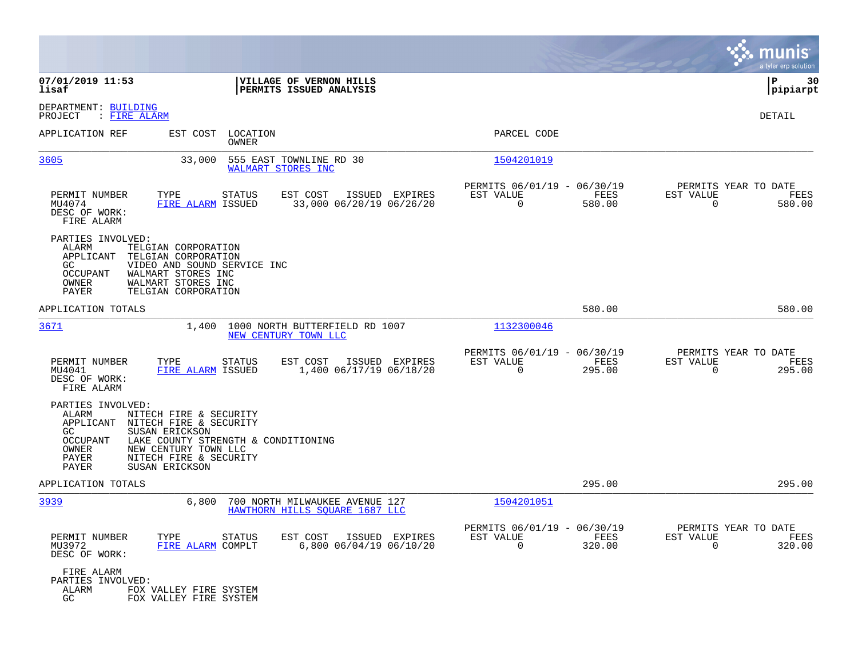|                                                                                                                                                                                                                                    |                                                                  |                                                                           | munis<br>a tyler erp solution                                      |
|------------------------------------------------------------------------------------------------------------------------------------------------------------------------------------------------------------------------------------|------------------------------------------------------------------|---------------------------------------------------------------------------|--------------------------------------------------------------------|
| 07/01/2019 11:53<br>lisaf                                                                                                                                                                                                          | VILLAGE OF VERNON HILLS<br>PERMITS ISSUED ANALYSIS               |                                                                           | lР<br>30<br> pipiarpt                                              |
| DEPARTMENT: BUILDING<br>PROJECT<br>: FIRE ALARM                                                                                                                                                                                    |                                                                  |                                                                           | DETAIL                                                             |
| APPLICATION REF<br>EST COST                                                                                                                                                                                                        | LOCATION<br>OWNER                                                | PARCEL CODE                                                               |                                                                    |
| 3605<br>33,000                                                                                                                                                                                                                     | 555 EAST TOWNLINE RD 30<br>WALMART STORES INC                    | 1504201019                                                                |                                                                    |
| PERMIT NUMBER<br>TYPE<br>MU4074<br>FIRE ALARM ISSUED<br>DESC OF WORK:<br>FIRE ALARM                                                                                                                                                | STATUS<br>EST COST<br>ISSUED EXPIRES<br>33,000 06/20/19 06/26/20 | PERMITS 06/01/19 - 06/30/19<br>EST VALUE<br>FEES<br>$\mathbf 0$<br>580.00 | PERMITS YEAR TO DATE<br>EST VALUE<br>FEES<br>$\mathbf 0$<br>580.00 |
| PARTIES INVOLVED:<br>TELGIAN CORPORATION<br>ALARM<br>APPLICANT<br>TELGIAN CORPORATION<br>GC<br>VIDEO AND SOUND SERVICE INC<br><b>OCCUPANT</b><br>WALMART STORES INC<br>WALMART STORES INC<br>OWNER<br>PAYER<br>TELGIAN CORPORATION |                                                                  |                                                                           |                                                                    |
| APPLICATION TOTALS                                                                                                                                                                                                                 |                                                                  | 580.00                                                                    | 580.00                                                             |
| 3671<br>1,400                                                                                                                                                                                                                      | 1000 NORTH BUTTERFIELD RD 1007<br>NEW CENTURY TOWN LLC           | 1132300046                                                                |                                                                    |
| PERMIT NUMBER<br>TYPE<br>FIRE ALARM ISSUED<br>MU4041<br>DESC OF WORK:<br>FIRE ALARM                                                                                                                                                | STATUS<br>EST COST<br>ISSUED EXPIRES<br>1,400 06/17/19 06/18/20  | PERMITS 06/01/19 - 06/30/19<br>EST VALUE<br>FEES<br>$\mathbf 0$<br>295.00 | PERMITS YEAR TO DATE<br>EST VALUE<br>FEES<br>$\mathbf 0$<br>295.00 |
| PARTIES INVOLVED:<br>ALARM<br>NITECH FIRE & SECURITY<br>APPLICANT<br>NITECH FIRE & SECURITY<br>SUSAN ERICKSON<br>GC.<br>OCCUPANT<br>NEW CENTURY TOWN LLC<br>OWNER<br>PAYER<br>NITECH FIRE & SECURITY<br>PAYER<br>SUSAN ERICKSON    | LAKE COUNTY STRENGTH & CONDITIONING                              |                                                                           |                                                                    |
| APPLICATION TOTALS                                                                                                                                                                                                                 |                                                                  | 295.00                                                                    | 295.00                                                             |
| 3939<br>6,800                                                                                                                                                                                                                      | 700 NORTH MILWAUKEE AVENUE 127<br>HAWTHORN HILLS SOUARE 1687 LLC | 1504201051                                                                |                                                                    |
| PERMIT NUMBER<br>TYPE<br>MU3972<br>FIRE ALARM COMPLT<br>DESC OF WORK:                                                                                                                                                              | STATUS<br>EST COST<br>ISSUED EXPIRES<br>6,800 06/04/19 06/10/20  | PERMITS 06/01/19 - 06/30/19<br>EST VALUE<br>FEES<br>$\mathbf 0$<br>320.00 | PERMITS YEAR TO DATE<br>EST VALUE<br>FEES<br>$\mathbf 0$<br>320.00 |
| FIRE ALARM<br>PARTIES INVOLVED:<br>ALARM<br>FOX VALLEY FIRE SYSTEM<br>GC<br>FOX VALLEY FIRE SYSTEM                                                                                                                                 |                                                                  |                                                                           |                                                                    |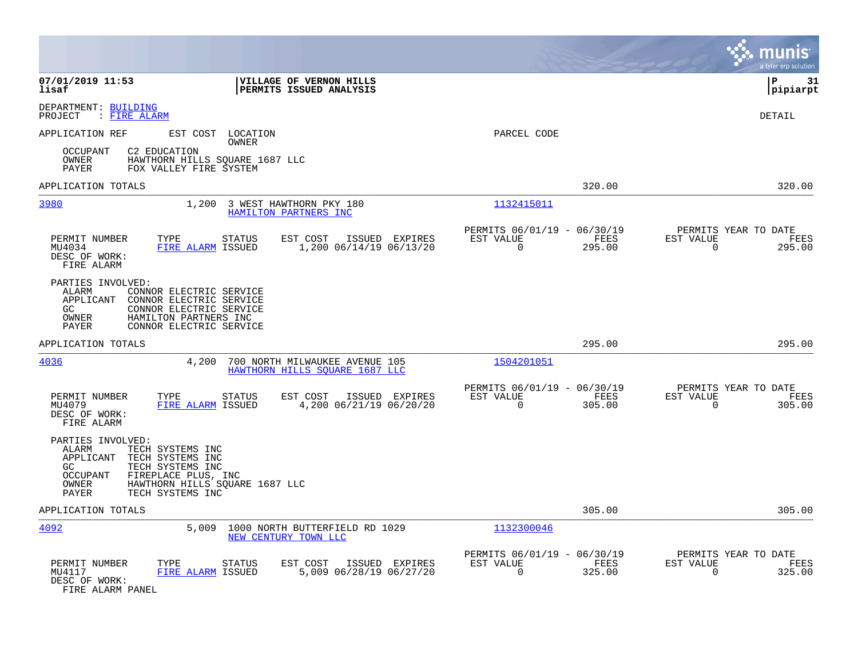|                                                                                                                                                                                                                             |                                                                           | munis<br>a tyler erp solution                                      |
|-----------------------------------------------------------------------------------------------------------------------------------------------------------------------------------------------------------------------------|---------------------------------------------------------------------------|--------------------------------------------------------------------|
| 07/01/2019 11:53<br>VILLAGE OF VERNON HILLS<br>lisaf<br>PERMITS ISSUED ANALYSIS                                                                                                                                             |                                                                           | l P<br>-31<br> pipiarpt                                            |
| DEPARTMENT: BUILDING<br>: FIRE ALARM<br>PROJECT                                                                                                                                                                             |                                                                           | <b>DETAIL</b>                                                      |
| APPLICATION REF<br>EST COST LOCATION                                                                                                                                                                                        | PARCEL CODE                                                               |                                                                    |
| OWNER<br>OCCUPANT<br>C2 EDUCATION<br>OWNER<br>HAWTHORN HILLS SOUARE 1687 LLC<br>PAYER<br>FOX VALLEY FIRE SYSTEM                                                                                                             |                                                                           |                                                                    |
| APPLICATION TOTALS                                                                                                                                                                                                          | 320.00                                                                    | 320.00                                                             |
| 3980<br>1,200<br>3 WEST HAWTHORN PKY 180<br>HAMILTON PARTNERS INC                                                                                                                                                           | 1132415011                                                                |                                                                    |
| PERMIT NUMBER<br>TYPE<br><b>STATUS</b><br>EST COST<br>ISSUED EXPIRES<br>1,200 06/14/19 06/13/20<br>MU4034<br>FIRE ALARM ISSUED<br>DESC OF WORK:<br>FIRE ALARM                                                               | PERMITS 06/01/19 - 06/30/19<br>FEES<br>EST VALUE<br>295.00<br>$\mathbf 0$ | PERMITS YEAR TO DATE<br>EST VALUE<br>FEES<br>$\mathbf 0$<br>295.00 |
| PARTIES INVOLVED:<br>ALARM<br>CONNOR ELECTRIC SERVICE<br>APPLICANT<br>CONNOR ELECTRIC SERVICE<br>GC.<br>CONNOR ELECTRIC SERVICE<br>OWNER<br>HAMILTON PARTNERS INC<br>PAYER<br>CONNOR ELECTRIC SERVICE                       |                                                                           |                                                                    |
| APPLICATION TOTALS                                                                                                                                                                                                          | 295.00                                                                    | 295.00                                                             |
| 4036<br>4,200<br>700 NORTH MILWAUKEE AVENUE 105<br>HAWTHORN HILLS SOUARE 1687 LLC                                                                                                                                           | 1504201051                                                                |                                                                    |
| PERMIT NUMBER<br>TYPE<br><b>STATUS</b><br>EST COST<br>ISSUED EXPIRES<br>MU4079<br>FIRE ALARM ISSUED<br>4,200 06/21/19 06/20/20<br>DESC OF WORK:<br>FIRE ALARM                                                               | PERMITS 06/01/19 - 06/30/19<br>EST VALUE<br>FEES<br>$\Omega$<br>305.00    | PERMITS YEAR TO DATE<br>EST VALUE<br>FEES<br>$\Omega$<br>305.00    |
| PARTIES INVOLVED:<br>ALARM<br>TECH SYSTEMS INC<br>APPLICANT<br>TECH SYSTEMS INC<br>GC<br>TECH SYSTEMS INC<br><b>OCCUPANT</b><br>FIREPLACE PLUS, INC<br>HAWTHORN HILLS SOUARE 1687 LLC<br>OWNER<br>PAYER<br>TECH SYSTEMS INC |                                                                           |                                                                    |
| APPLICATION TOTALS                                                                                                                                                                                                          | 305.00                                                                    | 305.00                                                             |
| 4092<br>5,009<br>1000 NORTH BUTTERFIELD RD 1029<br>NEW CENTURY TOWN LLC                                                                                                                                                     | 1132300046                                                                |                                                                    |
| PERMIT NUMBER<br>TYPE<br><b>STATUS</b><br>EST COST<br>ISSUED EXPIRES<br>5,009 06/28/19 06/27/20<br>MU4117<br>FIRE ALARM ISSUED<br>DESC OF WORK:<br>FIRE ALARM PANEL                                                         | PERMITS 06/01/19 - 06/30/19<br>EST VALUE<br>FEES<br>$\Omega$<br>325.00    | PERMITS YEAR TO DATE<br>EST VALUE<br>FEES<br>$\Omega$<br>325.00    |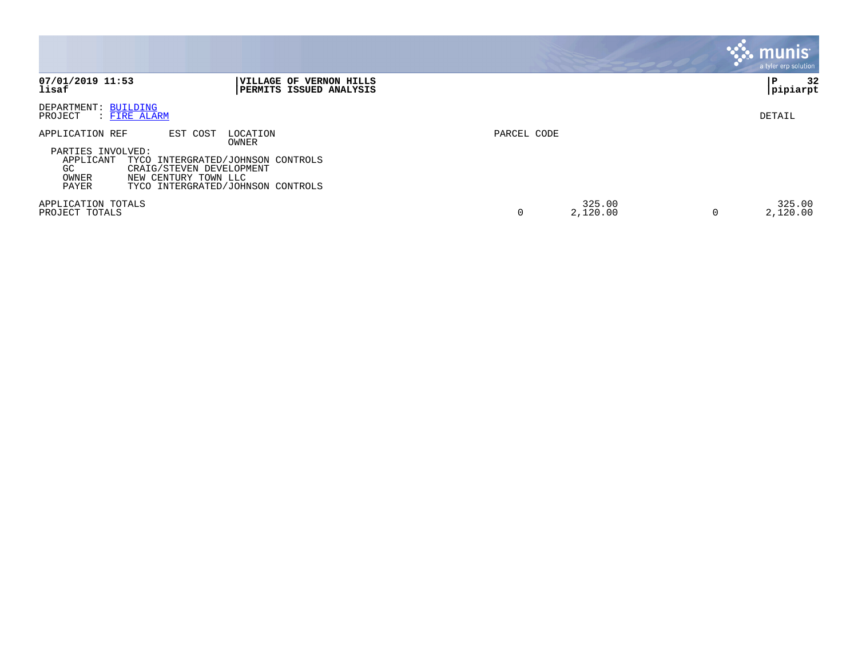|                                                                                                                                            |                                                                                             |             |                    | <b>munis</b><br>a tyler erp solution |
|--------------------------------------------------------------------------------------------------------------------------------------------|---------------------------------------------------------------------------------------------|-------------|--------------------|--------------------------------------|
| 07/01/2019 11:53<br>lisaf                                                                                                                  | VILLAGE OF VERNON HILLS<br>PERMITS ISSUED ANALYSIS                                          |             |                    | 32<br>l P<br> pipiarpt               |
| DEPARTMENT: BUILDING<br>PROJECT<br>: FIRE ALARM                                                                                            |                                                                                             |             |                    | DETAIL                               |
| APPLICATION REF<br>EST COST<br>PARTIES INVOLVED:<br>APPLICANT<br>GC.<br>CRAIG/STEVEN DEVELOPMENT<br>OWNER<br>NEW CENTURY TOWN LLC<br>PAYER | LOCATION<br>OWNER<br>TYCO INTERGRATED/JOHNSON CONTROLS<br>TYCO INTERGRATED/JOHNSON CONTROLS | PARCEL CODE |                    |                                      |
| APPLICATION TOTALS<br>PROJECT TOTALS                                                                                                       |                                                                                             | $\mathbf 0$ | 325.00<br>2,120.00 | 325.00<br>2,120.00<br>0              |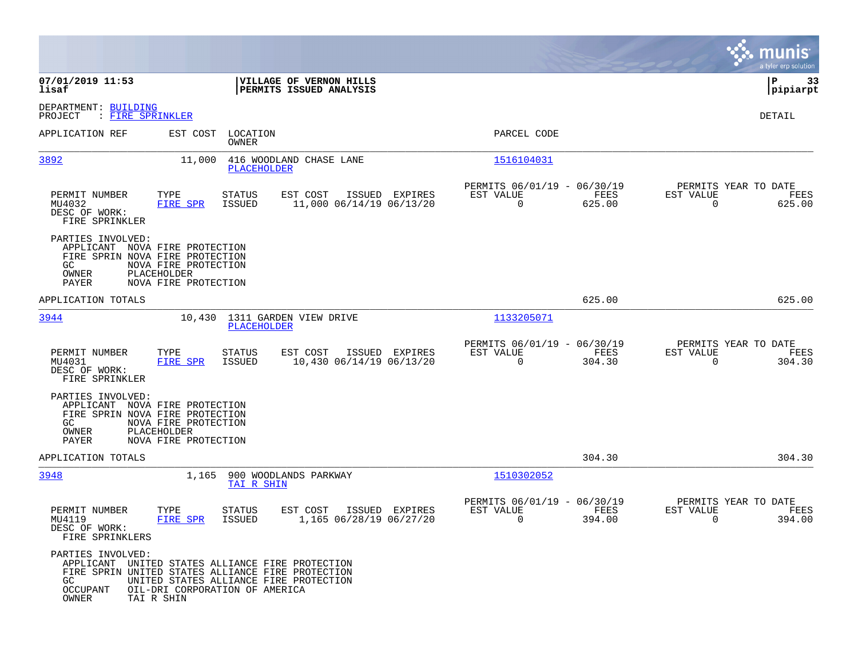|                                                                                                                                                               |                                                                                        |                         |                                                    |                |                                                         |                |                          | munis<br>a tyler erp solution          |
|---------------------------------------------------------------------------------------------------------------------------------------------------------------|----------------------------------------------------------------------------------------|-------------------------|----------------------------------------------------|----------------|---------------------------------------------------------|----------------|--------------------------|----------------------------------------|
| 07/01/2019 11:53<br>lisaf                                                                                                                                     |                                                                                        |                         | VILLAGE OF VERNON HILLS<br>PERMITS ISSUED ANALYSIS |                |                                                         |                |                          | l P<br>33<br>pipiarpt                  |
| DEPARTMENT: BUILDING<br>PROJECT<br>: FIRE SPRINKLER                                                                                                           |                                                                                        |                         |                                                    |                |                                                         |                |                          | DETAIL                                 |
| APPLICATION REF                                                                                                                                               | EST COST                                                                               | LOCATION<br>OWNER       |                                                    |                | PARCEL CODE                                             |                |                          |                                        |
| 3892                                                                                                                                                          | 11,000                                                                                 | PLACEHOLDER             | 416 WOODLAND CHASE LANE                            |                | 1516104031                                              |                |                          |                                        |
| PERMIT NUMBER<br>MU4032<br>DESC OF WORK:<br>FIRE SPRINKLER                                                                                                    | TYPE<br>FIRE SPR                                                                       | <b>STATUS</b><br>ISSUED | EST COST<br>11,000 06/14/19 06/13/20               | ISSUED EXPIRES | PERMITS 06/01/19 - 06/30/19<br>EST VALUE<br>$\Omega$    | FEES<br>625.00 | EST VALUE<br>$\mathbf 0$ | PERMITS YEAR TO DATE<br>FEES<br>625.00 |
| PARTIES INVOLVED:<br>APPLICANT NOVA FIRE PROTECTION<br>FIRE SPRIN NOVA FIRE PROTECTION<br>GC.<br>OWNER<br>PAYER                                               | NOVA FIRE PROTECTION<br>PLACEHOLDER<br>NOVA FIRE PROTECTION                            |                         |                                                    |                |                                                         |                |                          |                                        |
| APPLICATION TOTALS                                                                                                                                            |                                                                                        |                         |                                                    |                |                                                         | 625.00         |                          | 625.00                                 |
| 3944                                                                                                                                                          | 10,430                                                                                 | PLACEHOLDER             | 1311 GARDEN VIEW DRIVE                             |                | 1133205071                                              |                |                          |                                        |
| PERMIT NUMBER<br>MU4031<br>DESC OF WORK:<br>FIRE SPRINKLER                                                                                                    | TYPE<br><b>FIRE SPR</b>                                                                | <b>STATUS</b><br>ISSUED | EST COST<br>10,430 06/14/19 06/13/20               | ISSUED EXPIRES | PERMITS 06/01/19 - 06/30/19<br>EST VALUE<br>$\mathbf 0$ | FEES<br>304.30 | EST VALUE<br>$\mathbf 0$ | PERMITS YEAR TO DATE<br>FEES<br>304.30 |
| PARTIES INVOLVED:<br>APPLICANT NOVA FIRE PROTECTION<br>FIRE SPRIN NOVA FIRE PROTECTION<br>GC.<br>OWNER<br>PAYER                                               | NOVA FIRE PROTECTION<br>PLACEHOLDER<br>NOVA FIRE PROTECTION                            |                         |                                                    |                |                                                         |                |                          |                                        |
| APPLICATION TOTALS                                                                                                                                            |                                                                                        |                         |                                                    |                |                                                         | 304.30         |                          | 304.30                                 |
| 3948                                                                                                                                                          | 1,165                                                                                  | TAI R SHIN              | 900 WOODLANDS PARKWAY                              |                | 1510302052                                              |                |                          |                                        |
| PERMIT NUMBER<br>MU4119<br>DESC OF WORK:<br>FIRE SPRINKLERS                                                                                                   | TYPE<br><b>FIRE SPR</b>                                                                | STATUS<br><b>ISSUED</b> | EST COST<br>1,165 06/28/19 06/27/20                | ISSUED EXPIRES | PERMITS 06/01/19 - 06/30/19<br>EST VALUE<br>$\Omega$    | FEES<br>394.00 | EST VALUE<br>$\Omega$    | PERMITS YEAR TO DATE<br>FEES<br>394.00 |
| PARTIES INVOLVED:<br>APPLICANT UNITED STATES ALLIANCE FIRE PROTECTION<br>FIRE SPRIN UNITED STATES ALLIANCE FIRE PROTECTION<br>GC.<br><b>OCCUPANT</b><br>OWNER | UNITED STATES ALLIANCE FIRE PROTECTION<br>OIL-DRI CORPORATION OF AMERICA<br>TAI R SHIN |                         |                                                    |                |                                                         |                |                          |                                        |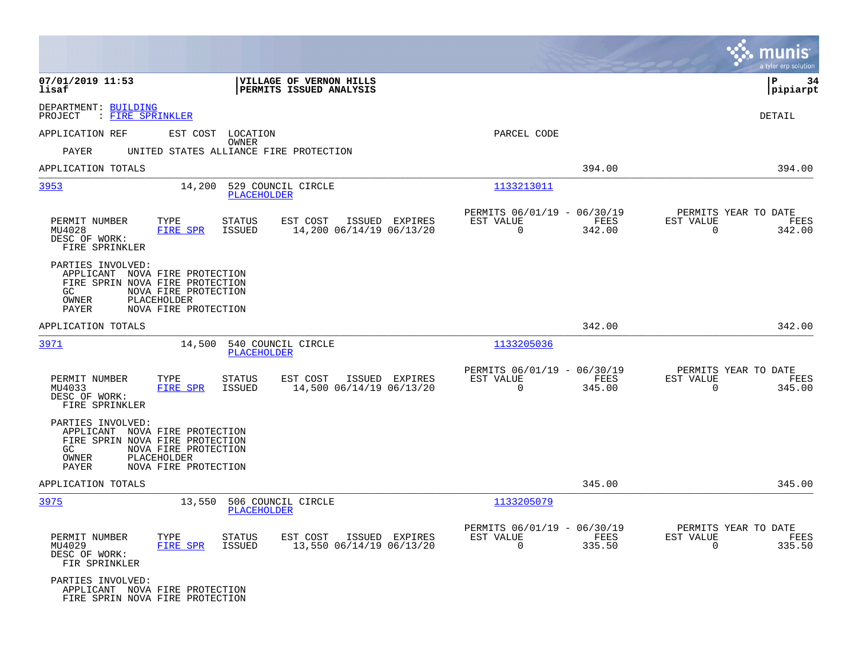|                                                                                                                                                                                      |                                            |                                                          |                |                                                  | munis<br>a tyler erp solution |
|--------------------------------------------------------------------------------------------------------------------------------------------------------------------------------------|--------------------------------------------|----------------------------------------------------------|----------------|--------------------------------------------------|-------------------------------|
| VILLAGE OF VERNON HILLS<br>07/01/2019 11:53<br>lisaf<br>PERMITS ISSUED ANALYSIS                                                                                                      |                                            |                                                          |                |                                                  | ΙP<br>-34<br> pipiarpt        |
| DEPARTMENT: BUILDING<br>PROJECT<br>: FIRE SPRINKLER                                                                                                                                  |                                            |                                                          |                |                                                  | DETAIL                        |
| APPLICATION REF<br>LOCATION<br>EST COST                                                                                                                                              |                                            | PARCEL CODE                                              |                |                                                  |                               |
| <b>OWNER</b><br><b>PAYER</b><br>UNITED STATES ALLIANCE FIRE PROTECTION                                                                                                               |                                            |                                                          |                |                                                  |                               |
| APPLICATION TOTALS                                                                                                                                                                   |                                            |                                                          | 394.00         |                                                  | 394.00                        |
| 3953<br>14,200<br>529 COUNCIL CIRCLE<br><b>PLACEHOLDER</b>                                                                                                                           |                                            | 1133213011                                               |                |                                                  |                               |
| PERMIT NUMBER<br>TYPE<br>EST COST<br>STATUS<br><b>FIRE SPR</b><br><b>ISSUED</b><br>MU4028<br>DESC OF WORK:<br>FIRE SPRINKLER                                                         | ISSUED EXPIRES<br>14,200 06/14/19 06/13/20 | PERMITS 06/01/19 - 06/30/19<br>EST VALUE<br>0            | FEES<br>342.00 | PERMITS YEAR TO DATE<br>EST VALUE<br>$\mathbf 0$ | FEES<br>342.00                |
| PARTIES INVOLVED:<br>APPLICANT NOVA FIRE PROTECTION<br>FIRE SPRIN NOVA FIRE PROTECTION<br>GC.<br>NOVA FIRE PROTECTION<br>PLACEHOLDER<br>OWNER<br>NOVA FIRE PROTECTION<br>PAYER       |                                            |                                                          |                |                                                  |                               |
| APPLICATION TOTALS                                                                                                                                                                   |                                            |                                                          | 342.00         |                                                  | 342.00                        |
| 3971<br>14,500<br>540 COUNCIL CIRCLE<br><b>PLACEHOLDER</b>                                                                                                                           |                                            | 1133205036                                               |                |                                                  |                               |
| PERMIT NUMBER<br>TYPE<br><b>STATUS</b><br>EST COST<br>MU4033<br>FIRE SPR<br><b>ISSUED</b><br>DESC OF WORK:<br>FIRE SPRINKLER                                                         | ISSUED EXPIRES<br>14,500 06/14/19 06/13/20 | PERMITS 06/01/19 - 06/30/19<br>EST VALUE<br>$\Omega$     | FEES<br>345.00 | PERMITS YEAR TO DATE<br>EST VALUE<br>$\mathbf 0$ | FEES<br>345.00                |
| PARTIES INVOLVED:<br>APPLICANT NOVA FIRE PROTECTION<br>FIRE SPRIN NOVA FIRE PROTECTION<br>GC<br>NOVA FIRE PROTECTION<br>PLACEHOLDER<br>OWNER<br>NOVA FIRE PROTECTION<br><b>PAYER</b> |                                            |                                                          |                |                                                  |                               |
| APPLICATION TOTALS                                                                                                                                                                   |                                            |                                                          | 345.00         |                                                  | 345.00                        |
| 3975<br>13,550<br>506 COUNCIL CIRCLE<br><b>PLACEHOLDER</b>                                                                                                                           |                                            | 1133205079                                               |                |                                                  |                               |
| PERMIT NUMBER<br>TYPE<br>EST COST<br>STATUS<br>MU4029<br>FIRE SPR<br><b>ISSUED</b><br>DESC OF WORK:<br>FIR SPRINKLER                                                                 | ISSUED EXPIRES<br>13,550 06/14/19 06/13/20 | PERMITS 06/01/19 - 06/30/19<br>EST VALUE<br>$\mathsf{O}$ | FEES<br>335.50 | PERMITS YEAR TO DATE<br>EST VALUE<br>0           | FEES<br>335.50                |
| PARTIES INVOLVED:<br>APPLICANT NOVA FIRE PROTECTION<br>FIRE SPRIN NOVA FIRE PROTECTION                                                                                               |                                            |                                                          |                |                                                  |                               |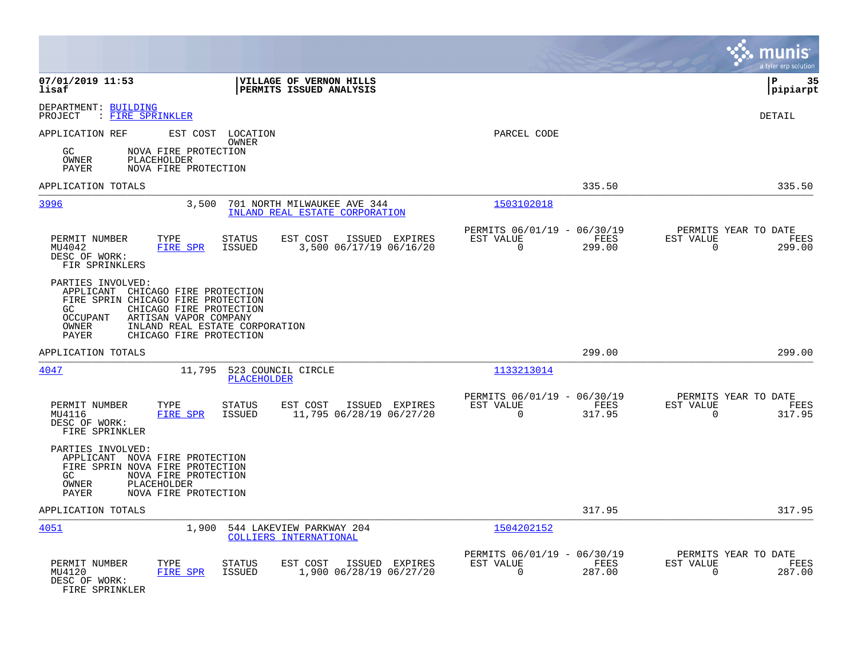|                                                                                                                                                                                                                                                          |                                                                           | munis<br>a tyler erp solution                                      |
|----------------------------------------------------------------------------------------------------------------------------------------------------------------------------------------------------------------------------------------------------------|---------------------------------------------------------------------------|--------------------------------------------------------------------|
| 07/01/2019 11:53<br>VILLAGE OF VERNON HILLS<br>PERMITS ISSUED ANALYSIS<br>lisaf                                                                                                                                                                          |                                                                           | l P<br>-35<br> pipiarpt                                            |
| DEPARTMENT: BUILDING<br>: FIRE SPRINKLER<br>PROJECT                                                                                                                                                                                                      |                                                                           | <b>DETAIL</b>                                                      |
| APPLICATION REF<br>EST COST LOCATION<br>OWNER<br>NOVA FIRE PROTECTION<br>GC.<br>OWNER<br>PLACEHOLDER<br>PAYER<br>NOVA FIRE PROTECTION                                                                                                                    | PARCEL CODE                                                               |                                                                    |
| APPLICATION TOTALS                                                                                                                                                                                                                                       | 335.50                                                                    | 335.50                                                             |
| 3996<br>3,500<br>701 NORTH MILWAUKEE AVE 344<br>INLAND REAL ESTATE CORPORATION                                                                                                                                                                           | 1503102018                                                                |                                                                    |
| EST COST<br>PERMIT NUMBER<br>TYPE<br><b>STATUS</b><br>ISSUED EXPIRES<br><b>FIRE SPR</b><br>3,500 06/17/19 06/16/20<br>MU4042<br><b>ISSUED</b><br>DESC OF WORK:<br>FIR SPRINKLERS                                                                         | PERMITS 06/01/19 - 06/30/19<br>FEES<br>EST VALUE<br>$\Omega$<br>299.00    | PERMITS YEAR TO DATE<br>EST VALUE<br>FEES<br>$\mathbf 0$<br>299.00 |
| PARTIES INVOLVED:<br>APPLICANT CHICAGO FIRE PROTECTION<br>FIRE SPRIN CHICAGO FIRE PROTECTION<br>GC<br>CHICAGO FIRE PROTECTION<br><b>OCCUPANT</b><br>ARTISAN VAPOR COMPANY<br>INLAND REAL ESTATE CORPORATION<br>OWNER<br>CHICAGO FIRE PROTECTION<br>PAYER |                                                                           |                                                                    |
| APPLICATION TOTALS                                                                                                                                                                                                                                       | 299.00                                                                    | 299.00                                                             |
| 4047<br>11,795<br>523 COUNCIL CIRCLE<br><b>PLACEHOLDER</b>                                                                                                                                                                                               | 1133213014                                                                |                                                                    |
| PERMIT NUMBER<br>TYPE<br><b>STATUS</b><br>EST COST<br>ISSUED EXPIRES<br><b>FIRE SPR</b><br>ISSUED<br>11,795 06/28/19 06/27/20<br>MU4116<br>DESC OF WORK:<br>FIRE SPRINKLER                                                                               | PERMITS 06/01/19 - 06/30/19<br>EST VALUE<br>FEES<br>$\Omega$<br>317.95    | PERMITS YEAR TO DATE<br>EST VALUE<br>FEES<br>$\mathbf 0$<br>317.95 |
| PARTIES INVOLVED:<br>APPLICANT NOVA FIRE PROTECTION<br>FIRE SPRIN NOVA FIRE PROTECTION<br>NOVA FIRE PROTECTION<br>GC.<br>OWNER<br>PLACEHOLDER<br><b>PAYER</b><br>NOVA FIRE PROTECTION                                                                    |                                                                           |                                                                    |
| APPLICATION TOTALS                                                                                                                                                                                                                                       | 317.95                                                                    | 317.95                                                             |
| 4051<br>1,900<br>544 LAKEVIEW PARKWAY 204<br>COLLIERS INTERNATIONAL                                                                                                                                                                                      | 1504202152                                                                |                                                                    |
| PERMIT NUMBER<br>TYPE<br>EST COST<br>ISSUED EXPIRES<br>STATUS<br>1,900 06/28/19 06/27/20<br>MU4120<br>FIRE SPR<br><b>ISSUED</b><br>DESC OF WORK:<br>FIRE SPRINKLER                                                                                       | PERMITS 06/01/19 -<br>06/30/19<br>EST VALUE<br>FEES<br>$\Omega$<br>287.00 | PERMITS YEAR TO DATE<br>EST VALUE<br>FEES<br>287.00<br>0           |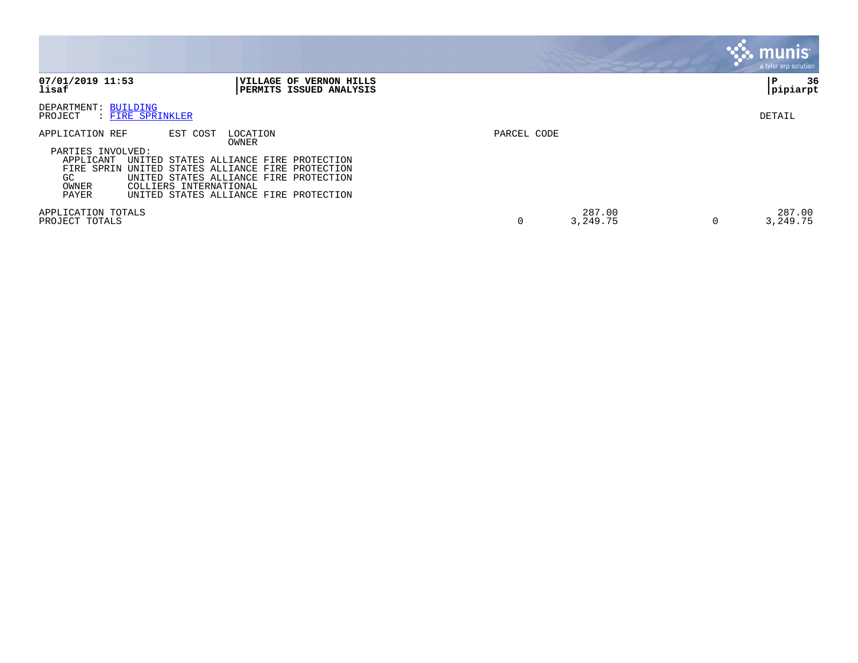|                                                                                                                     |                                                                                                                                                                                                                  |             |                    | munis<br>a tyler erp solution |
|---------------------------------------------------------------------------------------------------------------------|------------------------------------------------------------------------------------------------------------------------------------------------------------------------------------------------------------------|-------------|--------------------|-------------------------------|
| 07/01/2019 11:53<br>lisaf                                                                                           | VILLAGE OF<br><b>VERNON HILLS</b><br>PERMITS ISSUED ANALYSIS                                                                                                                                                     |             |                    | 36<br>Р<br> pipiarpt          |
| DEPARTMENT: BUILDING<br>: FIRE SPRINKLER<br>PROJECT                                                                 |                                                                                                                                                                                                                  |             |                    | DETAIL                        |
| APPLICATION REF<br>PARTIES INVOLVED:<br>APPLICANT<br>UNITED<br>FIRE SPRIN UNITED<br>GC.<br>UNITED<br>OWNER<br>PAYER | EST COST<br>LOCATION<br>OWNER<br>STATES ALLIANCE FIRE<br>PROTECTION<br>STATES ALLIANCE FIRE PROTECTION<br>STATES ALLIANCE FIRE<br>PROTECTION<br>COLLIERS INTERNATIONAL<br>UNITED STATES ALLIANCE FIRE PROTECTION | PARCEL CODE |                    |                               |
| APPLICATION TOTALS<br>PROJECT TOTALS                                                                                |                                                                                                                                                                                                                  | 0           | 287.00<br>3,249.75 | 287.00<br>3,249.75            |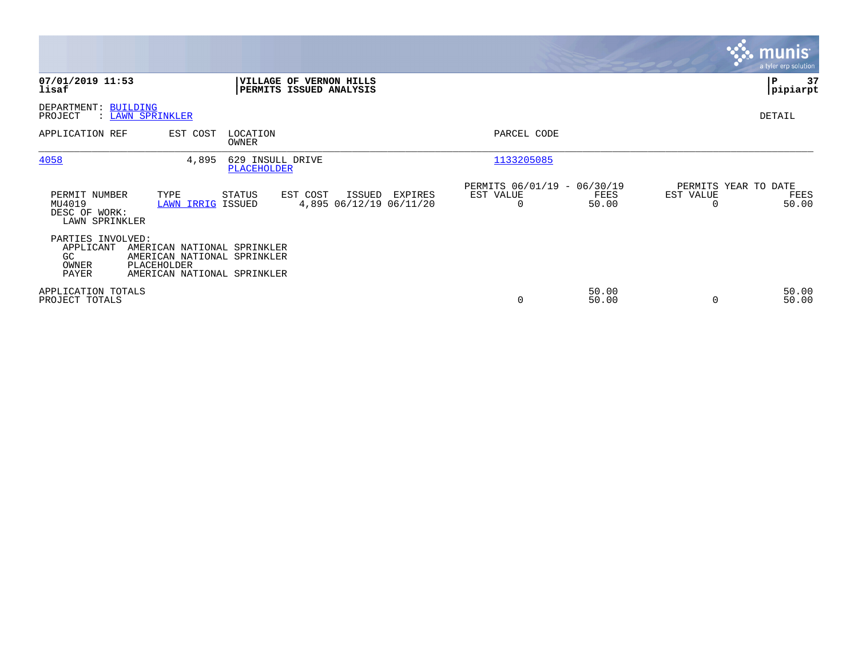|                                                            |                                                                                                          |                    |                                                           |         |                                               |                |                                   | munis <sup>®</sup><br>a tyler erp solution |
|------------------------------------------------------------|----------------------------------------------------------------------------------------------------------|--------------------|-----------------------------------------------------------|---------|-----------------------------------------------|----------------|-----------------------------------|--------------------------------------------|
| 07/01/2019 11:53<br>lisaf                                  |                                                                                                          |                    | <b>VILLAGE OF VERNON HILLS</b><br>PERMITS ISSUED ANALYSIS |         |                                               |                |                                   | 37<br>IΡ<br> pipiarpt                      |
| DEPARTMENT: BUILDING<br>PROJECT                            | : LAWN SPRINKLER                                                                                         |                    |                                                           |         |                                               |                |                                   | DETAIL                                     |
| APPLICATION REF                                            | EST COST                                                                                                 | LOCATION<br>OWNER  |                                                           |         | PARCEL CODE                                   |                |                                   |                                            |
| 4058                                                       | 4,895                                                                                                    | <b>PLACEHOLDER</b> | 629 INSULL DRIVE                                          |         | 1133205085                                    |                |                                   |                                            |
| PERMIT NUMBER<br>MU4019<br>DESC OF WORK:<br>LAWN SPRINKLER | TYPE<br>LAWN IRRIG ISSUED                                                                                | STATUS             | EST COST<br>ISSUED<br>4,895 06/12/19 06/11/20             | EXPIRES | PERMITS 06/01/19 - 06/30/19<br>EST VALUE<br>0 | FEES<br>50.00  | PERMITS YEAR TO DATE<br>EST VALUE | FEES<br>50.00                              |
| PARTIES INVOLVED:<br>APPLICANT<br>GC.<br>OWNER<br>PAYER    | AMERICAN NATIONAL SPRINKLER<br>AMERICAN NATIONAL SPRINKLER<br>PLACEHOLDER<br>AMERICAN NATIONAL SPRINKLER |                    |                                                           |         |                                               |                |                                   |                                            |
| APPLICATION TOTALS<br>PROJECT TOTALS                       |                                                                                                          |                    |                                                           |         | 0                                             | 50.00<br>50.00 |                                   | 50.00<br>50.00                             |

the property of the control of

and the contract of the contract of the contract of the contract of the contract of the contract of the contract of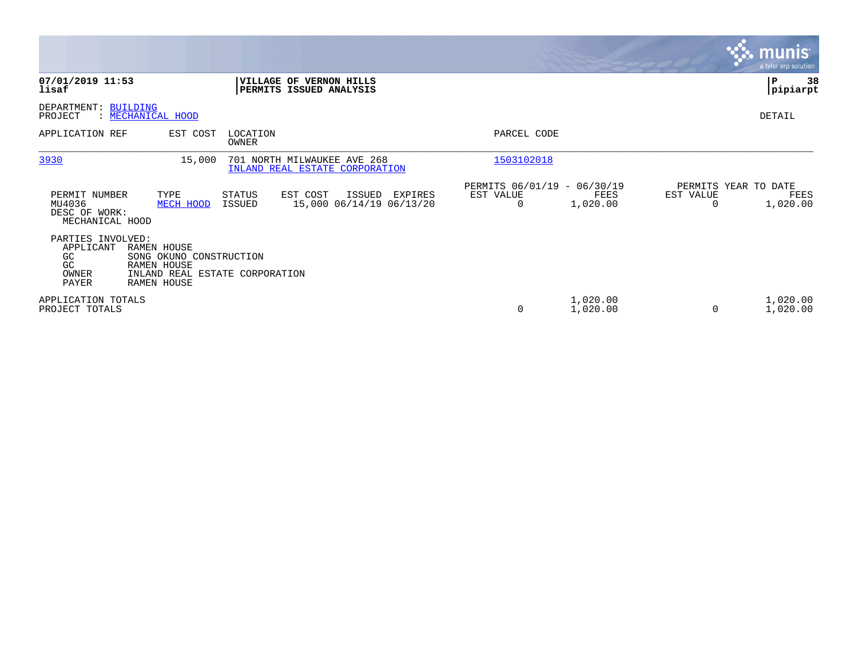|                                                              |                                                                                                                      |                         |                                                               |         |                                               |                      |                                        | munis<br>a tyler erp solution |
|--------------------------------------------------------------|----------------------------------------------------------------------------------------------------------------------|-------------------------|---------------------------------------------------------------|---------|-----------------------------------------------|----------------------|----------------------------------------|-------------------------------|
| 07/01/2019 11:53<br>lisaf                                    |                                                                                                                      |                         | VILLAGE OF VERNON HILLS<br>PERMITS ISSUED ANALYSIS            |         |                                               |                      |                                        | P<br>38<br> pipiarpt          |
| DEPARTMENT: BUILDING<br>PROJECT                              | : MECHANICAL HOOD                                                                                                    |                         |                                                               |         |                                               |                      |                                        | DETAIL                        |
| APPLICATION REF                                              | EST COST                                                                                                             | LOCATION<br>OWNER       |                                                               |         | PARCEL CODE                                   |                      |                                        |                               |
| 3930                                                         | 15,000                                                                                                               |                         | 701 NORTH MILWAUKEE AVE 268<br>INLAND REAL ESTATE CORPORATION |         | 1503102018                                    |                      |                                        |                               |
| PERMIT NUMBER<br>MU4036<br>DESC OF WORK:<br>MECHANICAL HOOD  | TYPE<br>MECH HOOD                                                                                                    | STATUS<br><b>ISSUED</b> | EST COST<br>ISSUED<br>15,000 06/14/19 06/13/20                | EXPIRES | PERMITS 06/01/19 - 06/30/19<br>EST VALUE<br>0 | FEES<br>1,020.00     | PERMITS YEAR TO DATE<br>EST VALUE<br>0 | FEES<br>1,020.00              |
| PARTIES INVOLVED:<br>APPLICANT<br>GC<br>GC<br>OWNER<br>PAYER | <b>RAMEN HOUSE</b><br>SONG OKUNO CONSTRUCTION<br><b>RAMEN HOUSE</b><br>INLAND REAL ESTATE CORPORATION<br>RAMEN HOUSE |                         |                                                               |         |                                               |                      |                                        |                               |
| APPLICATION TOTALS<br>PROJECT TOTALS                         |                                                                                                                      |                         |                                                               |         | $\mathbf 0$                                   | 1,020.00<br>1,020.00 | $\Omega$                               | 1,020.00<br>1,020.00          |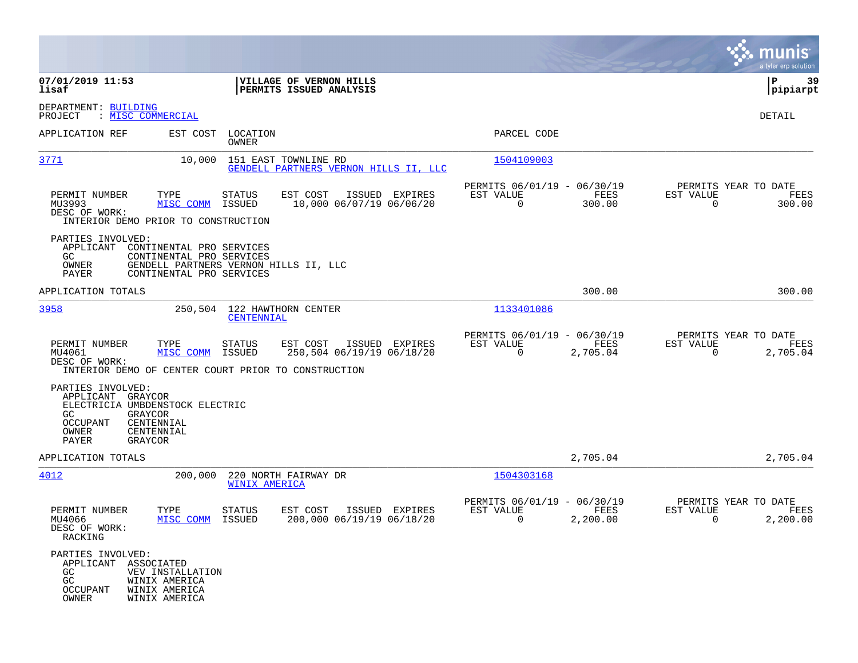|                                                                                                                                                                  |                                                                                                                                           |                                                                                | munis <sup>'</sup><br>a tyler erp solution                              |
|------------------------------------------------------------------------------------------------------------------------------------------------------------------|-------------------------------------------------------------------------------------------------------------------------------------------|--------------------------------------------------------------------------------|-------------------------------------------------------------------------|
| 07/01/2019 11:53<br>lisaf                                                                                                                                        | VILLAGE OF VERNON HILLS<br>PERMITS ISSUED ANALYSIS                                                                                        |                                                                                | l P<br>39<br> pipiarpt                                                  |
| DEPARTMENT: BUILDING<br>: <u>MISC COMMERCIAL</u><br>PROJECT                                                                                                      |                                                                                                                                           |                                                                                | DETAIL                                                                  |
| APPLICATION REF<br>EST COST                                                                                                                                      | LOCATION<br>OWNER                                                                                                                         | PARCEL CODE                                                                    |                                                                         |
| 3771<br>10,000                                                                                                                                                   | 151 EAST TOWNLINE RD<br>GENDELL PARTNERS VERNON HILLS II, LLC                                                                             | 1504109003                                                                     |                                                                         |
| PERMIT NUMBER<br>TYPE<br>MU3993<br>MISC COMM<br>DESC OF WORK:<br>INTERIOR DEMO PRIOR TO CONSTRUCTION                                                             | STATUS<br>EST COST<br>ISSUED EXPIRES<br>ISSUED<br>10,000 06/07/19 06/06/20                                                                | PERMITS 06/01/19 - 06/30/19<br>EST VALUE<br>FEES<br>$\mathbf 0$<br>300.00      | PERMITS YEAR TO DATE<br>EST VALUE<br>FEES<br>0<br>300.00                |
| PARTIES INVOLVED:<br>APPLICANT<br>CONTINENTAL PRO SERVICES<br>GC.<br>CONTINENTAL PRO SERVICES<br>OWNER<br>PAYER<br>CONTINENTAL PRO SERVICES                      | GENDELL PARTNERS VERNON HILLS II, LLC                                                                                                     |                                                                                |                                                                         |
| APPLICATION TOTALS                                                                                                                                               |                                                                                                                                           | 300.00                                                                         | 300.00                                                                  |
| 3958                                                                                                                                                             | 250,504 122 HAWTHORN CENTER<br><b>CENTENNIAL</b>                                                                                          | 1133401086                                                                     |                                                                         |
| PERMIT NUMBER<br>TYPE<br>MU4061<br>MISC COMM<br>DESC OF WORK:                                                                                                    | <b>STATUS</b><br>EST COST<br>ISSUED EXPIRES<br>ISSUED<br>250,504 06/19/19 06/18/20<br>INTERIOR DEMO OF CENTER COURT PRIOR TO CONSTRUCTION | PERMITS 06/01/19 - 06/30/19<br>EST VALUE<br>FEES<br>0<br>2,705.04              | PERMITS YEAR TO DATE<br>EST VALUE<br>FEES<br>$\Omega$<br>2,705.04       |
| PARTIES INVOLVED:<br>APPLICANT GRAYCOR<br>ELECTRICIA UMBDENSTOCK ELECTRIC<br>GC.<br>GRAYCOR<br>OCCUPANT<br>CENTENNIAL<br>OWNER<br>CENTENNIAL<br>PAYER<br>GRAYCOR |                                                                                                                                           |                                                                                |                                                                         |
| APPLICATION TOTALS                                                                                                                                               |                                                                                                                                           | 2,705.04                                                                       | 2,705.04                                                                |
| 4012<br>200,000                                                                                                                                                  | 220 NORTH FAIRWAY DR<br>WINIX AMERICA                                                                                                     | 1504303168                                                                     |                                                                         |
| PERMIT NUMBER<br>TYPE<br>MU4066<br>DESC OF WORK:<br>RACKING                                                                                                      | ISSUED EXPIRES<br><b>STATUS</b><br>EST COST<br>MISC COMM ISSUED<br>200,000 06/19/19 06/18/20                                              | PERMITS 06/01/19 - 06/30/19<br>EST VALUE<br>FEES<br>2,200.00<br>$\overline{0}$ | PERMITS YEAR TO DATE<br>EST VALUE<br>FEES<br>2,200.00<br>$\overline{0}$ |
| PARTIES INVOLVED:<br>APPLICANT ASSOCIATED<br>GC<br>VEV INSTALLATION<br>GC<br>WINIX AMERICA<br>OCCUPANT<br>WINIX AMERICA<br>OWNER<br>WINIX AMERICA                |                                                                                                                                           |                                                                                |                                                                         |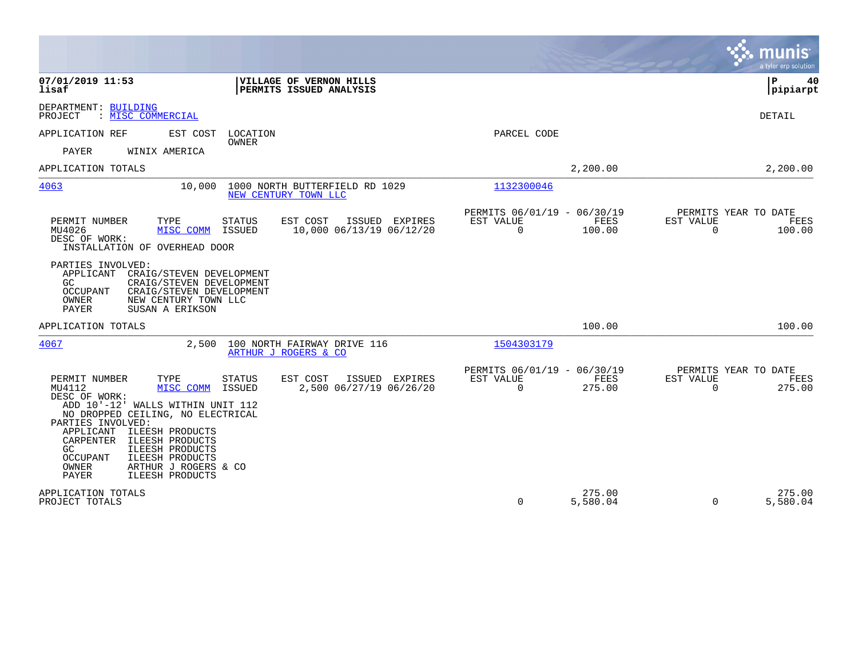|                                                                                                                                                                                                                                                                                                                                                                                                                                               |                                                                                  | munis<br>a tyler erp solution                                      |
|-----------------------------------------------------------------------------------------------------------------------------------------------------------------------------------------------------------------------------------------------------------------------------------------------------------------------------------------------------------------------------------------------------------------------------------------------|----------------------------------------------------------------------------------|--------------------------------------------------------------------|
| 07/01/2019 11:53<br>VILLAGE OF VERNON HILLS<br>lisaf<br>PERMITS ISSUED ANALYSIS                                                                                                                                                                                                                                                                                                                                                               |                                                                                  | ΙP<br>40<br> pipiarpt                                              |
| DEPARTMENT: BUILDING<br>PROJECT<br>: MISC COMMERCIAL                                                                                                                                                                                                                                                                                                                                                                                          |                                                                                  | <b>DETAIL</b>                                                      |
| APPLICATION REF<br>EST COST<br>LOCATION<br><b>OWNER</b>                                                                                                                                                                                                                                                                                                                                                                                       | PARCEL CODE                                                                      |                                                                    |
| PAYER<br>WINIX AMERICA                                                                                                                                                                                                                                                                                                                                                                                                                        |                                                                                  |                                                                    |
| APPLICATION TOTALS                                                                                                                                                                                                                                                                                                                                                                                                                            | 2,200.00                                                                         | 2,200.00                                                           |
| 1000 NORTH BUTTERFIELD RD 1029<br>4063<br>10,000<br>NEW CENTURY TOWN LLC                                                                                                                                                                                                                                                                                                                                                                      | 1132300046                                                                       |                                                                    |
| EST COST<br>PERMIT NUMBER<br>TYPE<br><b>STATUS</b><br>ISSUED EXPIRES<br>MU4026<br><b>ISSUED</b><br>10,000 06/13/19 06/12/20<br>MISC COMM<br>DESC OF WORK:<br>INSTALLATION OF OVERHEAD DOOR                                                                                                                                                                                                                                                    | PERMITS 06/01/19 - 06/30/19<br><b>FEES</b><br>EST VALUE<br>$\mathbf 0$<br>100.00 | PERMITS YEAR TO DATE<br>EST VALUE<br>FEES<br>$\mathbf 0$<br>100.00 |
| PARTIES INVOLVED:<br>APPLICANT<br>CRAIG/STEVEN DEVELOPMENT<br>GC<br>CRAIG/STEVEN DEVELOPMENT<br><b>OCCUPANT</b><br>CRAIG/STEVEN DEVELOPMENT<br>OWNER<br>NEW CENTURY TOWN LLC<br>PAYER<br>SUSAN A ERIKSON                                                                                                                                                                                                                                      |                                                                                  |                                                                    |
| APPLICATION TOTALS                                                                                                                                                                                                                                                                                                                                                                                                                            | 100.00                                                                           | 100.00                                                             |
| 4067<br>2,500<br>100 NORTH FAIRWAY DRIVE 116<br>ARTHUR J ROGERS & CO                                                                                                                                                                                                                                                                                                                                                                          | 1504303179                                                                       |                                                                    |
| PERMIT NUMBER<br>EST COST<br>ISSUED EXPIRES<br>TYPE<br>STATUS<br>2,500 06/27/19 06/26/20<br>MU4112<br>MISC COMM<br>ISSUED<br>DESC OF WORK:<br>ADD 10'-12' WALLS WITHIN UNIT 112<br>NO DROPPED CEILING, NO ELECTRICAL<br>PARTIES INVOLVED:<br>APPLICANT<br>ILEESH PRODUCTS<br>CARPENTER<br>ILEESH PRODUCTS<br>ILEESH PRODUCTS<br>GC.<br><b>OCCUPANT</b><br>ILEESH PRODUCTS<br>OWNER<br>ARTHUR J ROGERS & CO<br><b>PAYER</b><br>ILEESH PRODUCTS | PERMITS 06/01/19 - 06/30/19<br>EST VALUE<br><b>FEES</b><br>$\Omega$<br>275.00    | PERMITS YEAR TO DATE<br>EST VALUE<br>FEES<br>$\Omega$<br>275.00    |
| APPLICATION TOTALS<br>PROJECT TOTALS                                                                                                                                                                                                                                                                                                                                                                                                          | 275.00<br>0<br>5,580.04                                                          | 275.00<br>5,580.04<br>$\Omega$                                     |

 $\mathcal{L}^{\text{max}}$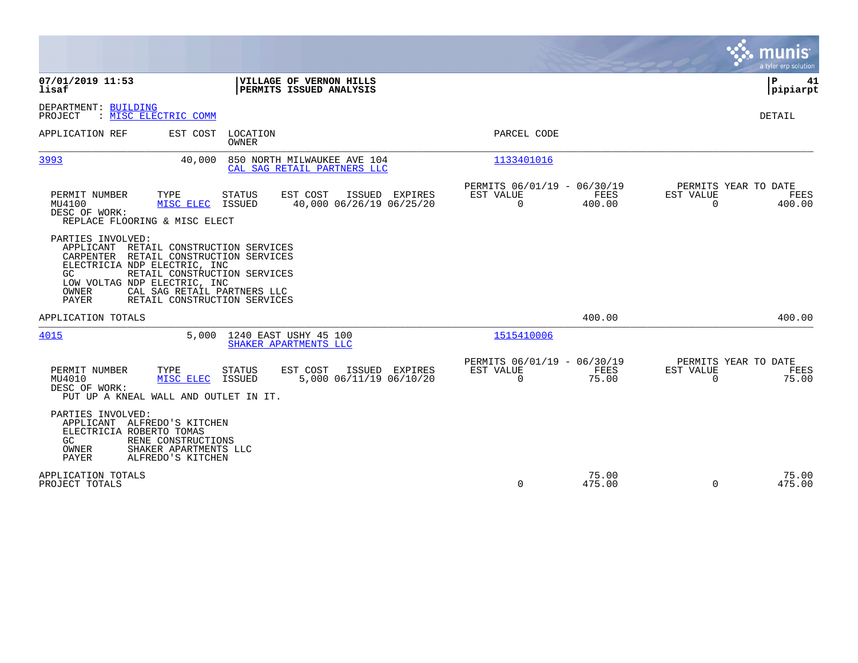|                                                                                                                                                                                                                                                                                                           |                                                                           | munis<br>a tyler erp solution                                     |
|-----------------------------------------------------------------------------------------------------------------------------------------------------------------------------------------------------------------------------------------------------------------------------------------------------------|---------------------------------------------------------------------------|-------------------------------------------------------------------|
| 07/01/2019 11:53<br>VILLAGE OF VERNON HILLS<br>lisaf<br>PERMITS ISSUED ANALYSIS                                                                                                                                                                                                                           |                                                                           | P<br>41<br> pipiarpt                                              |
| DEPARTMENT: BUILDING<br>: MISC ELECTRIC COMM<br>PROJECT                                                                                                                                                                                                                                                   |                                                                           | DETAIL                                                            |
| EST COST<br>LOCATION<br>APPLICATION REF<br>OWNER                                                                                                                                                                                                                                                          | PARCEL CODE                                                               |                                                                   |
| 3993<br>40,000<br>850 NORTH MILWAUKEE AVE 104<br>CAL SAG RETAIL PARTNERS LLC                                                                                                                                                                                                                              | 1133401016                                                                |                                                                   |
| PERMIT NUMBER<br>TYPE<br>STATUS<br>EST COST<br>ISSUED EXPIRES<br>MU4100<br>MISC ELEC<br>ISSUED<br>40,000 06/26/19 06/25/20<br>DESC OF WORK:<br>REPLACE FLOORING & MISC ELECT                                                                                                                              | PERMITS 06/01/19 - 06/30/19<br>EST VALUE<br>FEES<br>$\mathbf 0$<br>400.00 | PERMITS YEAR TO DATE<br>EST VALUE<br>FEES<br>$\Omega$<br>400.00   |
| PARTIES INVOLVED:<br>RETAIL CONSTRUCTION SERVICES<br>APPLICANT<br>RETAIL CONSTRUCTION SERVICES<br>CARPENTER<br>ELECTRICIA NDP ELECTRIC, INC<br>GC<br>RETAIL CONSTRUCTION SERVICES<br>LOW VOLTAG NDP ELECTRIC, INC<br><b>OWNER</b><br>CAL SAG RETAIL PARTNERS LLC<br>PAYER<br>RETAIL CONSTRUCTION SERVICES |                                                                           |                                                                   |
| APPLICATION TOTALS                                                                                                                                                                                                                                                                                        | 400.00                                                                    | 400.00                                                            |
| 4015<br>1240 EAST USHY 45 100<br>5,000<br>SHAKER APARTMENTS LLC                                                                                                                                                                                                                                           | 1515410006                                                                |                                                                   |
| PERMIT NUMBER<br>TYPE<br><b>STATUS</b><br>EST COST<br>ISSUED EXPIRES<br>5,000 06/11/19 06/10/20<br>MU4010<br>MISC ELEC<br>ISSUED<br>DESC OF WORK:<br>PUT UP A KNEAL WALL AND OUTLET IN IT.                                                                                                                | PERMITS 06/01/19 - 06/30/19<br>FEES<br>EST VALUE<br>$\mathbf 0$<br>75.00  | PERMITS YEAR TO DATE<br>EST VALUE<br>FEES<br>$\mathbf 0$<br>75.00 |
| PARTIES INVOLVED:<br>APPLICANT ALFREDO'S KITCHEN<br>ELECTRICIA ROBERTO TOMAS<br>RENE CONSTRUCTIONS<br>GC.<br>SHAKER APARTMENTS LLC<br>OWNER<br>PAYER<br>ALFREDO'S KITCHEN                                                                                                                                 |                                                                           |                                                                   |
| APPLICATION TOTALS<br>PROJECT TOTALS                                                                                                                                                                                                                                                                      | 75.00<br>$\Omega$<br>475.00                                               | 75.00<br>$\Omega$<br>475.00                                       |

**College**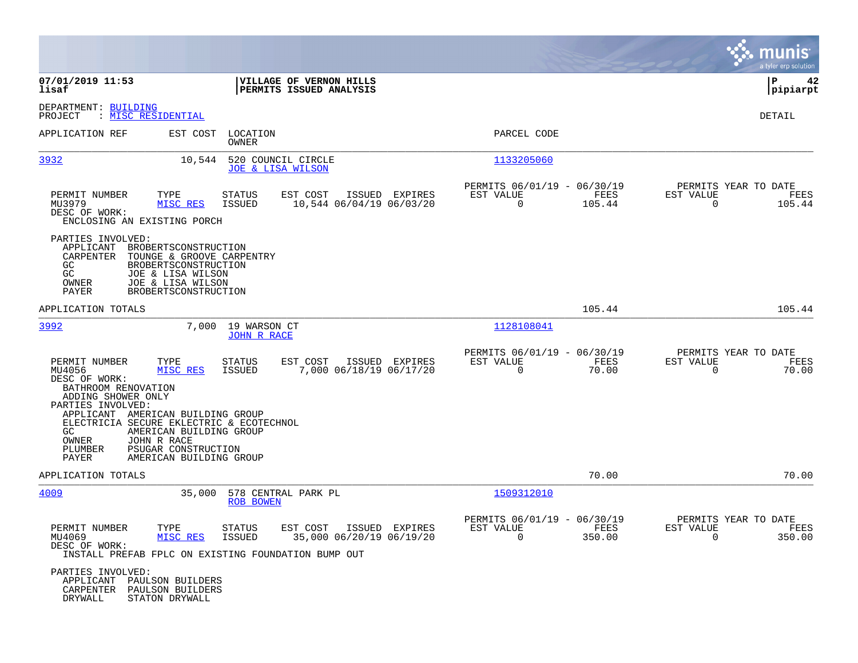|                                                                                                                                                |                                                                                                                                                                                                                                 |                                                    |                |                                                      |                |                                               | a tyler erp solution |
|------------------------------------------------------------------------------------------------------------------------------------------------|---------------------------------------------------------------------------------------------------------------------------------------------------------------------------------------------------------------------------------|----------------------------------------------------|----------------|------------------------------------------------------|----------------|-----------------------------------------------|----------------------|
| 07/01/2019 11:53<br>lisaf                                                                                                                      |                                                                                                                                                                                                                                 | VILLAGE OF VERNON HILLS<br>PERMITS ISSUED ANALYSIS |                |                                                      |                |                                               | P<br>42<br> pipiarpt |
| DEPARTMENT: BUILDING<br>PROJECT                                                                                                                | : MISC RESIDENTIAL                                                                                                                                                                                                              |                                                    |                |                                                      |                |                                               | DETAIL               |
| APPLICATION REF                                                                                                                                | LOCATION<br>EST COST<br>OWNER                                                                                                                                                                                                   |                                                    |                | PARCEL CODE                                          |                |                                               |                      |
| 3932                                                                                                                                           | 10,544                                                                                                                                                                                                                          | 520 COUNCIL CIRCLE<br><b>JOE &amp; LISA WILSON</b> |                | 1133205060                                           |                |                                               |                      |
| PERMIT NUMBER<br>MU3979<br>DESC OF WORK:                                                                                                       | TYPE<br><b>STATUS</b><br>MISC RES<br>ISSUED<br>ENCLOSING AN EXISTING PORCH                                                                                                                                                      | EST COST<br>10,544 06/04/19 06/03/20               | ISSUED EXPIRES | PERMITS 06/01/19 - 06/30/19<br>EST VALUE<br>0        | FEES<br>105.44 | PERMITS YEAR TO DATE<br>EST VALUE<br>0        | FEES<br>105.44       |
| PARTIES INVOLVED:<br>APPLICANT<br>CARPENTER<br>GC<br>$\rm GC$<br>OWNER<br>PAYER                                                                | BROBERTSCONSTRUCTION<br>TOUNGE & GROOVE CARPENTRY<br>BROBERTSCONSTRUCTION<br>JOE & LISA WILSON<br>JOE & LISA WILSON<br>BROBERTSCONSTRUCTION                                                                                     |                                                    |                |                                                      |                |                                               |                      |
| APPLICATION TOTALS                                                                                                                             |                                                                                                                                                                                                                                 |                                                    |                |                                                      | 105.44         |                                               | 105.44               |
| 3992                                                                                                                                           | 7,000                                                                                                                                                                                                                           | 19 WARSON CT<br><b>JOHN R RACE</b>                 |                | 1128108041                                           |                |                                               |                      |
| PERMIT NUMBER<br>MU4056<br>DESC OF WORK:<br>BATHROOM RENOVATION<br>ADDING SHOWER ONLY<br>PARTIES INVOLVED:<br>GC.<br>OWNER<br>PLUMBER<br>PAYER | TYPE<br><b>STATUS</b><br>MISC RES<br><b>ISSUED</b><br>APPLICANT AMERICAN BUILDING GROUP<br>ELECTRICIA SECURE EKLECTRIC & ECOTECHNOL<br>AMERICAN BUILDING GROUP<br>JOHN R RACE<br>PSUGAR CONSTRUCTION<br>AMERICAN BUILDING GROUP | EST COST<br>7,000 06/18/19 06/17/20                | ISSUED EXPIRES | PERMITS 06/01/19 - 06/30/19<br>EST VALUE<br>0        | FEES<br>70.00  | PERMITS YEAR TO DATE<br>EST VALUE<br>0        | FEES<br>70.00        |
| APPLICATION TOTALS                                                                                                                             |                                                                                                                                                                                                                                 |                                                    |                |                                                      | 70.00          |                                               | 70.00                |
| 4009                                                                                                                                           | 35,000                                                                                                                                                                                                                          | 578 CENTRAL PARK PL<br><b>ROB BOWEN</b>            |                | 1509312010                                           |                |                                               |                      |
| PERMIT NUMBER<br>MU4069<br>DESC OF WORK:                                                                                                       | TYPE<br><b>STATUS</b><br>MISC RES<br>ISSUED<br>INSTALL PREFAB FPLC ON EXISTING FOUNDATION BUMP OUT                                                                                                                              | EST COST<br>35,000 06/20/19 06/19/20               | ISSUED EXPIRES | PERMITS 06/01/19 - 06/30/19<br>EST VALUE<br>$\Omega$ | FEES<br>350.00 | PERMITS YEAR TO DATE<br>EST VALUE<br>$\Omega$ | FEES<br>350.00       |
| PARTIES INVOLVED:<br>APPLICANT<br>DRYWALL                                                                                                      | PAULSON BUILDERS<br>CARPENTER PAULSON BUILDERS<br>STATON DRYWALL                                                                                                                                                                |                                                    |                |                                                      |                |                                               |                      |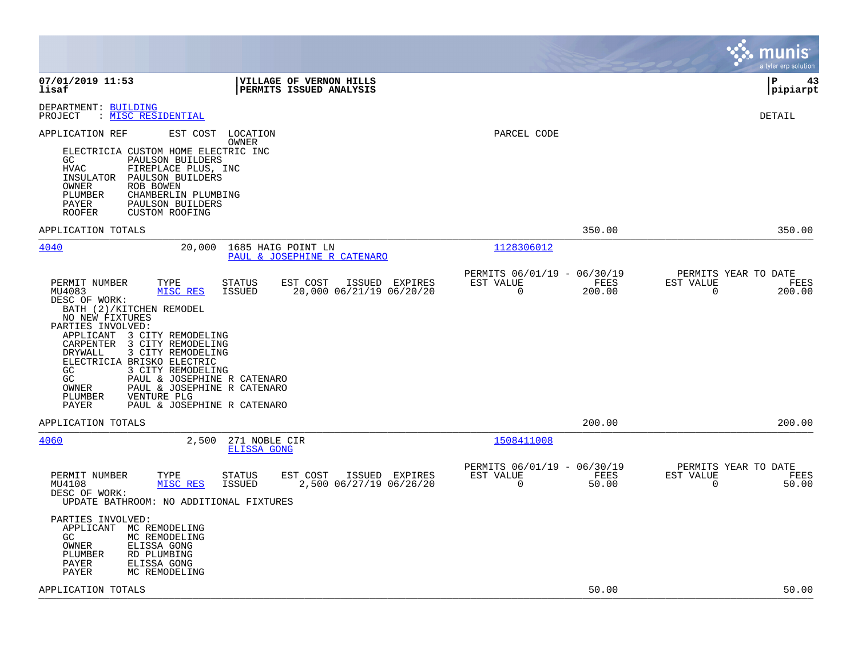|                                                                                                                                                                                                                                                                                                                                                                                                                                                                                                                                                  |                                                                           | munis<br>a tyler erp solution                            |
|--------------------------------------------------------------------------------------------------------------------------------------------------------------------------------------------------------------------------------------------------------------------------------------------------------------------------------------------------------------------------------------------------------------------------------------------------------------------------------------------------------------------------------------------------|---------------------------------------------------------------------------|----------------------------------------------------------|
| 07/01/2019 11:53<br><b>VILLAGE OF VERNON HILLS</b><br>lisaf<br><b>PERMITS ISSUED ANALYSIS</b>                                                                                                                                                                                                                                                                                                                                                                                                                                                    |                                                                           | l P<br>43<br> pipiarpt                                   |
| DEPARTMENT: BUILDING<br>: MISC RESIDENTIAL<br>PROJECT                                                                                                                                                                                                                                                                                                                                                                                                                                                                                            |                                                                           | DETAIL                                                   |
| EST COST<br>APPLICATION REF<br>LOCATION<br><b>OWNER</b><br>ELECTRICIA CUSTOM HOME ELECTRIC INC<br>PAULSON BUILDERS<br>GC<br>FIREPLACE PLUS, INC<br>HVAC<br>INSULATOR<br>PAULSON BUILDERS<br>OWNER<br>ROB BOWEN<br>PLUMBER<br>CHAMBERLIN PLUMBING<br>PAYER<br>PAULSON BUILDERS<br><b>ROOFER</b><br><b>CUSTOM ROOFING</b>                                                                                                                                                                                                                          | PARCEL CODE                                                               |                                                          |
| APPLICATION TOTALS                                                                                                                                                                                                                                                                                                                                                                                                                                                                                                                               | 350.00                                                                    | 350.00                                                   |
| 4040<br>20,000<br>1685 HAIG POINT LN<br>PAUL & JOSEPHINE R CATENARO                                                                                                                                                                                                                                                                                                                                                                                                                                                                              | 1128306012                                                                |                                                          |
| PERMIT NUMBER<br>TYPE<br>EST COST<br>ISSUED EXPIRES<br><b>STATUS</b><br>MU4083<br><b>MISC RES</b><br><b>ISSUED</b><br>20,000 06/21/19 06/20/20<br>DESC OF WORK:<br>BATH (2)/KITCHEN REMODEL<br>NO NEW FIXTURES<br>PARTIES INVOLVED:<br>3 CITY REMODELING<br>APPLICANT<br>CARPENTER<br>3 CITY REMODELING<br>3 CITY REMODELING<br>DRYWALL<br>ELECTRICIA BRISKO ELECTRIC<br>3 CITY REMODELING<br>GC.<br>GC<br>PAUL & JOSEPHINE R CATENARO<br>OWNER<br>PAUL & JOSEPHINE R CATENARO<br>PLUMBER<br>VENTURE PLG<br>PAYER<br>PAUL & JOSEPHINE R CATENARO | PERMITS 06/01/19 - 06/30/19<br>EST VALUE<br>FEES<br>$\mathbf 0$<br>200.00 | PERMITS YEAR TO DATE<br>EST VALUE<br>FEES<br>0<br>200.00 |
| APPLICATION TOTALS                                                                                                                                                                                                                                                                                                                                                                                                                                                                                                                               | 200.00                                                                    | 200.00                                                   |
| 4060<br>2,500<br>271 NOBLE CIR<br>ELISSA GONG                                                                                                                                                                                                                                                                                                                                                                                                                                                                                                    | 1508411008<br>PERMITS 06/01/19 - 06/30/19                                 | PERMITS YEAR TO DATE                                     |
| PERMIT NUMBER<br>TYPE<br>ISSUED EXPIRES<br><b>STATUS</b><br>EST COST<br>2,500 06/27/19 06/26/20<br>MU4108<br>MISC RES<br>ISSUED<br>DESC OF WORK:<br>UPDATE BATHROOM: NO ADDITIONAL FIXTURES<br>PARTIES INVOLVED:<br>APPLICANT MC REMODELING<br>GC<br>MC REMODELING<br>OWNER<br>ELISSA GONG<br>PLUMBER<br>RD PLUMBING<br>ELISSA GONG<br>PAYER<br>PAYER<br>MC REMODELING                                                                                                                                                                           | EST VALUE<br>FEES<br>$\Omega$<br>50.00                                    | EST VALUE<br>FEES<br>$\Omega$<br>50.00                   |
| APPLICATION TOTALS                                                                                                                                                                                                                                                                                                                                                                                                                                                                                                                               | 50.00                                                                     | 50.00                                                    |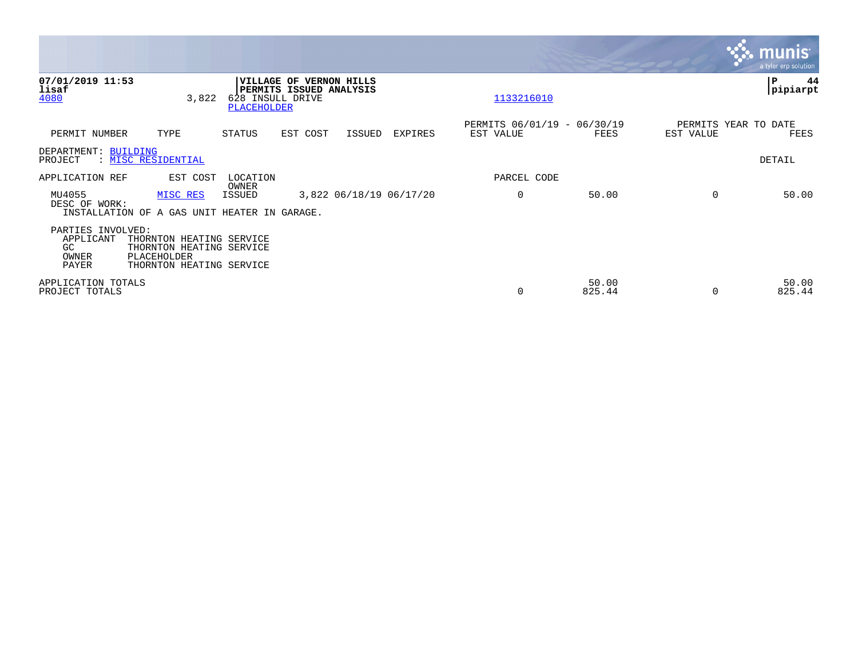|                                                         |                                                                                                 |                                 |                                                    |               |                         |                                          |                 |           | $\overline{\mathsf{m} \mathsf{u}}$ nıs'<br>a tyler erp solution |
|---------------------------------------------------------|-------------------------------------------------------------------------------------------------|---------------------------------|----------------------------------------------------|---------------|-------------------------|------------------------------------------|-----------------|-----------|-----------------------------------------------------------------|
| 07/01/2019 11:53<br>lisaf<br>4080                       | 3,822                                                                                           | 628 INSULL DRIVE<br>PLACEHOLDER | VILLAGE OF VERNON HILLS<br>PERMITS ISSUED ANALYSIS |               |                         | 1133216010                               |                 |           | 44<br>Р<br> pipiarpt                                            |
| PERMIT NUMBER                                           | TYPE                                                                                            | STATUS                          | EST COST                                           | <b>ISSUED</b> | <b>EXPIRES</b>          | PERMITS 06/01/19 - 06/30/19<br>EST VALUE | FEES            | EST VALUE | PERMITS YEAR TO DATE<br>FEES                                    |
| DEPARTMENT: BUILDING<br>PROJECT                         | : MISC RESIDENTIAL                                                                              |                                 |                                                    |               |                         |                                          |                 |           | DETAIL                                                          |
| APPLICATION REF                                         | EST COST                                                                                        | LOCATION<br>OWNER               |                                                    |               |                         | PARCEL CODE                              |                 |           |                                                                 |
| MU4055<br>DESC OF WORK:                                 | MISC RES<br>INSTALLATION OF A GAS UNIT HEATER IN GARAGE.                                        | <b>ISSUED</b>                   |                                                    |               | 3,822 06/18/19 06/17/20 | 0                                        | 50.00           | $\Omega$  | 50.00                                                           |
| PARTIES INVOLVED:<br>APPLICANT<br>GC.<br>OWNER<br>PAYER | THORNTON HEATING SERVICE<br>THORNTON HEATING SERVICE<br>PLACEHOLDER<br>THORNTON HEATING SERVICE |                                 |                                                    |               |                         |                                          |                 |           |                                                                 |
| APPLICATION TOTALS<br>PROJECT TOTALS                    |                                                                                                 |                                 |                                                    |               |                         | 0                                        | 50.00<br>825.44 | $\Omega$  | 50.00<br>825.44                                                 |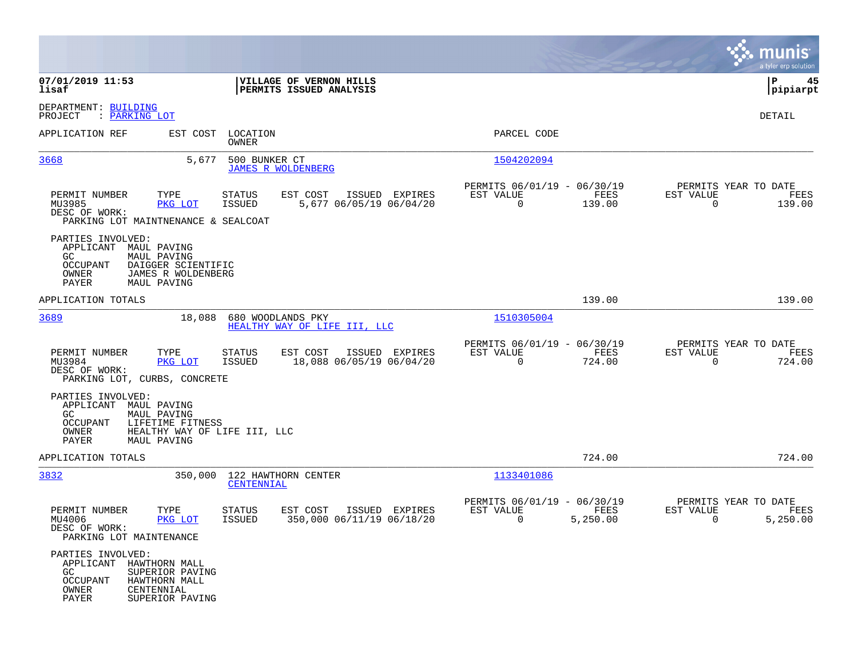|                                                                                                                                                                          |                                                                                    |                                                                             | munis<br>a tyler erp solution                                   |
|--------------------------------------------------------------------------------------------------------------------------------------------------------------------------|------------------------------------------------------------------------------------|-----------------------------------------------------------------------------|-----------------------------------------------------------------|
| 07/01/2019 11:53<br>lisaf                                                                                                                                                | VILLAGE OF VERNON HILLS<br>PERMITS ISSUED ANALYSIS                                 |                                                                             | ΙP<br>45<br> pipiarpt                                           |
| DEPARTMENT: BUILDING<br>PROJECT<br>: PARKING LOT                                                                                                                         |                                                                                    |                                                                             | DETAIL                                                          |
| APPLICATION REF                                                                                                                                                          | EST COST LOCATION<br><b>OWNER</b>                                                  | PARCEL CODE                                                                 |                                                                 |
| 3668<br>5,677                                                                                                                                                            | 500 BUNKER CT<br><b>JAMES R WOLDENBERG</b>                                         | 1504202094                                                                  |                                                                 |
| PERMIT NUMBER<br>TYPE<br>MU3985<br>PKG LOT<br>DESC OF WORK:<br>PARKING LOT MAINTNENANCE & SEALCOAT                                                                       | <b>STATUS</b><br>EST COST<br>ISSUED EXPIRES<br>ISSUED<br>5,677 06/05/19 06/04/20   | PERMITS 06/01/19 - 06/30/19<br>EST VALUE<br>FEES<br>$\mathbf 0$<br>139.00   | PERMITS YEAR TO DATE<br>EST VALUE<br>FEES<br>139.00<br>$\Omega$ |
| PARTIES INVOLVED:<br>APPLICANT MAUL PAVING<br>GC.<br>MAUL PAVING<br><b>OCCUPANT</b><br>DAIGGER SCIENTIFIC<br>OWNER<br>JAMES R WOLDENBERG<br>PAYER<br>MAUL PAVING         |                                                                                    |                                                                             |                                                                 |
| APPLICATION TOTALS                                                                                                                                                       |                                                                                    | 139.00                                                                      | 139.00                                                          |
| 3689<br>18,088                                                                                                                                                           | 680 WOODLANDS PKY<br>HEALTHY WAY OF LIFE III, LLC                                  | 1510305004                                                                  |                                                                 |
| PERMIT NUMBER<br>TYPE<br>MU3984<br>PKG LOT<br>DESC OF WORK:<br>PARKING LOT, CURBS, CONCRETE                                                                              | STATUS<br>EST COST<br>ISSUED EXPIRES<br>ISSUED<br>18,088 06/05/19 06/04/20         | PERMITS 06/01/19 - 06/30/19<br>FEES<br>EST VALUE<br>$\Omega$<br>724.00      | PERMITS YEAR TO DATE<br>EST VALUE<br>FEES<br>$\Omega$<br>724.00 |
| PARTIES INVOLVED:<br>APPLICANT MAUL PAVING<br>MAUL PAVING<br>GC.<br><b>OCCUPANT</b><br>LIFETIME FITNESS<br>OWNER<br>HEALTHY WAY OF LIFE III, LLC<br>PAYER<br>MAUL PAVING |                                                                                    |                                                                             |                                                                 |
| APPLICATION TOTALS                                                                                                                                                       |                                                                                    | 724.00                                                                      | 724.00                                                          |
| 3832                                                                                                                                                                     | 350,000 122 HAWTHORN CENTER<br>CENTENNIAL                                          | 1133401086                                                                  |                                                                 |
| PERMIT NUMBER<br>TYPE<br>MU4006<br>PKG LOT<br>DESC OF WORK:<br>PARKING LOT MAINTENANCE                                                                                   | STATUS<br>EST COST<br>ISSUED EXPIRES<br><b>ISSUED</b><br>350,000 06/11/19 06/18/20 | PERMITS 06/01/19 - 06/30/19<br>EST VALUE<br>FEES<br>$\mathbf 0$<br>5,250.00 | PERMITS YEAR TO DATE<br>EST VALUE<br>FEES<br>0<br>5,250.00      |
| PARTIES INVOLVED:<br>APPLICANT HAWTHORN MALL<br>SUPERIOR PAVING<br>GC<br>OCCUPANT<br>HAWTHORN MALL<br>OWNER<br>CENTENNIAL<br>PAYER<br>SUPERIOR PAVING                    |                                                                                    |                                                                             |                                                                 |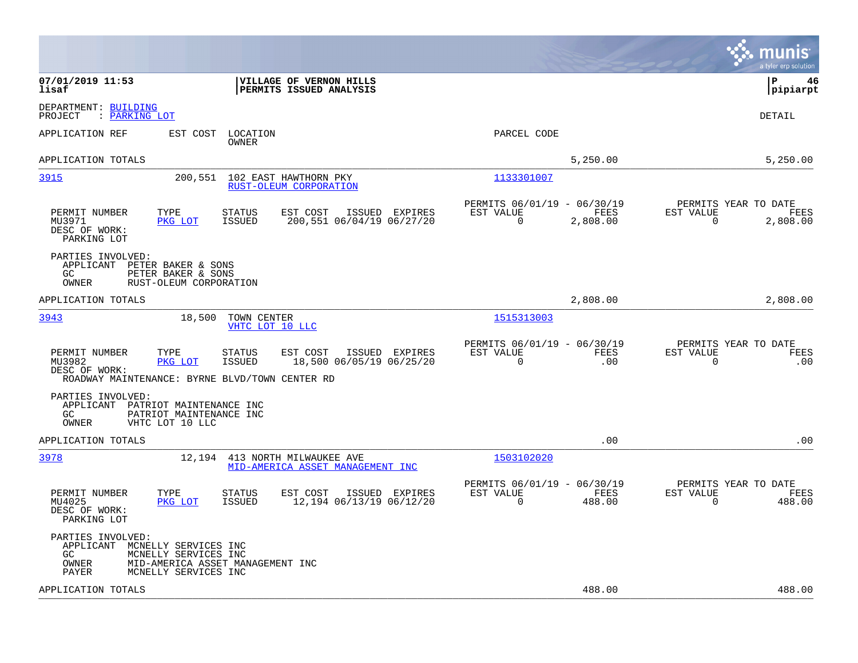|                                                                                                                                                                                                    |                                                                             | munis<br>a tyler erp solution                                      |
|----------------------------------------------------------------------------------------------------------------------------------------------------------------------------------------------------|-----------------------------------------------------------------------------|--------------------------------------------------------------------|
| 07/01/2019 11:53<br>VILLAGE OF VERNON HILLS<br>lisaf<br>PERMITS ISSUED ANALYSIS                                                                                                                    |                                                                             | l P<br>46<br> pipiarpt                                             |
| DEPARTMENT: BUILDING<br>: PARKING LOT<br>PROJECT                                                                                                                                                   |                                                                             | DETAIL                                                             |
| APPLICATION REF<br>EST COST<br>LOCATION<br>OWNER                                                                                                                                                   | PARCEL CODE                                                                 |                                                                    |
| APPLICATION TOTALS                                                                                                                                                                                 | 5.250.00                                                                    | 5,250.00                                                           |
| 3915<br>200,551 102 EAST HAWTHORN PKY<br>RUST-OLEUM CORPORATION                                                                                                                                    | 1133301007                                                                  |                                                                    |
| EST COST<br>PERMIT NUMBER<br>TYPE<br><b>STATUS</b><br>ISSUED EXPIRES<br>MU3971<br>PKG LOT<br>ISSUED<br>200,551 06/04/19 06/27/20<br>DESC OF WORK:<br>PARKING LOT                                   | PERMITS 06/01/19 - 06/30/19<br>EST VALUE<br>FEES<br>$\mathbf 0$<br>2,808.00 | PERMITS YEAR TO DATE<br>EST VALUE<br>FEES<br>0<br>2,808.00         |
| PARTIES INVOLVED:<br>APPLICANT<br>PETER BAKER & SONS<br>GC.<br>PETER BAKER & SONS<br>OWNER<br>RUST-OLEUM CORPORATION                                                                               |                                                                             |                                                                    |
| APPLICATION TOTALS                                                                                                                                                                                 | 2,808.00                                                                    | 2,808.00                                                           |
| 3943<br>18,500<br>TOWN CENTER<br>VHTC LOT 10 LLC                                                                                                                                                   | 1515313003                                                                  |                                                                    |
| PERMIT NUMBER<br>TYPE<br>EST COST<br>ISSUED EXPIRES<br>STATUS<br>MU3982<br>PKG LOT<br><b>ISSUED</b><br>18,500 06/05/19 06/25/20<br>DESC OF WORK:<br>ROADWAY MAINTENANCE: BYRNE BLVD/TOWN CENTER RD | PERMITS 06/01/19 - 06/30/19<br>FEES<br>EST VALUE<br>$\mathbf 0$<br>.00      | PERMITS YEAR TO DATE<br>EST VALUE<br>FEES<br>$\mathbf 0$<br>.00    |
| PARTIES INVOLVED:<br>APPLICANT PATRIOT MAINTENANCE INC<br>GC.<br>PATRIOT MAINTENANCE INC<br>OWNER<br>VHTC LOT 10 LLC                                                                               |                                                                             |                                                                    |
| APPLICATION TOTALS                                                                                                                                                                                 | .00                                                                         | .00                                                                |
| 3978<br>12,194<br>413 NORTH MILWAUKEE AVE<br>MID-AMERICA ASSET MANAGEMENT INC                                                                                                                      | 1503102020                                                                  |                                                                    |
| PERMIT NUMBER<br>TYPE<br><b>STATUS</b><br>EST COST<br>ISSUED EXPIRES<br>12,194 06/13/19 06/12/20<br>MU4025<br>PKG LOT<br><b>ISSUED</b><br>DESC OF WORK:<br>PARKING LOT                             | PERMITS 06/01/19 -<br>06/30/19<br>EST VALUE<br>FEES<br>$\Omega$<br>488.00   | PERMITS YEAR TO DATE<br>EST VALUE<br>FEES<br>$\mathbf 0$<br>488.00 |
| PARTIES INVOLVED:<br>APPLICANT<br>MCNELLY SERVICES INC<br>GC.<br>MCNELLY SERVICES INC<br>MID-AMERICA ASSET MANAGEMENT INC<br>OWNER<br>PAYER<br>MCNELLY SERVICES INC                                |                                                                             |                                                                    |
| APPLICATION TOTALS                                                                                                                                                                                 | 488.00                                                                      | 488.00                                                             |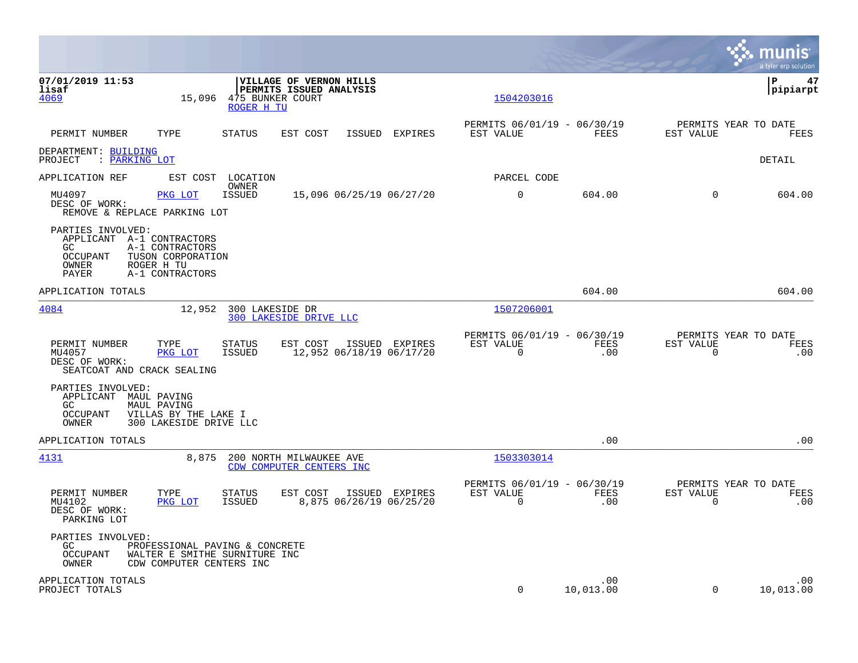|                                                                                           |                                                                                             |                                       |                                                     |                |                                               |                    |                                                  | munis<br>a tyler erp solution |
|-------------------------------------------------------------------------------------------|---------------------------------------------------------------------------------------------|---------------------------------------|-----------------------------------------------------|----------------|-----------------------------------------------|--------------------|--------------------------------------------------|-------------------------------|
| 07/01/2019 11:53<br>lisaf<br>4069                                                         | 15,096                                                                                      | 475 BUNKER COURT<br><b>ROGER H TU</b> | VILLAGE OF VERNON HILLS<br>PERMITS ISSUED ANALYSIS  |                | 1504203016                                    |                    |                                                  | ΙP<br>47<br> pipiarpt         |
| PERMIT NUMBER                                                                             | TYPE                                                                                        | <b>STATUS</b>                         | EST COST<br>ISSUED                                  | <b>EXPIRES</b> | PERMITS 06/01/19 - 06/30/19<br>EST VALUE      | FEES               | PERMITS YEAR TO DATE<br>EST VALUE                | FEES                          |
| DEPARTMENT: BUILDING<br>: <u>PARKING LOT</u><br>PROJECT                                   |                                                                                             |                                       |                                                     |                |                                               |                    |                                                  | DETAIL                        |
| APPLICATION REF                                                                           | EST COST                                                                                    | LOCATION                              |                                                     |                | PARCEL CODE                                   |                    |                                                  |                               |
| MU4097<br>DESC OF WORK:<br>REMOVE & REPLACE PARKING LOT                                   | PKG LOT                                                                                     | OWNER<br><b>ISSUED</b>                | 15,096 06/25/19 06/27/20                            |                | 0                                             | 604.00             | $\mathbf 0$                                      | 604.00                        |
| PARTIES INVOLVED:<br>APPLICANT A-1 CONTRACTORS<br>GC<br><b>OCCUPANT</b><br>OWNER<br>PAYER | A-1 CONTRACTORS<br>TUSON CORPORATION<br>ROGER H TU<br>A-1 CONTRACTORS                       |                                       |                                                     |                |                                               |                    |                                                  |                               |
| APPLICATION TOTALS                                                                        |                                                                                             |                                       |                                                     |                |                                               | 604.00             |                                                  | 604.00                        |
| 4084                                                                                      | 12,952                                                                                      | 300 LAKESIDE DR                       | 300 LAKESIDE DRIVE LLC                              |                | 1507206001                                    |                    |                                                  |                               |
| PERMIT NUMBER<br>MU4057<br>DESC OF WORK:<br>SEATCOAT AND CRACK SEALING                    | TYPE<br>PKG LOT                                                                             | STATUS<br>ISSUED                      | EST COST<br>12,952 06/18/19 06/17/20                | ISSUED EXPIRES | PERMITS 06/01/19 - 06/30/19<br>EST VALUE<br>0 | <b>FEES</b><br>.00 | PERMITS YEAR TO DATE<br>EST VALUE<br>$\mathbf 0$ | FEES<br>.00                   |
| PARTIES INVOLVED:<br>APPLICANT<br>GC.<br><b>OCCUPANT</b><br>OWNER                         | MAUL PAVING<br>MAUL PAVING<br>VILLAS BY THE LAKE I<br>300 LAKESIDE DRIVE LLC                |                                       |                                                     |                |                                               |                    |                                                  |                               |
| APPLICATION TOTALS                                                                        |                                                                                             |                                       |                                                     |                |                                               | .00                |                                                  | .00                           |
| 4131                                                                                      | 8,875                                                                                       |                                       | 200 NORTH MILWAUKEE AVE<br>CDW COMPUTER CENTERS INC |                | 1503303014                                    |                    |                                                  |                               |
| PERMIT NUMBER<br>MU4102<br>DESC OF WORK:<br>PARKING LOT                                   | TYPE<br>PKG LOT                                                                             | <b>STATUS</b><br>ISSUED               | EST COST<br>8,875 06/26/19 06/25/20                 | ISSUED EXPIRES | PERMITS 06/01/19 - 06/30/19<br>EST VALUE<br>0 | <b>FEES</b><br>.00 | PERMITS YEAR TO DATE<br>EST VALUE<br>0           | FEES<br>.00                   |
| PARTIES INVOLVED:<br>GC<br>OCCUPANT<br>OWNER                                              | PROFESSIONAL PAVING & CONCRETE<br>WALTER E SMITHE SURNITURE INC<br>CDW COMPUTER CENTERS INC |                                       |                                                     |                |                                               |                    |                                                  |                               |
| APPLICATION TOTALS<br>PROJECT TOTALS                                                      |                                                                                             |                                       |                                                     |                | $\Omega$                                      | .00<br>10,013.00   | $\Omega$                                         | .00<br>10,013.00              |

**Contract**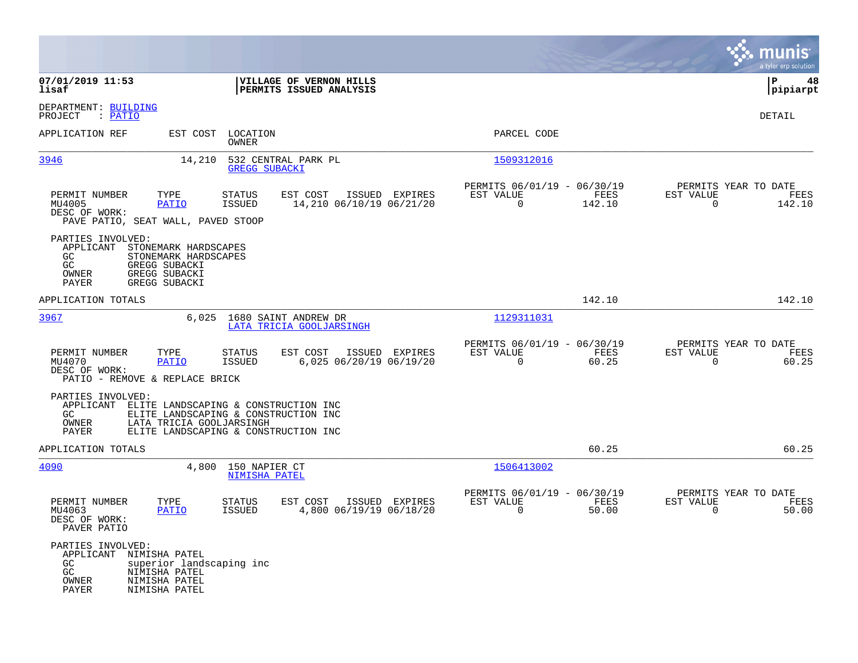|                                                                                                                                                                 |                                                                                                                      |                                                                             | munis<br>a tyler erp solution                                      |
|-----------------------------------------------------------------------------------------------------------------------------------------------------------------|----------------------------------------------------------------------------------------------------------------------|-----------------------------------------------------------------------------|--------------------------------------------------------------------|
| 07/01/2019 11:53<br>lisaf                                                                                                                                       | VILLAGE OF VERNON HILLS<br>PERMITS ISSUED ANALYSIS                                                                   |                                                                             | 48<br>∣P<br> pipiarpt                                              |
| DEPARTMENT: BUILDING<br>: PATIO<br>PROJECT                                                                                                                      |                                                                                                                      |                                                                             | DETAIL                                                             |
| APPLICATION REF<br>EST COST                                                                                                                                     | LOCATION<br>OWNER                                                                                                    | PARCEL CODE                                                                 |                                                                    |
| 3946<br>14,210                                                                                                                                                  | 532 CENTRAL PARK PL<br><b>GREGG SUBACKI</b>                                                                          | 1509312016                                                                  |                                                                    |
| PERMIT NUMBER<br>TYPE<br>MU4005<br><b>PATIO</b><br>DESC OF WORK:<br>PAVE PATIO, SEAT WALL, PAVED STOOP                                                          | EST COST<br>ISSUED EXPIRES<br><b>STATUS</b><br><b>ISSUED</b><br>14,210 06/10/19 06/21/20                             | PERMITS 06/01/19 - 06/30/19<br>EST VALUE<br>FEES<br>$\mathbf 0$<br>142.10   | PERMITS YEAR TO DATE<br>EST VALUE<br>FEES<br>$\mathbf 0$<br>142.10 |
| PARTIES INVOLVED:<br>APPLICANT<br>STONEMARK HARDSCAPES<br>GC<br>STONEMARK HARDSCAPES<br>GC<br>GREGG SUBACKI<br>GREGG SUBACKI<br>OWNER<br>PAYER<br>GREGG SUBACKI |                                                                                                                      |                                                                             |                                                                    |
| APPLICATION TOTALS                                                                                                                                              |                                                                                                                      | 142.10                                                                      | 142.10                                                             |
| 3967                                                                                                                                                            | 6,025<br>1680 SAINT ANDREW DR<br>LATA TRICIA GOOLJARSINGH                                                            | 1129311031                                                                  |                                                                    |
| PERMIT NUMBER<br>TYPE<br>MU4070<br><b>PATIO</b><br>DESC OF WORK:<br>PATIO - REMOVE & REPLACE BRICK                                                              | EST COST<br><b>STATUS</b><br>ISSUED EXPIRES<br><b>ISSUED</b><br>6,025 06/20/19 06/19/20                              | PERMITS 06/01/19 - 06/30/19<br>EST VALUE<br>FEES<br>$\mathbf 0$<br>60.25    | PERMITS YEAR TO DATE<br>EST VALUE<br>FEES<br>$\mathbf 0$<br>60.25  |
| PARTIES INVOLVED:<br>APPLICANT<br>GC.<br><b>OWNER</b><br>LATA TRICIA GOOLJARSINGH<br>PAYER                                                                      | ELITE LANDSCAPING & CONSTRUCTION INC<br>ELITE LANDSCAPING & CONSTRUCTION INC<br>ELITE LANDSCAPING & CONSTRUCTION INC |                                                                             |                                                                    |
| APPLICATION TOTALS                                                                                                                                              |                                                                                                                      | 60.25                                                                       | 60.25                                                              |
| 4090                                                                                                                                                            | 4,800<br>150 NAPIER CT<br>NIMISHA PATEL                                                                              | 1506413002                                                                  |                                                                    |
| PERMIT NUMBER<br>TYPE<br>MU4063<br><b>PATIO</b><br>DESC OF WORK:<br>PAVER PATIO                                                                                 | STATUS<br>EST COST<br>ISSUED EXPIRES<br>4,800 06/19/19 06/18/20<br><b>ISSUED</b>                                     | PERMITS 06/01/19 - 06/30/19<br>EST VALUE<br>FEES<br>$\overline{0}$<br>50.00 | PERMITS YEAR TO DATE<br>EST VALUE<br>FEES<br>$\mathbf 0$<br>50.00  |
| PARTIES INVOLVED:<br>APPLICANT NIMISHA PATEL<br>GC<br>superior landscaping inc<br>GC<br>NIMISHA PATEL<br>NIMISHA PATEL<br>OWNER<br>NIMISHA PATEL<br>PAYER       |                                                                                                                      |                                                                             |                                                                    |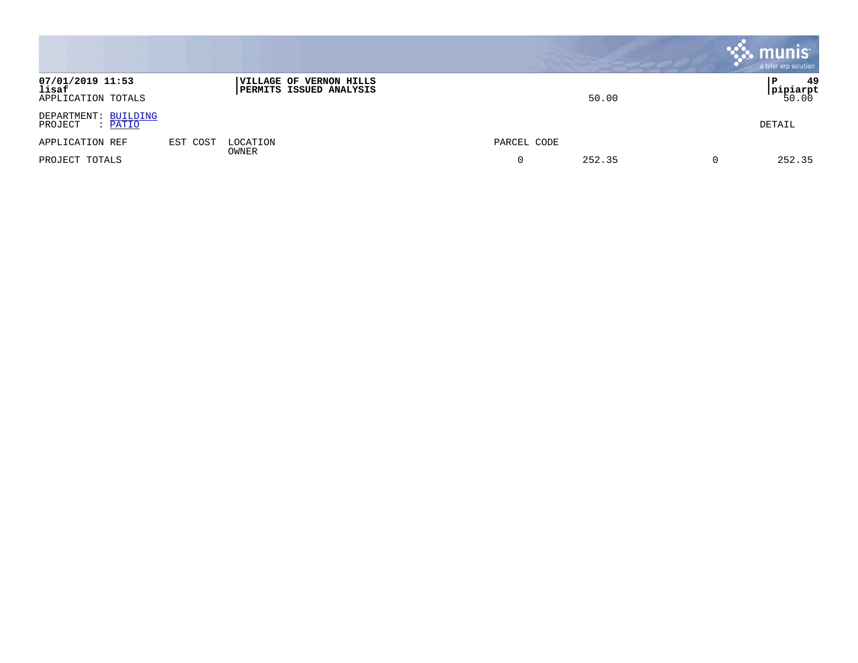|                                                 |          |                                                                   |             | , munis <sup>.</sup><br>a tyler erp solution |
|-------------------------------------------------|----------|-------------------------------------------------------------------|-------------|----------------------------------------------|
| 07/01/2019 11:53<br>lisaf<br>APPLICATION TOTALS |          | <b> VILLAGE OF VERNON HILLS</b><br><b>PERMITS ISSUED ANALYSIS</b> | 50.00       | 49<br>∣P<br><b>pipiarpt</b><br>50.00         |
| DEPARTMENT: BUILDING<br>PROJECT<br>: PATIO      |          |                                                                   |             | DETAIL                                       |
| APPLICATION REF                                 | EST COST | LOCATION<br><b>OWNER</b>                                          | PARCEL CODE |                                              |
| PROJECT TOTALS                                  |          |                                                                   | 252.35      | 252.35                                       |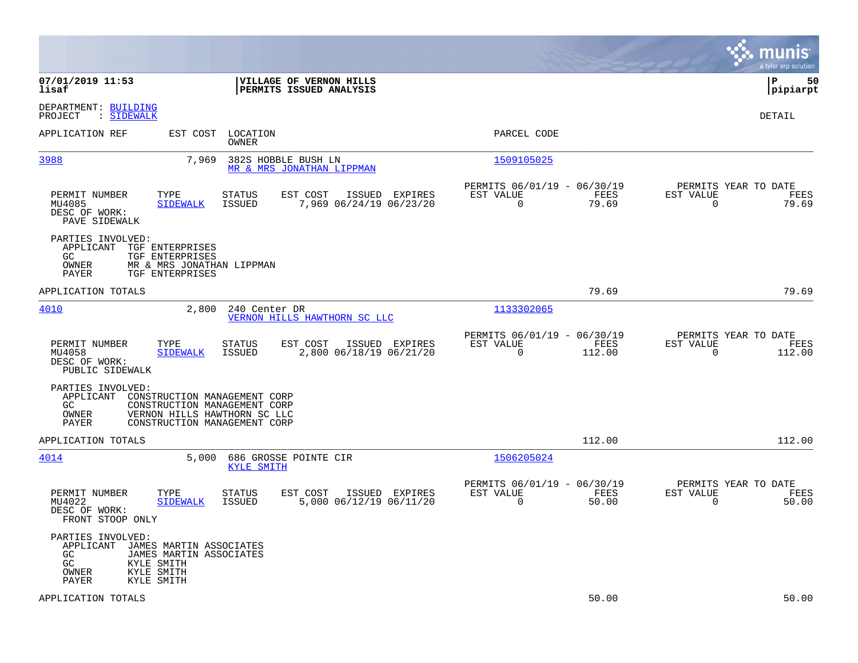|                                                                                                                                                                                        |                                                                          | munis<br>a tyler erp solution                                      |
|----------------------------------------------------------------------------------------------------------------------------------------------------------------------------------------|--------------------------------------------------------------------------|--------------------------------------------------------------------|
| 07/01/2019 11:53<br>VILLAGE OF VERNON HILLS<br>lisaf<br>PERMITS ISSUED ANALYSIS                                                                                                        |                                                                          | lР<br>50<br> pipiarpt                                              |
| DEPARTMENT: BUILDING<br>PROJECT<br>: SIDEWALK                                                                                                                                          |                                                                          | DETAIL                                                             |
| EST COST<br>LOCATION<br>APPLICATION REF<br>OWNER                                                                                                                                       | PARCEL CODE                                                              |                                                                    |
| 3988<br>7,969<br>382S HOBBLE BUSH LN<br>MR & MRS JONATHAN LIPPMAN                                                                                                                      | 1509105025                                                               |                                                                    |
| PERMIT NUMBER<br>TYPE<br>STATUS<br>EST COST<br>ISSUED EXPIRES<br>7,969 06/24/19 06/23/20<br>MU4085<br><b>SIDEWALK</b><br>ISSUED<br>DESC OF WORK:<br>PAVE SIDEWALK                      | PERMITS 06/01/19 - 06/30/19<br>EST VALUE<br>FEES<br>$\mathbf 0$<br>79.69 | PERMITS YEAR TO DATE<br>EST VALUE<br>FEES<br>$\mathbf 0$<br>79.69  |
| PARTIES INVOLVED:<br>APPLICANT<br>TGF ENTERPRISES<br>GC.<br>TGF ENTERPRISES<br>OWNER<br>MR & MRS JONATHAN LIPPMAN<br>PAYER<br>TGF ENTERPRISES                                          |                                                                          |                                                                    |
| APPLICATION TOTALS                                                                                                                                                                     | 79.69                                                                    | 79.69                                                              |
| 4010<br>2,800<br>240 Center DR<br>VERNON HILLS HAWTHORN SC LLC                                                                                                                         | 1133302065                                                               |                                                                    |
| EST COST<br>ISSUED EXPIRES<br>PERMIT NUMBER<br>TYPE<br>STATUS<br>MU4058<br><b>SIDEWALK</b><br>ISSUED<br>2,800 06/18/19 06/21/20<br>DESC OF WORK:<br>PUBLIC SIDEWALK                    | PERMITS 06/01/19 - 06/30/19<br>EST VALUE<br>FEES<br>112.00<br>$\Omega$   | PERMITS YEAR TO DATE<br>EST VALUE<br>FEES<br>$\mathbf 0$<br>112.00 |
| PARTIES INVOLVED:<br>APPLICANT<br>CONSTRUCTION MANAGEMENT CORP<br>GC<br>CONSTRUCTION MANAGEMENT CORP<br>OWNER<br>VERNON HILLS HAWTHORN SC LLC<br>PAYER<br>CONSTRUCTION MANAGEMENT CORP |                                                                          |                                                                    |
| APPLICATION TOTALS                                                                                                                                                                     | 112.00                                                                   | 112.00                                                             |
| 4014<br>5,000<br>686 GROSSE POINTE CIR<br><b>KYLE SMITH</b>                                                                                                                            | 1506205024                                                               |                                                                    |
| PERMIT NUMBER<br>TYPE<br>STATUS<br>EST COST ISSUED EXPIRES<br>5,000 06/12/19 06/11/20<br>MU4022<br><b>SIDEWALK</b><br>ISSUED<br>DESC OF WORK:<br>FRONT STOOP ONLY                      | PERMITS 06/01/19 - 06/30/19<br>EST VALUE<br>FEES<br>$\Omega$<br>50.00    | PERMITS YEAR TO DATE<br>EST VALUE<br>FEES<br>$\Omega$<br>50.00     |
| PARTIES INVOLVED:<br>APPLICANT<br>JAMES MARTIN ASSOCIATES<br>JAMES MARTIN ASSOCIATES<br>GC<br>GC<br>KYLE SMITH<br>KYLE SMITH<br>OWNER<br>KYLE SMITH<br>PAYER                           |                                                                          |                                                                    |
| APPLICATION TOTALS                                                                                                                                                                     | 50.00                                                                    | 50.00                                                              |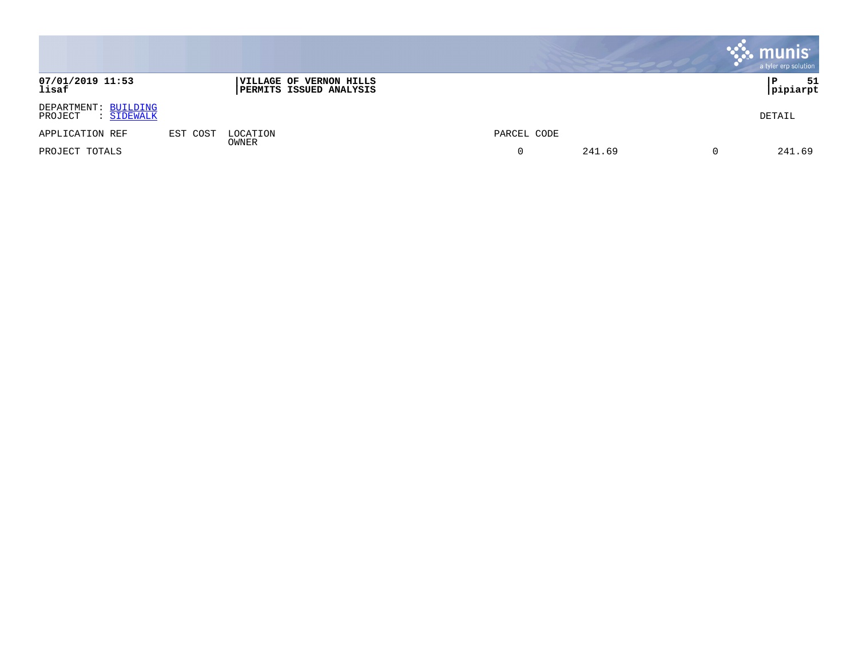|                                               |          |                                                    |                  | <b>Munis</b><br>a tyler erp solution |
|-----------------------------------------------|----------|----------------------------------------------------|------------------|--------------------------------------|
| 07/01/2019 11:53<br>lisaf                     |          | VILLAGE OF VERNON HILLS<br>PERMITS ISSUED ANALYSIS |                  | 51<br>ΙP<br>pipiarpt                 |
| DEPARTMENT: BUILDING<br>PROJECT<br>: SIDEWALK |          |                                                    |                  | DETAIL                               |
| APPLICATION REF                               | EST COST | LOCATION                                           | PARCEL CODE      |                                      |
| PROJECT TOTALS                                |          | OWNER                                              | 241.69<br>0<br>0 | 241.69                               |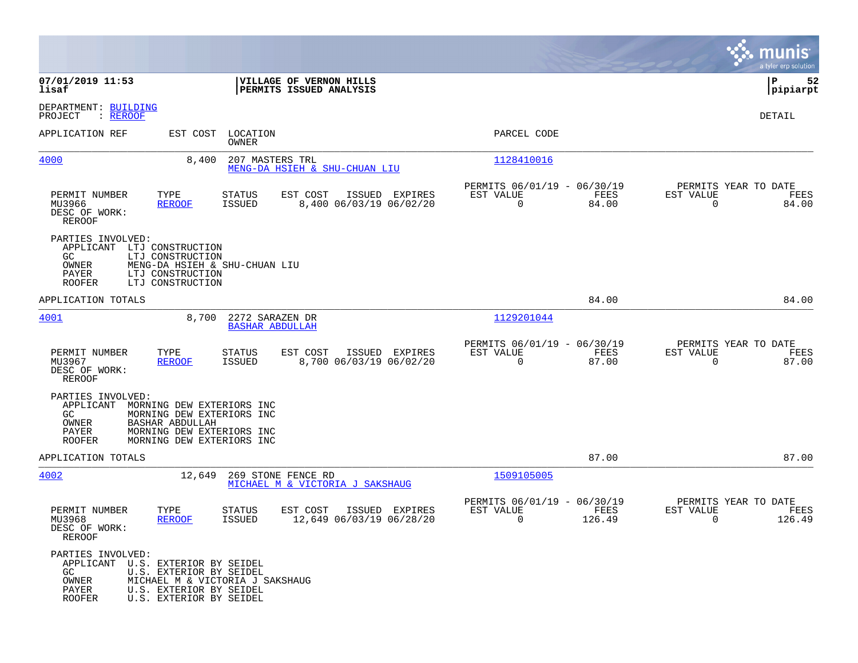|                                                                                                 |                                                                                                                                            |                                                       |                |                                                            |                       |                                                  | munis<br>a tyler erp solution |
|-------------------------------------------------------------------------------------------------|--------------------------------------------------------------------------------------------------------------------------------------------|-------------------------------------------------------|----------------|------------------------------------------------------------|-----------------------|--------------------------------------------------|-------------------------------|
| 07/01/2019 11:53<br>lisaf                                                                       |                                                                                                                                            | VILLAGE OF VERNON HILLS<br>PERMITS ISSUED ANALYSIS    |                |                                                            |                       |                                                  | 52<br>ΙP<br> pipiarpt         |
| DEPARTMENT: BUILDING<br>PROJECT<br>: REROOF                                                     |                                                                                                                                            |                                                       |                |                                                            |                       |                                                  | DETAIL                        |
| APPLICATION REF                                                                                 | EST COST<br>OWNER                                                                                                                          | LOCATION                                              |                | PARCEL CODE                                                |                       |                                                  |                               |
| 4000                                                                                            | 8,400                                                                                                                                      | 207 MASTERS TRL<br>MENG-DA HSIEH & SHU-CHUAN LIU      |                | 1128410016                                                 |                       |                                                  |                               |
| PERMIT NUMBER<br>MU3966<br>DESC OF WORK:<br>REROOF                                              | TYPE<br>STATUS<br><b>ISSUED</b><br><b>REROOF</b>                                                                                           | EST COST<br>8,400 06/03/19 06/02/20                   | ISSUED EXPIRES | PERMITS 06/01/19 - 06/30/19<br>EST VALUE<br>$\overline{0}$ | FEES<br>84.00         | PERMITS YEAR TO DATE<br>EST VALUE<br>$\Omega$    | FEES<br>84.00                 |
| PARTIES INVOLVED:<br>APPLICANT<br>GC.<br>OWNER<br>PAYER<br><b>ROOFER</b>                        | LTJ CONSTRUCTION<br>LTJ CONSTRUCTION<br>MENG-DA HSIEH & SHU-CHUAN LIU<br>LTJ CONSTRUCTION<br>LTJ CONSTRUCTION                              |                                                       |                |                                                            |                       |                                                  |                               |
| APPLICATION TOTALS                                                                              |                                                                                                                                            |                                                       |                |                                                            | 84.00                 |                                                  | 84.00                         |
| 4001                                                                                            | 8,700                                                                                                                                      | 2272 SARAZEN DR<br><b>BASHAR ABDULLAH</b>             |                | 1129201044                                                 |                       |                                                  |                               |
| PERMIT NUMBER<br>MU3967<br>DESC OF WORK:<br><b>REROOF</b>                                       | TYPE<br><b>STATUS</b><br><b>REROOF</b><br>ISSUED                                                                                           | EST COST<br>8,700 06/03/19 06/02/20                   | ISSUED EXPIRES | PERMITS 06/01/19 - 06/30/19<br>EST VALUE<br>$\mathbf 0$    | FEES<br>87.00         | PERMITS YEAR TO DATE<br>EST VALUE<br>$\mathbf 0$ | FEES<br>87.00                 |
| PARTIES INVOLVED:<br>APPLICANT<br>GC.<br>OWNER<br><b>PAYER</b><br><b>ROOFER</b>                 | MORNING DEW EXTERIORS INC<br>MORNING DEW EXTERIORS INC<br><b>BASHAR ABDULLAH</b><br>MORNING DEW EXTERIORS INC<br>MORNING DEW EXTERIORS INC |                                                       |                |                                                            |                       |                                                  |                               |
| APPLICATION TOTALS                                                                              |                                                                                                                                            |                                                       |                |                                                            | 87.00                 |                                                  | 87.00                         |
| 4002                                                                                            | 12,649                                                                                                                                     | 269 STONE FENCE RD<br>MICHAEL M & VICTORIA J SAKSHAUG |                | 1509105005                                                 |                       |                                                  |                               |
| PERMIT NUMBER<br>MU3968<br>DESC OF WORK:<br>REROOF                                              | TYPE<br>STATUS<br><b>REROOF</b><br>ISSUED                                                                                                  | EST COST<br>12,649 06/03/19 06/28/20                  | ISSUED EXPIRES | PERMITS 06/01/19 - 06/30/19<br>EST VALUE<br>$\mathbf 0$    | <b>FEES</b><br>126.49 | PERMITS YEAR TO DATE<br>EST VALUE<br>$\mathbf 0$ | FEES<br>126.49                |
| PARTIES INVOLVED:<br>APPLICANT U.S. EXTERIOR BY SEIDEL<br>GC<br>OWNER<br>PAYER<br><b>ROOFER</b> | U.S. EXTERIOR BY SEIDEL<br>MICHAEL M & VICTORIA J SAKSHAUG<br>U.S. EXTERIOR BY SEIDEL<br>U.S. EXTERIOR BY SEIDEL                           |                                                       |                |                                                            |                       |                                                  |                               |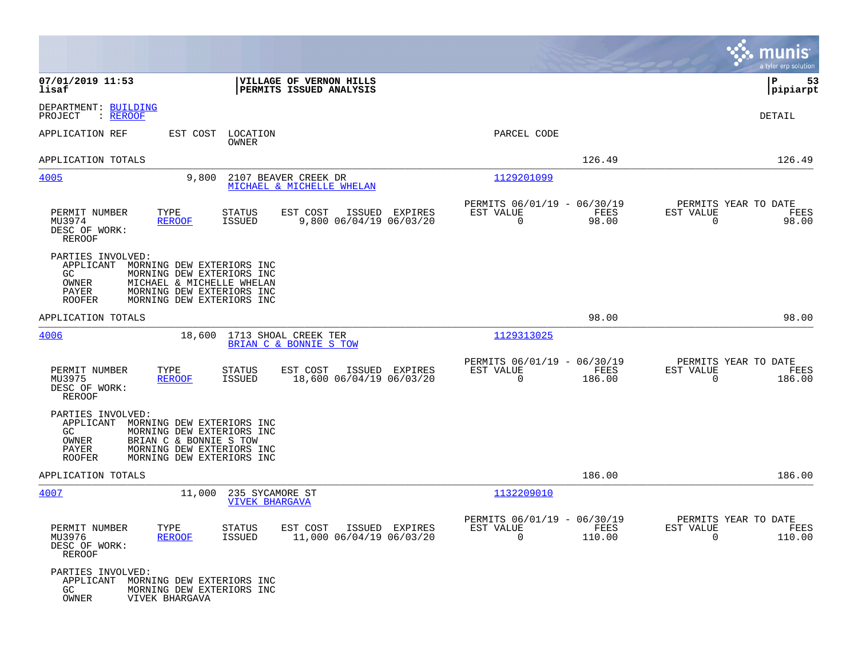|                                                                                                                                                                                                                          |                                                                           | munis<br>a tyler erp solution                                      |
|--------------------------------------------------------------------------------------------------------------------------------------------------------------------------------------------------------------------------|---------------------------------------------------------------------------|--------------------------------------------------------------------|
| 07/01/2019 11:53<br>VILLAGE OF VERNON HILLS<br>lisaf<br>PERMITS ISSUED ANALYSIS                                                                                                                                          |                                                                           | l P<br>53<br> pipiarpt                                             |
| DEPARTMENT: BUILDING<br>: <u>REROOF</u><br>PROJECT                                                                                                                                                                       |                                                                           | DETAIL                                                             |
| APPLICATION REF<br>EST COST<br>LOCATION<br>OWNER                                                                                                                                                                         | PARCEL CODE                                                               |                                                                    |
| APPLICATION TOTALS                                                                                                                                                                                                       | 126.49                                                                    | 126.49                                                             |
| 4005<br>9,800<br>2107 BEAVER CREEK DR<br>MICHAEL & MICHELLE WHELAN                                                                                                                                                       | 1129201099                                                                |                                                                    |
| PERMIT NUMBER<br>TYPE<br><b>STATUS</b><br>EST COST<br>ISSUED EXPIRES<br>MU3974<br>ISSUED<br>9,800 06/04/19 06/03/20<br><b>REROOF</b><br>DESC OF WORK:<br><b>REROOF</b>                                                   | PERMITS 06/01/19 - 06/30/19<br>EST VALUE<br>FEES<br>98.00<br>0            | PERMITS YEAR TO DATE<br>EST VALUE<br>FEES<br>0<br>98.00            |
| PARTIES INVOLVED:<br>APPLICANT<br>MORNING DEW EXTERIORS INC<br>GC<br>MORNING DEW EXTERIORS INC<br>MICHAEL & MICHELLE WHELAN<br>OWNER<br>PAYER<br>MORNING DEW EXTERIORS INC<br><b>ROOFER</b><br>MORNING DEW EXTERIORS INC |                                                                           |                                                                    |
| APPLICATION TOTALS                                                                                                                                                                                                       | 98.00                                                                     | 98.00                                                              |
| 4006<br>18,600<br>1713 SHOAL CREEK TER<br>BRIAN C & BONNIE S TOW                                                                                                                                                         | 1129313025                                                                |                                                                    |
| PERMIT NUMBER<br>TYPE<br>STATUS<br>EST COST<br>ISSUED EXPIRES<br>MU3975<br>ISSUED<br>18,600 06/04/19 06/03/20<br><b>REROOF</b><br>DESC OF WORK:<br><b>REROOF</b>                                                         | PERMITS 06/01/19 - 06/30/19<br>FEES<br>EST VALUE<br>$\mathbf 0$<br>186.00 | PERMITS YEAR TO DATE<br>EST VALUE<br>FEES<br>$\mathbf 0$<br>186.00 |
| PARTIES INVOLVED:<br>APPLICANT<br>MORNING DEW EXTERIORS INC<br>GC<br>MORNING DEW EXTERIORS INC<br>OWNER<br>BRIAN C & BONNIE S TOW<br>PAYER<br>MORNING DEW EXTERIORS INC<br>MORNING DEW EXTERIORS INC<br><b>ROOFER</b>    |                                                                           |                                                                    |
| APPLICATION TOTALS                                                                                                                                                                                                       | 186.00                                                                    | 186.00                                                             |
| 4007<br>11,000<br>235 SYCAMORE ST<br><b>VIVEK BHARGAVA</b>                                                                                                                                                               | 1132209010                                                                |                                                                    |
| STATUS<br>PERMIT NUMBER<br>TYPE<br>EST COST ISSUED EXPIRES<br>MU3976<br>ISSUED<br>11,000 06/04/19 06/03/20<br><b>REROOF</b><br>DESC OF WORK:<br>REROOF                                                                   | PERMITS 06/01/19 - 06/30/19<br>EST VALUE<br>FEES<br>$\Omega$<br>110.00    | PERMITS YEAR TO DATE<br>EST VALUE<br>FEES<br>$\Omega$<br>110.00    |
| PARTIES INVOLVED:<br>APPLICANT MORNING DEW EXTERIORS INC<br>GC<br>MORNING DEW EXTERIORS INC<br>OWNER<br>VIVEK BHARGAVA                                                                                                   |                                                                           |                                                                    |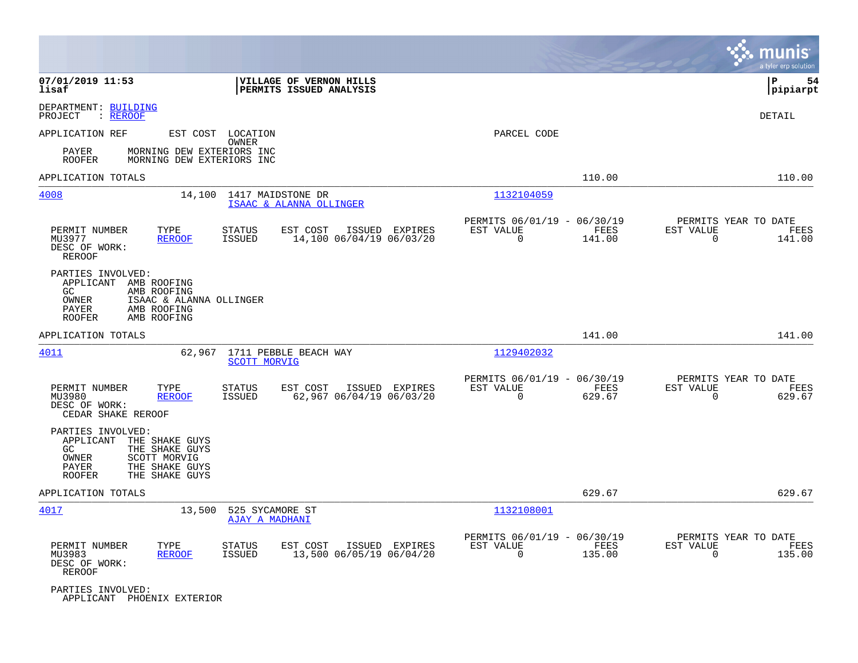|                                                                                                                                                                 |                                                                                             |                                                                           | munis<br>a tyler erp solution                                         |
|-----------------------------------------------------------------------------------------------------------------------------------------------------------------|---------------------------------------------------------------------------------------------|---------------------------------------------------------------------------|-----------------------------------------------------------------------|
| 07/01/2019 11:53<br>lisaf                                                                                                                                       | VILLAGE OF VERNON HILLS<br>PERMITS ISSUED ANALYSIS                                          |                                                                           | P<br>54<br> pipiarpt                                                  |
| DEPARTMENT: BUILDING<br>: <u>REROOF</u><br>PROJECT                                                                                                              |                                                                                             |                                                                           | DETAIL                                                                |
| APPLICATION REF                                                                                                                                                 | EST COST LOCATION<br>OWNER                                                                  | PARCEL CODE                                                               |                                                                       |
| PAYER<br><b>ROOFER</b>                                                                                                                                          | MORNING DEW EXTERIORS INC<br>MORNING DEW EXTERIORS INC                                      |                                                                           |                                                                       |
| APPLICATION TOTALS                                                                                                                                              |                                                                                             | 110.00                                                                    | 110.00                                                                |
| 4008                                                                                                                                                            | 1417 MAIDSTONE DR<br>14,100<br>ISAAC & ALANNA OLLINGER                                      | 1132104059                                                                |                                                                       |
| PERMIT NUMBER<br>TYPE<br>MU3977<br><b>REROOF</b><br>DESC OF WORK:<br>REROOF                                                                                     | EST COST<br>ISSUED<br>EXPIRES<br><b>STATUS</b><br><b>ISSUED</b><br>14,100 06/04/19 06/03/20 | PERMITS 06/01/19 - 06/30/19<br>FEES<br>EST VALUE<br>0<br>141.00           | PERMITS YEAR TO DATE<br>EST VALUE<br>FEES<br>$\overline{0}$<br>141.00 |
| PARTIES INVOLVED:<br>APPLICANT AMB ROOFING<br>GC.<br>AMB ROOFING<br>OWNER<br>PAYER<br>AMB ROOFING<br><b>ROOFER</b><br>AMB ROOFING                               | ISAAC & ALANNA OLLINGER                                                                     |                                                                           |                                                                       |
| APPLICATION TOTALS                                                                                                                                              |                                                                                             | 141.00                                                                    | 141.00                                                                |
| <u>4011</u>                                                                                                                                                     | 1711 PEBBLE BEACH WAY<br>62,967<br><b>SCOTT MORVIG</b>                                      | 1129402032                                                                |                                                                       |
| PERMIT NUMBER<br>TYPE<br>MU3980<br><b>REROOF</b><br>DESC OF WORK:<br>CEDAR SHAKE REROOF                                                                         | EST COST<br>ISSUED EXPIRES<br><b>STATUS</b><br>62,967 06/04/19 06/03/20<br>ISSUED           | PERMITS 06/01/19 - 06/30/19<br>EST VALUE<br>FEES<br>$\Omega$<br>629.67    | PERMITS YEAR TO DATE<br>EST VALUE<br>FEES<br>$\Omega$<br>629.67       |
| PARTIES INVOLVED:<br>APPLICANT<br>THE SHAKE GUYS<br>GC<br>THE SHAKE GUYS<br>OWNER<br><b>SCOTT MORVIG</b><br>THE SHAKE GUYS<br>PAYER<br>THE SHAKE GUYS<br>ROOFER |                                                                                             |                                                                           |                                                                       |
| APPLICATION TOTALS                                                                                                                                              |                                                                                             | 629.67                                                                    | 629.67                                                                |
| 4017                                                                                                                                                            | 525 SYCAMORE ST<br>13,500<br>AJAY A MADHANI                                                 | 1132108001                                                                |                                                                       |
| PERMIT NUMBER<br>TYPE<br>MU3983<br><b>REROOF</b><br>DESC OF WORK:<br>REROOF                                                                                     | <b>STATUS</b><br>EST COST<br>ISSUED EXPIRES<br><b>ISSUED</b><br>13,500 06/05/19 06/04/20    | PERMITS 06/01/19 - 06/30/19<br>EST VALUE<br>FEES<br>$\mathbf 0$<br>135.00 | PERMITS YEAR TO DATE<br>EST VALUE<br>FEES<br>$\mathbf 0$<br>135.00    |
| PARTIES INVOLVED:<br>APPLICANT PHOENIX EXTERIOR                                                                                                                 |                                                                                             |                                                                           |                                                                       |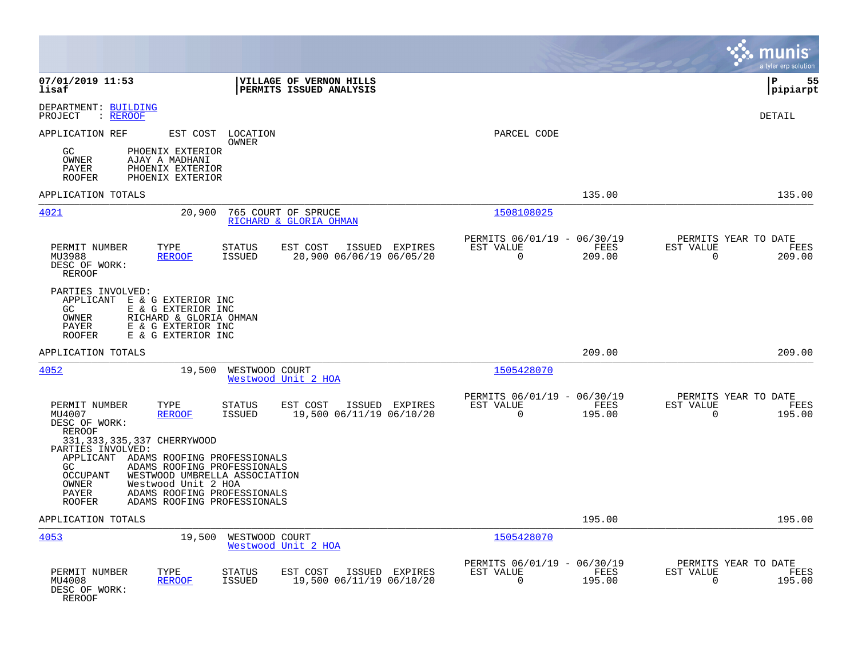|                                                                                                                                                                                                                                                                       |                                                                           | munis<br>a tyler erp solution                                      |
|-----------------------------------------------------------------------------------------------------------------------------------------------------------------------------------------------------------------------------------------------------------------------|---------------------------------------------------------------------------|--------------------------------------------------------------------|
| 07/01/2019 11:53<br>VILLAGE OF VERNON HILLS<br>lisaf<br>PERMITS ISSUED ANALYSIS                                                                                                                                                                                       |                                                                           | lР<br>55<br> pipiarpt                                              |
| DEPARTMENT: BUILDING<br>: REROOF<br>PROJECT                                                                                                                                                                                                                           |                                                                           | <b>DETAIL</b>                                                      |
| APPLICATION REF<br>EST COST LOCATION                                                                                                                                                                                                                                  | PARCEL CODE                                                               |                                                                    |
| <b>OWNER</b><br>GC<br>PHOENIX EXTERIOR<br>OWNER<br>AJAY A MADHANI<br>PHOENIX EXTERIOR<br>PAYER<br><b>ROOFER</b><br>PHOENIX EXTERIOR                                                                                                                                   |                                                                           |                                                                    |
| APPLICATION TOTALS                                                                                                                                                                                                                                                    | 135.00                                                                    | 135.00                                                             |
| 4021<br>765 COURT OF SPRUCE<br>20,900<br>RICHARD & GLORIA OHMAN                                                                                                                                                                                                       | 1508108025                                                                |                                                                    |
| TYPE<br>EST COST<br>PERMIT NUMBER<br><b>STATUS</b><br>ISSUED EXPIRES<br>20,900 06/06/19 06/05/20<br>MU3988<br><b>REROOF</b><br><b>ISSUED</b><br>DESC OF WORK:<br><b>REROOF</b>                                                                                        | PERMITS 06/01/19 - 06/30/19<br>EST VALUE<br>FEES<br>$\Omega$<br>209.00    | PERMITS YEAR TO DATE<br>EST VALUE<br>FEES<br>$\Omega$<br>209.00    |
| PARTIES INVOLVED:<br>APPLICANT E & G EXTERIOR INC<br>E & G EXTERIOR INC<br>GC.<br>OWNER<br>RICHARD & GLORIA OHMAN<br>E & G EXTERIOR INC<br>PAYER<br>E & G EXTERIOR INC<br><b>ROOFER</b>                                                                               |                                                                           |                                                                    |
| APPLICATION TOTALS                                                                                                                                                                                                                                                    | 209.00                                                                    | 209.00                                                             |
| 4052<br>19,500<br>WESTWOOD COURT<br>Westwood Unit 2 HOA                                                                                                                                                                                                               | 1505428070                                                                |                                                                    |
| PERMIT NUMBER<br>TYPE<br><b>STATUS</b><br>EST COST<br>ISSUED EXPIRES<br>19,500 06/11/19 06/10/20<br>MU4007<br><b>REROOF</b><br>ISSUED<br>DESC OF WORK:<br><b>REROOF</b><br>331, 333, 335, 337 CHERRYWOOD                                                              | PERMITS 06/01/19 - 06/30/19<br>EST VALUE<br>FEES<br>$\mathbf 0$<br>195.00 | PERMITS YEAR TO DATE<br>EST VALUE<br>FEES<br>$\mathbf 0$<br>195.00 |
| PARTIES INVOLVED:<br>APPLICANT ADAMS ROOFING PROFESSIONALS<br>ADAMS ROOFING PROFESSIONALS<br>GC.<br>WESTWOOD UMBRELLA ASSOCIATION<br>OCCUPANT<br>OWNER<br>Westwood Unit 2 HOA<br>PAYER<br>ADAMS ROOFING PROFESSIONALS<br>ADAMS ROOFING PROFESSIONALS<br><b>ROOFER</b> |                                                                           |                                                                    |
| APPLICATION TOTALS                                                                                                                                                                                                                                                    | 195.00                                                                    | 195.00                                                             |
| 4053<br>19,500<br>WESTWOOD COURT<br>Westwood Unit 2 HOA                                                                                                                                                                                                               | 1505428070                                                                |                                                                    |
| PERMIT NUMBER<br>TYPE<br><b>STATUS</b><br>EST COST<br>ISSUED EXPIRES<br>19,500 06/11/19 06/10/20<br>MU4008<br><b>REROOF</b><br><b>ISSUED</b><br>DESC OF WORK:<br><b>REROOF</b>                                                                                        | 06/30/19<br>PERMITS 06/01/19 -<br>EST VALUE<br>FEES<br>0<br>195.00        | PERMITS YEAR TO DATE<br>EST VALUE<br>FEES<br>$\Omega$<br>195.00    |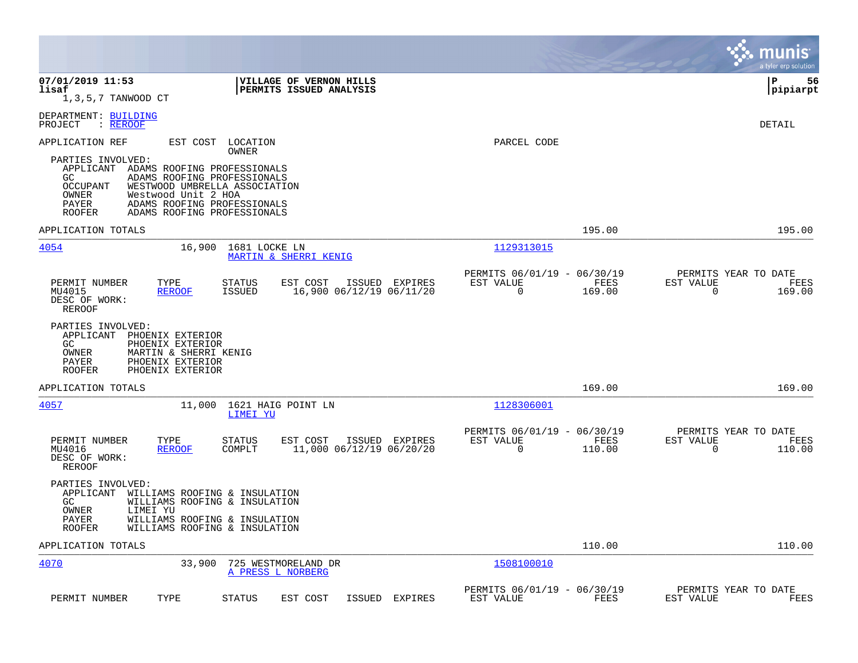|                                                                                                                                                                                                                                                                              |                                                                           | munis<br>a tyler erp solution                                   |
|------------------------------------------------------------------------------------------------------------------------------------------------------------------------------------------------------------------------------------------------------------------------------|---------------------------------------------------------------------------|-----------------------------------------------------------------|
| 07/01/2019 11:53<br><b>VILLAGE OF VERNON HILLS</b><br>lisaf<br>PERMITS ISSUED ANALYSIS<br>1,3,5,7 TANWOOD CT                                                                                                                                                                 |                                                                           | l P<br>56<br> pipiarpt                                          |
| DEPARTMENT: BUILDING<br>PROJECT<br>: REROOF                                                                                                                                                                                                                                  |                                                                           | DETAIL                                                          |
| APPLICATION REF<br>EST COST LOCATION<br>OWNER                                                                                                                                                                                                                                | PARCEL CODE                                                               |                                                                 |
| PARTIES INVOLVED:<br>APPLICANT ADAMS ROOFING PROFESSIONALS<br>GC.<br>ADAMS ROOFING PROFESSIONALS<br><b>OCCUPANT</b><br>WESTWOOD UMBRELLA ASSOCIATION<br>Westwood Unit 2 HOA<br>OWNER<br>PAYER<br>ADAMS ROOFING PROFESSIONALS<br><b>ROOFER</b><br>ADAMS ROOFING PROFESSIONALS |                                                                           |                                                                 |
| APPLICATION TOTALS                                                                                                                                                                                                                                                           | 195.00                                                                    | 195.00                                                          |
| 4054<br>16,900<br>1681 LOCKE LN<br>MARTIN & SHERRI KENIG                                                                                                                                                                                                                     | 1129313015                                                                |                                                                 |
| PERMIT NUMBER<br>TYPE<br><b>STATUS</b><br>EST COST<br>ISSUED EXPIRES<br>MU4015<br><b>REROOF</b><br><b>ISSUED</b><br>16,900 06/12/19 06/11/20<br>DESC OF WORK:<br><b>REROOF</b>                                                                                               | PERMITS 06/01/19 - 06/30/19<br>EST VALUE<br>FEES<br>$\mathbf 0$<br>169.00 | PERMITS YEAR TO DATE<br>EST VALUE<br>FEES<br>0<br>169.00        |
| PARTIES INVOLVED:<br>APPLICANT<br>PHOENIX EXTERIOR<br>GC.<br>PHOENIX EXTERIOR<br>OWNER<br>MARTIN & SHERRI KENIG<br>PHOENIX EXTERIOR<br>PAYER<br><b>ROOFER</b><br>PHOENIX EXTERIOR                                                                                            |                                                                           |                                                                 |
| APPLICATION TOTALS                                                                                                                                                                                                                                                           | 169.00                                                                    | 169.00                                                          |
| 4057<br>11,000<br>1621 HAIG POINT LN<br>LIMEI YU                                                                                                                                                                                                                             | 1128306001                                                                |                                                                 |
| <b>STATUS</b><br>EST COST<br>PERMIT NUMBER<br>TYPE<br>ISSUED EXPIRES<br>MU4016<br><b>REROOF</b><br>COMPLT<br>11,000 06/12/19 06/20/20<br>DESC OF WORK:<br>REROOF                                                                                                             | PERMITS 06/01/19 - 06/30/19<br>EST VALUE<br>FEES<br>$\Omega$<br>110.00    | PERMITS YEAR TO DATE<br>EST VALUE<br>FEES<br>$\Omega$<br>110.00 |
| PARTIES INVOLVED:<br>APPLICANT<br>WILLIAMS ROOFING & INSULATION<br>GC.<br>WILLIAMS ROOFING & INSULATION<br>OWNER<br>LIMEI YU<br>PAYER<br>WILLIAMS ROOFING & INSULATION                                                                                                       |                                                                           |                                                                 |
| <b>ROOFER</b><br>WILLIAMS ROOFING & INSULATION                                                                                                                                                                                                                               |                                                                           |                                                                 |
| APPLICATION TOTALS                                                                                                                                                                                                                                                           | 110.00                                                                    | 110.00                                                          |
| 4070<br>33,900<br>725 WESTMORELAND DR<br>A PRESS L NORBERG                                                                                                                                                                                                                   | 1508100010                                                                |                                                                 |
| PERMIT NUMBER<br>TYPE<br><b>STATUS</b><br>EST COST<br>ISSUED<br>EXPIRES                                                                                                                                                                                                      | PERMITS 06/01/19 - 06/30/19<br>EST VALUE<br>FEES                          | PERMITS YEAR TO DATE<br>EST VALUE<br>FEES                       |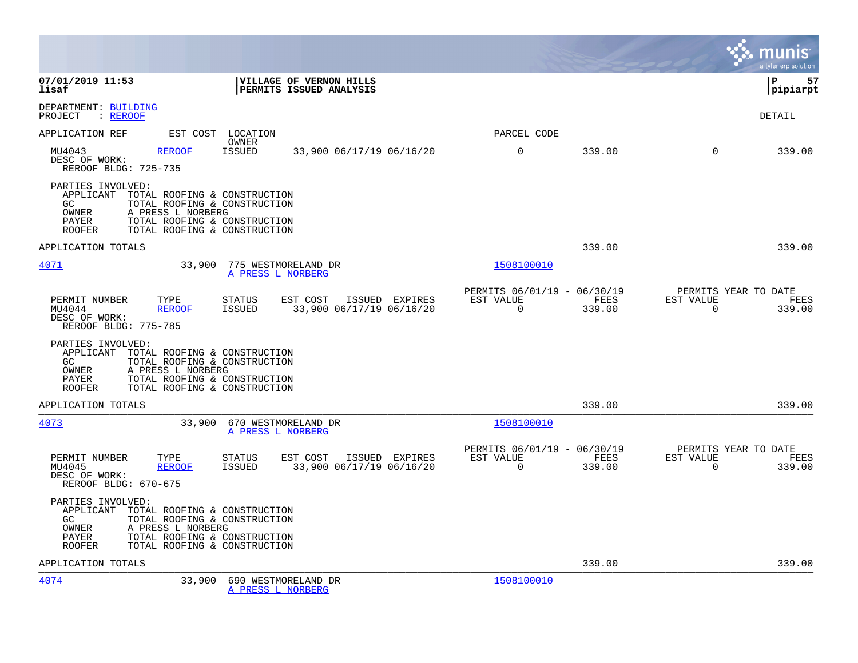|                                                                          |                                                                                                                                                   |                                          |                                                    |                |                                                         |                |                          | munis<br>a tyler erp solution          |
|--------------------------------------------------------------------------|---------------------------------------------------------------------------------------------------------------------------------------------------|------------------------------------------|----------------------------------------------------|----------------|---------------------------------------------------------|----------------|--------------------------|----------------------------------------|
| 07/01/2019 11:53<br>lisaf                                                |                                                                                                                                                   |                                          | VILLAGE OF VERNON HILLS<br>PERMITS ISSUED ANALYSIS |                |                                                         |                |                          | lР<br>57<br> pipiarpt                  |
| DEPARTMENT: BUILDING<br>: <u>REROOF</u><br>PROJECT                       |                                                                                                                                                   |                                          |                                                    |                |                                                         |                |                          | <b>DETAIL</b>                          |
| APPLICATION REF                                                          |                                                                                                                                                   | EST COST LOCATION                        |                                                    |                | PARCEL CODE                                             |                |                          |                                        |
| MU4043<br>DESC OF WORK:<br>REROOF BLDG: 725-735                          | <b>REROOF</b>                                                                                                                                     | OWNER<br><b>ISSUED</b>                   | 33,900 06/17/19 06/16/20                           |                | 0                                                       | 339.00         | $\mathbf 0$              | 339.00                                 |
| PARTIES INVOLVED:<br>APPLICANT<br>GC.<br>OWNER<br>PAYER<br><b>ROOFER</b> | TOTAL ROOFING & CONSTRUCTION<br>TOTAL ROOFING & CONSTRUCTION<br>A PRESS L NORBERG<br>TOTAL ROOFING & CONSTRUCTION<br>TOTAL ROOFING & CONSTRUCTION |                                          |                                                    |                |                                                         |                |                          |                                        |
| APPLICATION TOTALS                                                       |                                                                                                                                                   |                                          |                                                    |                |                                                         | 339.00         |                          | 339.00                                 |
| 4071                                                                     | 33,900                                                                                                                                            | 775 WESTMORELAND DR<br>A PRESS L NORBERG |                                                    |                | 1508100010                                              |                |                          |                                        |
| PERMIT NUMBER<br>MU4044<br>DESC OF WORK:<br>REROOF BLDG: 775-785         | TYPE<br><b>REROOF</b>                                                                                                                             | <b>STATUS</b><br><b>ISSUED</b>           | EST COST<br>33,900 06/17/19 06/16/20               | ISSUED EXPIRES | PERMITS 06/01/19 - 06/30/19<br>EST VALUE<br>0           | FEES<br>339.00 | EST VALUE<br>0           | PERMITS YEAR TO DATE<br>FEES<br>339.00 |
| PARTIES INVOLVED:<br>APPLICANT<br>GC.<br>OWNER<br>PAYER<br><b>ROOFER</b> | TOTAL ROOFING & CONSTRUCTION<br>TOTAL ROOFING & CONSTRUCTION<br>A PRESS L NORBERG<br>TOTAL ROOFING & CONSTRUCTION<br>TOTAL ROOFING & CONSTRUCTION |                                          |                                                    |                |                                                         |                |                          |                                        |
| APPLICATION TOTALS                                                       |                                                                                                                                                   |                                          |                                                    |                |                                                         | 339.00         |                          | 339.00                                 |
| 4073                                                                     | 33,900                                                                                                                                            | 670 WESTMORELAND DR<br>A PRESS L NORBERG |                                                    |                | 1508100010                                              |                |                          |                                        |
| PERMIT NUMBER<br>MU4045<br>DESC OF WORK:<br>REROOF BLDG: 670-675         | TYPE<br><b>REROOF</b>                                                                                                                             | <b>STATUS</b><br>ISSUED                  | EST COST<br>33,900 06/17/19 06/16/20               | ISSUED EXPIRES | PERMITS 06/01/19 - 06/30/19<br>EST VALUE<br>$\mathbf 0$ | FEES<br>339.00 | EST VALUE<br>$\mathbf 0$ | PERMITS YEAR TO DATE<br>FEES<br>339.00 |
| PARTIES INVOLVED:<br>APPLICANT<br>GC<br>OWNER<br>PAYER<br><b>ROOFER</b>  | TOTAL ROOFING & CONSTRUCTION<br>TOTAL ROOFING & CONSTRUCTION<br>A PRESS L NORBERG<br>TOTAL ROOFING & CONSTRUCTION<br>TOTAL ROOFING & CONSTRUCTION |                                          |                                                    |                |                                                         |                |                          |                                        |
| APPLICATION TOTALS                                                       |                                                                                                                                                   |                                          |                                                    |                |                                                         | 339.00         |                          | 339.00                                 |
| 4074                                                                     | 33,900                                                                                                                                            | 690 WESTMORELAND DR<br>A PRESS L NORBERG |                                                    |                | 1508100010                                              |                |                          |                                        |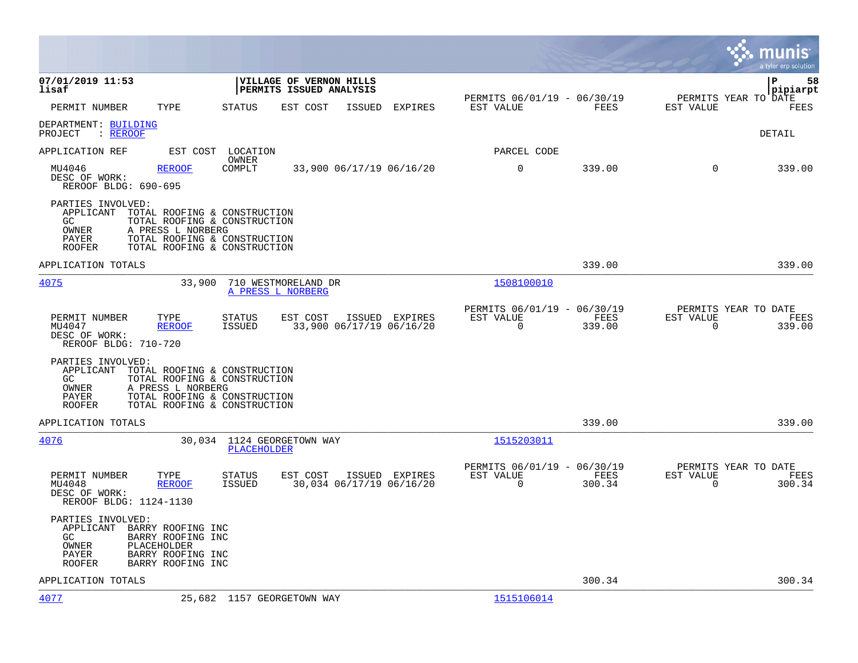|                                                                                                                                                                                                                       |                                                                           | munis<br>a tyler erp solution                                      |
|-----------------------------------------------------------------------------------------------------------------------------------------------------------------------------------------------------------------------|---------------------------------------------------------------------------|--------------------------------------------------------------------|
| 07/01/2019 11:53<br>VILLAGE OF VERNON HILLS<br>PERMITS ISSUED ANALYSIS<br>lisaf                                                                                                                                       |                                                                           | l P<br>58<br>pipiarpt                                              |
| PERMIT NUMBER<br>TYPE<br>STATUS<br>EST COST<br>ISSUED<br>EXPIRES                                                                                                                                                      | PERMITS 06/01/19 - 06/30/19<br>EST VALUE<br>FEES                          | PERMITS YEAR TO DATE<br>EST VALUE<br>FEES                          |
| DEPARTMENT: BUILDING<br>: REROOF<br>PROJECT                                                                                                                                                                           |                                                                           | DETAIL                                                             |
| APPLICATION REF<br>EST COST<br>LOCATION                                                                                                                                                                               | PARCEL CODE                                                               |                                                                    |
| OWNER<br>MU4046<br><b>REROOF</b><br>COMPLT<br>33,900 06/17/19 06/16/20<br>DESC OF WORK:<br>REROOF BLDG: 690-695                                                                                                       | $\mathbf 0$<br>339.00                                                     | $\Omega$<br>339.00                                                 |
| PARTIES INVOLVED:<br>APPLICANT<br>TOTAL ROOFING & CONSTRUCTION<br>GC<br>TOTAL ROOFING & CONSTRUCTION<br>OWNER<br>A PRESS L NORBERG<br>TOTAL ROOFING & CONSTRUCTION<br>PAYER<br>TOTAL ROOFING & CONSTRUCTION<br>ROOFER |                                                                           |                                                                    |
| APPLICATION TOTALS                                                                                                                                                                                                    | 339.00                                                                    | 339.00                                                             |
| 4075<br>33,900<br>710 WESTMORELAND DR<br>A PRESS L NORBERG                                                                                                                                                            | 1508100010                                                                |                                                                    |
| PERMIT NUMBER<br>TYPE<br><b>STATUS</b><br>EST COST<br>ISSUED EXPIRES<br><b>ISSUED</b><br>33,900 06/17/19 06/16/20<br>MU4047<br><b>REROOF</b><br>DESC OF WORK:<br>REROOF BLDG: 710-720                                 | PERMITS 06/01/19 - 06/30/19<br>EST VALUE<br>FEES<br>$\mathbf 0$<br>339.00 | PERMITS YEAR TO DATE<br>EST VALUE<br>FEES<br>$\mathbf 0$<br>339.00 |
| PARTIES INVOLVED:<br>APPLICANT<br>TOTAL ROOFING & CONSTRUCTION<br>GC<br>TOTAL ROOFING & CONSTRUCTION<br>A PRESS L NORBERG<br>OWNER<br>TOTAL ROOFING & CONSTRUCTION<br>PAYER<br>TOTAL ROOFING & CONSTRUCTION<br>ROOFER |                                                                           |                                                                    |
| APPLICATION TOTALS                                                                                                                                                                                                    | 339.00                                                                    | 339.00                                                             |
| 4076<br>30,034 1124 GEORGETOWN WAY<br>PLACEHOLDER                                                                                                                                                                     | 1515203011                                                                |                                                                    |
| PERMIT NUMBER<br>TYPE<br><b>STATUS</b><br>EST COST<br>ISSUED EXPIRES<br><b>ISSUED</b><br>30,034 06/17/19 06/16/20<br>MU4048<br><b>REROOF</b><br>DESC OF WORK:<br>REROOF BLDG: 1124-1130                               | PERMITS 06/01/19 - 06/30/19<br>EST VALUE<br>FEES<br>$\mathbf 0$<br>300.34 | PERMITS YEAR TO DATE<br>EST VALUE<br>FEES<br>$\mathbf 0$<br>300.34 |
| PARTIES INVOLVED:<br>APPLICANT<br>BARRY ROOFING INC<br>GC.<br>BARRY ROOFING INC<br>OWNER<br>PLACEHOLDER<br>BARRY ROOFING INC<br>PAYER<br>BARRY ROOFING INC<br>ROOFER                                                  |                                                                           |                                                                    |
| APPLICATION TOTALS                                                                                                                                                                                                    | 300.34                                                                    | 300.34                                                             |
| 4077<br>25,682 1157 GEORGETOWN WAY                                                                                                                                                                                    | 1515106014                                                                |                                                                    |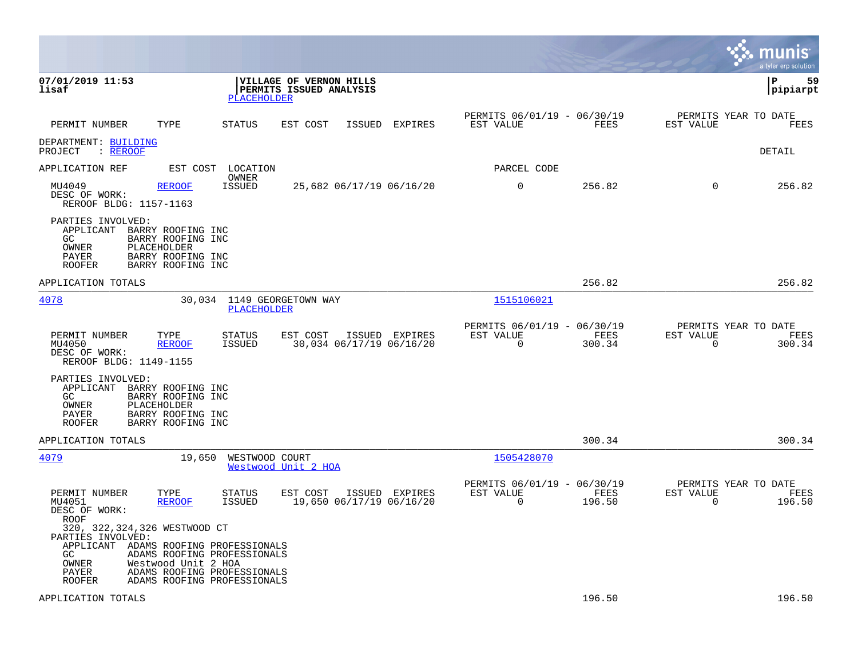|                                                                                                                                                                             |                                                                                           |                                                           |                |                                                         |                |                                                  | munis<br>a tyler erp solution |
|-----------------------------------------------------------------------------------------------------------------------------------------------------------------------------|-------------------------------------------------------------------------------------------|-----------------------------------------------------------|----------------|---------------------------------------------------------|----------------|--------------------------------------------------|-------------------------------|
| 07/01/2019 11:53<br>lisaf                                                                                                                                                   | PLACEHOLDER                                                                               | <b>VILLAGE OF VERNON HILLS</b><br>PERMITS ISSUED ANALYSIS |                |                                                         |                |                                                  | 59<br>l P<br> pipiarpt        |
| PERMIT NUMBER<br>TYPE                                                                                                                                                       | STATUS                                                                                    | EST COST                                                  | ISSUED EXPIRES | PERMITS 06/01/19 - 06/30/19<br>EST VALUE                | FEES           | PERMITS YEAR TO DATE<br>EST VALUE                | FEES                          |
| DEPARTMENT: BUILDING<br>PROJECT<br>: REROOF                                                                                                                                 |                                                                                           |                                                           |                |                                                         |                |                                                  | DETAIL                        |
| APPLICATION REF                                                                                                                                                             | EST COST LOCATION                                                                         |                                                           |                | PARCEL CODE                                             |                |                                                  |                               |
| MU4049<br><b>REROOF</b><br>DESC OF WORK:<br>REROOF BLDG: 1157-1163                                                                                                          | OWNER<br><b>ISSUED</b>                                                                    | 25,682 06/17/19 06/16/20                                  |                | $\mathbf 0$                                             | 256.82         | $\Omega$                                         | 256.82                        |
| PARTIES INVOLVED:<br>APPLICANT<br>BARRY ROOFING INC<br>GC.<br>BARRY ROOFING INC<br>OWNER<br>PLACEHOLDER<br>PAYER<br>BARRY ROOFING INC<br><b>ROOFER</b><br>BARRY ROOFING INC |                                                                                           |                                                           |                |                                                         |                |                                                  |                               |
| APPLICATION TOTALS                                                                                                                                                          |                                                                                           |                                                           |                |                                                         | 256.82         |                                                  | 256.82                        |
| 4078                                                                                                                                                                        | 30,034 1149 GEORGETOWN WAY<br>PLACEHOLDER                                                 |                                                           |                | 1515106021                                              |                |                                                  |                               |
| PERMIT NUMBER<br>TYPE<br>MU4050<br><b>REROOF</b><br>DESC OF WORK:<br>REROOF BLDG: 1149-1155                                                                                 | STATUS<br>ISSUED                                                                          | EST COST<br>30,034 06/17/19 06/16/20                      | ISSUED EXPIRES | PERMITS 06/01/19 - 06/30/19<br>EST VALUE<br>$\mathbf 0$ | FEES<br>300.34 | PERMITS YEAR TO DATE<br>EST VALUE<br>0           | FEES<br>300.34                |
| PARTIES INVOLVED:<br>APPLICANT BARRY ROOFING INC<br>GC<br>BARRY ROOFING INC<br>OWNER<br>PLACEHOLDER<br>PAYER<br>BARRY ROOFING INC<br>BARRY ROOFING INC<br><b>ROOFER</b>     |                                                                                           |                                                           |                |                                                         |                |                                                  |                               |
| APPLICATION TOTALS                                                                                                                                                          |                                                                                           |                                                           |                |                                                         | 300.34         |                                                  | 300.34                        |
| 4079                                                                                                                                                                        | 19,650<br>WESTWOOD COURT                                                                  | Westwood Unit 2 HOA                                       |                | 1505428070                                              |                |                                                  |                               |
| PERMIT NUMBER<br>TYPE<br>MU4051<br><b>REROOF</b><br>DESC OF WORK:<br>ROOF<br>320, 322, 324, 326 WESTWOOD CT<br>PARTIES INVOLVED:                                            | <b>STATUS</b><br>ISSUED                                                                   | EST COST<br>19,650 06/17/19 06/16/20                      | ISSUED EXPIRES | PERMITS 06/01/19 - 06/30/19<br>EST VALUE<br>$\mathbf 0$ | FEES<br>196.50 | PERMITS YEAR TO DATE<br>EST VALUE<br>$\mathbf 0$ | FEES<br>196.50                |
| APPLICANT ADAMS ROOFING PROFESSIONALS<br>GC.<br>OWNER<br>Westwood Unit 2 HOA<br>PAYER<br><b>ROOFER</b>                                                                      | ADAMS ROOFING PROFESSIONALS<br>ADAMS ROOFING PROFESSIONALS<br>ADAMS ROOFING PROFESSIONALS |                                                           |                |                                                         |                |                                                  |                               |
| APPLICATION TOTALS                                                                                                                                                          |                                                                                           |                                                           |                |                                                         | 196.50         |                                                  | 196.50                        |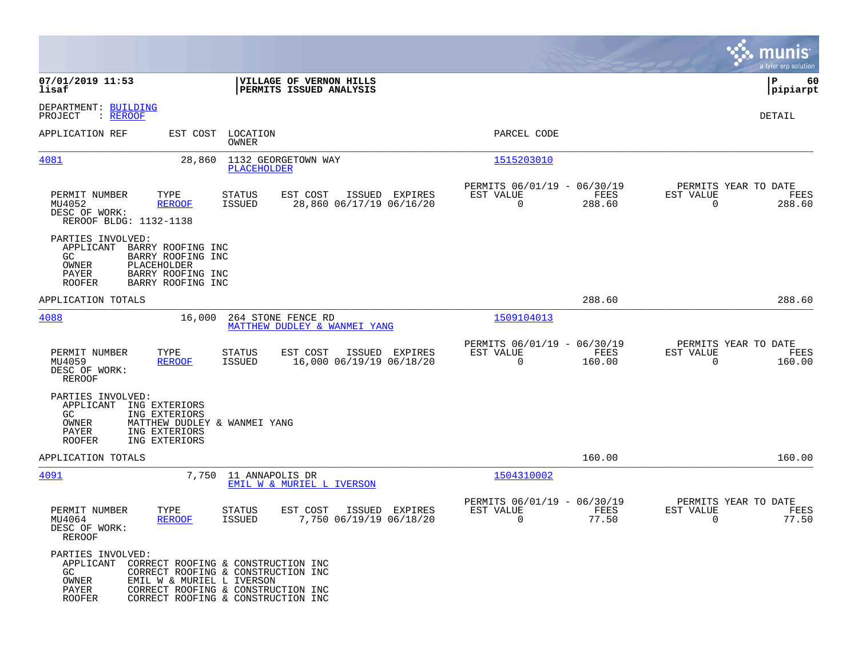|                                                                                                                                                                              |                                                                                                                                                      |                                                                           | munis<br>a tyler erp solution                                   |
|------------------------------------------------------------------------------------------------------------------------------------------------------------------------------|------------------------------------------------------------------------------------------------------------------------------------------------------|---------------------------------------------------------------------------|-----------------------------------------------------------------|
| 07/01/2019 11:53<br>lisaf                                                                                                                                                    | VILLAGE OF VERNON HILLS<br>PERMITS ISSUED ANALYSIS                                                                                                   |                                                                           | 60<br>  P<br> pipiarpt                                          |
| DEPARTMENT: BUILDING<br>PROJECT<br>: <u>REROOF</u>                                                                                                                           |                                                                                                                                                      |                                                                           | DETAIL                                                          |
| APPLICATION REF<br>EST COST                                                                                                                                                  | LOCATION<br>OWNER                                                                                                                                    | PARCEL CODE                                                               |                                                                 |
| 4081<br>28,860                                                                                                                                                               | 1132 GEORGETOWN WAY<br><b>PLACEHOLDER</b>                                                                                                            | 1515203010                                                                |                                                                 |
| TYPE<br>PERMIT NUMBER<br>MU4052<br><b>REROOF</b><br>DESC OF WORK:<br>REROOF BLDG: 1132-1138                                                                                  | STATUS<br>EST COST<br>ISSUED EXPIRES<br>28,860 06/17/19 06/16/20<br>ISSUED                                                                           | PERMITS 06/01/19 - 06/30/19<br>FEES<br>EST VALUE<br>$\mathbf 0$<br>288.60 | PERMITS YEAR TO DATE<br>EST VALUE<br>FEES<br>$\Omega$<br>288.60 |
| PARTIES INVOLVED:<br>APPLICANT<br>BARRY ROOFING INC<br>GC.<br>BARRY ROOFING INC<br>OWNER<br>PLACEHOLDER<br>PAYER<br>BARRY ROOFING INC<br><b>ROOFER</b><br>BARRY ROOFING INC  |                                                                                                                                                      |                                                                           |                                                                 |
| APPLICATION TOTALS                                                                                                                                                           |                                                                                                                                                      | 288.60                                                                    | 288.60                                                          |
| 4088<br>16,000                                                                                                                                                               | 264 STONE FENCE RD<br>MATTHEW DUDLEY & WANMEI YANG                                                                                                   | 1509104013                                                                |                                                                 |
| PERMIT NUMBER<br>TYPE<br>MU4059<br><b>REROOF</b><br>DESC OF WORK:<br><b>REROOF</b>                                                                                           | EST COST<br>ISSUED EXPIRES<br>STATUS<br>16,000 06/19/19 06/18/20<br>ISSUED                                                                           | PERMITS 06/01/19 - 06/30/19<br>EST VALUE<br>FEES<br>$\Omega$<br>160.00    | PERMITS YEAR TO DATE<br>EST VALUE<br>FEES<br>$\Omega$<br>160.00 |
| PARTIES INVOLVED:<br>APPLICANT<br>ING EXTERIORS<br>GC.<br>ING EXTERIORS<br>OWNER<br>MATTHEW DUDLEY & WANMEI YANG<br>PAYER<br>ING EXTERIORS<br><b>ROOFER</b><br>ING EXTERIORS |                                                                                                                                                      |                                                                           |                                                                 |
| APPLICATION TOTALS                                                                                                                                                           |                                                                                                                                                      | 160.00                                                                    | 160.00                                                          |
| 4091<br>7,750                                                                                                                                                                | 11 ANNAPOLIS DR<br>EMIL W & MURIEL L IVERSON                                                                                                         | 1504310002                                                                |                                                                 |
| PERMIT NUMBER<br>TYPE<br>MU4064<br><b>REROOF</b><br>DESC OF WORK:<br>REROOF                                                                                                  | <b>STATUS</b><br>EST COST<br>ISSUED EXPIRES<br>7,750 06/19/19 06/18/20<br><b>ISSUED</b>                                                              | PERMITS 06/01/19 - 06/30/19<br>EST VALUE<br>FEES<br>77.50<br>0            | PERMITS YEAR TO DATE<br>EST VALUE<br>FEES<br>77.50<br>0         |
| PARTIES INVOLVED:<br>APPLICANT<br>GC.<br>OWNER<br>EMIL W & MURIEL L IVERSON<br>PAYER<br><b>ROOFER</b>                                                                        | CORRECT ROOFING & CONSTRUCTION INC<br>CORRECT ROOFING & CONSTRUCTION INC<br>CORRECT ROOFING & CONSTRUCTION INC<br>CORRECT ROOFING & CONSTRUCTION INC |                                                                           |                                                                 |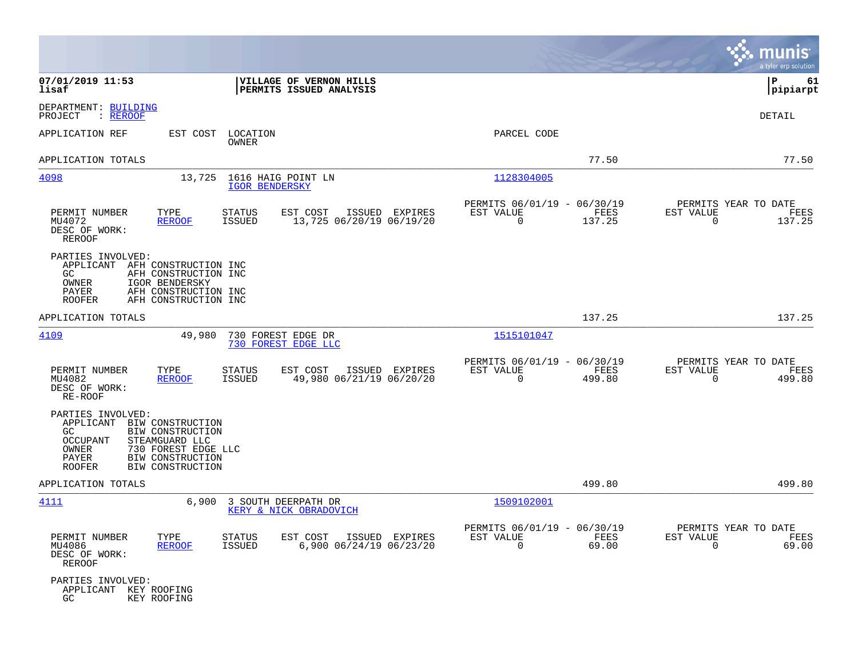|                                                                                            |                                                                                                                       |                                |                                                    |                |                                                      |                |                                                  | munis<br>a tyler erp solution |
|--------------------------------------------------------------------------------------------|-----------------------------------------------------------------------------------------------------------------------|--------------------------------|----------------------------------------------------|----------------|------------------------------------------------------|----------------|--------------------------------------------------|-------------------------------|
| 07/01/2019 11:53<br>lisaf                                                                  |                                                                                                                       |                                | VILLAGE OF VERNON HILLS<br>PERMITS ISSUED ANALYSIS |                |                                                      |                |                                                  | l P<br>61<br> pipiarpt        |
| DEPARTMENT: BUILDING<br>: REROOF<br>PROJECT                                                |                                                                                                                       |                                |                                                    |                |                                                      |                |                                                  | DETAIL                        |
| APPLICATION REF                                                                            | EST COST                                                                                                              | LOCATION<br>OWNER              |                                                    |                | PARCEL CODE                                          |                |                                                  |                               |
| APPLICATION TOTALS                                                                         |                                                                                                                       |                                |                                                    |                |                                                      | 77.50          |                                                  | 77.50                         |
| 4098                                                                                       | 13,725                                                                                                                | <b>IGOR BENDERSKY</b>          | 1616 HAIG POINT LN                                 |                | 1128304005                                           |                |                                                  |                               |
| PERMIT NUMBER<br>MU4072<br>DESC OF WORK:<br><b>REROOF</b>                                  | TYPE<br><b>REROOF</b>                                                                                                 | <b>STATUS</b><br><b>ISSUED</b> | EST COST<br>13,725 06/20/19 06/19/20               | ISSUED EXPIRES | PERMITS 06/01/19 - 06/30/19<br>EST VALUE<br>$\Omega$ | FEES<br>137.25 | PERMITS YEAR TO DATE<br>EST VALUE<br>$\mathbf 0$ | FEES<br>137.25                |
| PARTIES INVOLVED:<br>APPLICANT<br>GC.<br>OWNER<br>PAYER<br><b>ROOFER</b>                   | AFH CONSTRUCTION INC<br>AFH CONSTRUCTION INC<br><b>IGOR BENDERSKY</b><br>AFH CONSTRUCTION INC<br>AFH CONSTRUCTION INC |                                |                                                    |                |                                                      |                |                                                  |                               |
| APPLICATION TOTALS                                                                         |                                                                                                                       |                                |                                                    |                |                                                      | 137.25         |                                                  | 137.25                        |
| 4109                                                                                       | 49,980                                                                                                                |                                | 730 FOREST EDGE DR<br>730 FOREST EDGE LLC          |                | 1515101047                                           |                |                                                  |                               |
| PERMIT NUMBER<br>MU4082<br>DESC OF WORK:<br>RE-ROOF                                        | TYPE<br><b>REROOF</b>                                                                                                 | STATUS<br><b>ISSUED</b>        | EST COST<br>49,980 06/21/19 06/20/20               | ISSUED EXPIRES | PERMITS 06/01/19 - 06/30/19<br>EST VALUE<br>$\Omega$ | FEES<br>499.80 | PERMITS YEAR TO DATE<br>EST VALUE<br>$\Omega$    | FEES<br>499.80                |
| PARTIES INVOLVED:<br>APPLICANT<br>GC<br><b>OCCUPANT</b><br>OWNER<br>PAYER<br><b>ROOFER</b> | BIW CONSTRUCTION<br>BIW CONSTRUCTION<br>STEAMGUARD LLC<br>730 FOREST EDGE LLC<br>BIW CONSTRUCTION<br>BIW CONSTRUCTION |                                |                                                    |                |                                                      |                |                                                  |                               |
| APPLICATION TOTALS                                                                         |                                                                                                                       |                                |                                                    |                |                                                      | 499.80         |                                                  | 499.80                        |
| 4111                                                                                       | 6,900                                                                                                                 |                                | 3 SOUTH DEERPATH DR<br>KERY & NICK OBRADOVICH      |                | 1509102001                                           |                |                                                  |                               |
| PERMIT NUMBER<br>MU4086<br>DESC OF WORK:<br>REROOF                                         | TYPE<br><b>REROOF</b>                                                                                                 | <b>STATUS</b><br><b>ISSUED</b> | EST COST<br>$6,900$ $06/24/19$ $06/23/20$          | ISSUED EXPIRES | PERMITS 06/01/19 - 06/30/19<br>EST VALUE<br>0        | FEES<br>69.00  | PERMITS YEAR TO DATE<br>EST VALUE<br>0           | FEES<br>69.00                 |
| PARTIES INVOLVED:<br>APPLICANT KEY ROOFING<br>GC.                                          | KEY ROOFING                                                                                                           |                                |                                                    |                |                                                      |                |                                                  |                               |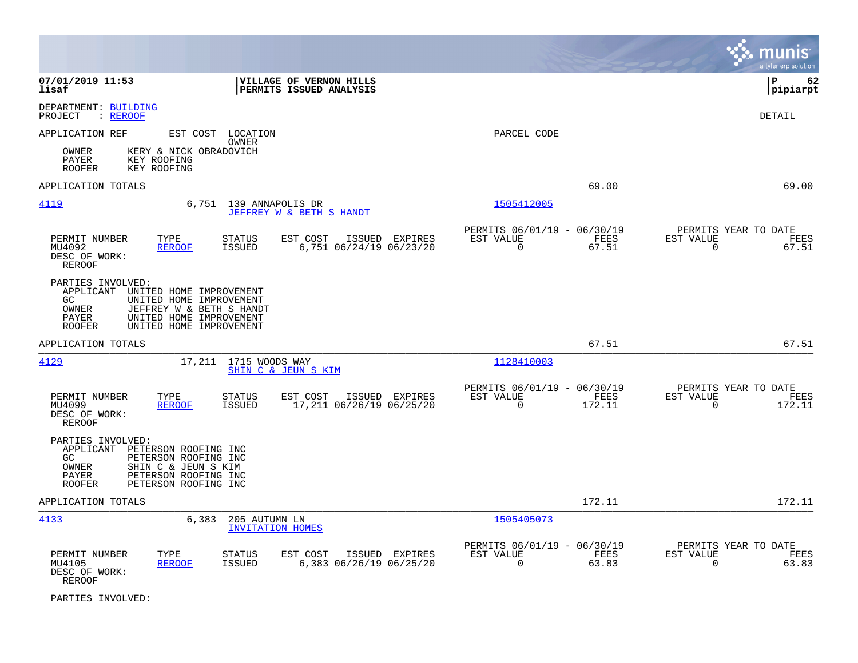|                                                                                                                                                                                                              |                                                                          | munis<br>a tyler erp solution                                        |
|--------------------------------------------------------------------------------------------------------------------------------------------------------------------------------------------------------------|--------------------------------------------------------------------------|----------------------------------------------------------------------|
| 07/01/2019 11:53<br>VILLAGE OF VERNON HILLS<br>PERMITS ISSUED ANALYSIS<br>lisaf                                                                                                                              |                                                                          | 62<br>l P<br> pipiarpt                                               |
| DEPARTMENT: BUILDING<br>: <u>REROOF</u><br>PROJECT                                                                                                                                                           |                                                                          | DETAIL                                                               |
| APPLICATION REF<br>EST COST LOCATION<br>OWNER<br>KERY & NICK OBRADOVICH<br>OWNER<br><b>PAYER</b><br>KEY ROOFING<br><b>ROOFER</b><br>KEY ROOFING                                                              | PARCEL CODE                                                              |                                                                      |
| APPLICATION TOTALS                                                                                                                                                                                           | 69.00                                                                    | 69.00                                                                |
| 4119<br>6,751 139 ANNAPOLIS DR<br>JEFFREY W & BETH S HANDT                                                                                                                                                   | 1505412005                                                               |                                                                      |
| EST COST<br>PERMIT NUMBER<br>TYPE<br><b>STATUS</b><br>ISSUED EXPIRES<br><b>ISSUED</b><br>6,751 06/24/19 06/23/20<br>MU4092<br><b>REROOF</b><br>DESC OF WORK:<br><b>REROOF</b>                                | PERMITS 06/01/19 - 06/30/19<br>EST VALUE<br>FEES<br>$\mathbf 0$<br>67.51 | PERMITS YEAR TO DATE<br>EST VALUE<br>FEES<br>$\overline{0}$<br>67.51 |
| PARTIES INVOLVED:<br>APPLICANT UNITED HOME IMPROVEMENT<br>GC<br>UNITED HOME IMPROVEMENT<br>OWNER<br>JEFFREY W & BETH S HANDT<br>UNITED HOME IMPROVEMENT<br>PAYER<br><b>ROOFER</b><br>UNITED HOME IMPROVEMENT |                                                                          |                                                                      |
| APPLICATION TOTALS                                                                                                                                                                                           | 67.51                                                                    | 67.51                                                                |
| 4129<br>17,211 1715 WOODS WAY<br>SHIN C & JEUN S KIM                                                                                                                                                         | 1128410003                                                               |                                                                      |
| PERMIT NUMBER<br>TYPE<br><b>STATUS</b><br>EST COST<br>ISSUED EXPIRES<br>MU4099<br><b>REROOF</b><br><b>ISSUED</b><br>17,211 06/26/19 06/25/20<br>DESC OF WORK:<br>REROOF                                      | PERMITS 06/01/19 - 06/30/19<br>EST VALUE<br>FEES<br>$\Omega$<br>172.11   | PERMITS YEAR TO DATE<br>EST VALUE<br>FEES<br>$\Omega$<br>172.11      |
| PARTIES INVOLVED:<br>APPLICANT PETERSON ROOFING INC<br>PETERSON ROOFING INC<br>GC<br><b>OWNER</b><br>SHIN C & JEUN S KIM<br>PETERSON ROOFING INC<br>PAYER<br><b>ROOFER</b><br>PETERSON ROOFING INC           |                                                                          |                                                                      |
| APPLICATION TOTALS                                                                                                                                                                                           | 172.11                                                                   | 172.11                                                               |
| 4133<br>6,383<br>205 AUTUMN LN<br><b>INVITATION HOMES</b>                                                                                                                                                    | 1505405073                                                               |                                                                      |
| PERMIT NUMBER<br>STATUS<br>EST COST<br>ISSUED EXPIRES<br>TYPE<br>6,383 06/26/19 06/25/20<br>MU4105<br><b>REROOF</b><br>ISSUED<br>DESC OF WORK:<br>REROOF                                                     | PERMITS 06/01/19 - 06/30/19<br>EST VALUE<br>FEES<br>$\mathbf 0$<br>63.83 | PERMITS YEAR TO DATE<br>EST VALUE<br>FEES<br>0<br>63.83              |

PARTIES INVOLVED: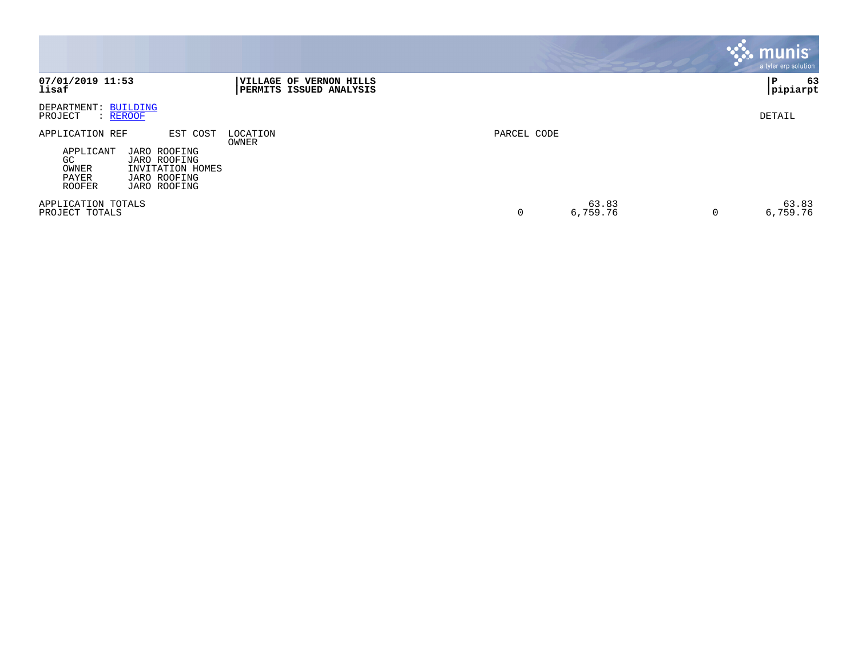|                                                                                                                                                                 |                                                    |             |                   | munis <sup>®</sup><br>a tyler erp solution |
|-----------------------------------------------------------------------------------------------------------------------------------------------------------------|----------------------------------------------------|-------------|-------------------|--------------------------------------------|
| 07/01/2019 11:53<br>lisaf                                                                                                                                       | VILLAGE OF VERNON HILLS<br>PERMITS ISSUED ANALYSIS |             |                   | 63<br>l P<br> pipiarpt                     |
| DEPARTMENT: BUILDING<br>PROJECT<br>: REROOF                                                                                                                     |                                                    |             |                   | DETAIL                                     |
| APPLICATION REF<br>EST COST<br>APPLICANT<br>JARO ROOFING<br>GC.<br>JARO ROOFING<br>OWNER<br>INVITATION HOMES<br>PAYER<br>JARO ROOFING<br>JARO ROOFING<br>ROOFER | LOCATION<br>OWNER                                  | PARCEL CODE |                   |                                            |
| APPLICATION TOTALS<br>PROJECT TOTALS                                                                                                                            |                                                    | $\mathbf 0$ | 63.83<br>6,759.76 | 63.83<br>0<br>6,759.76                     |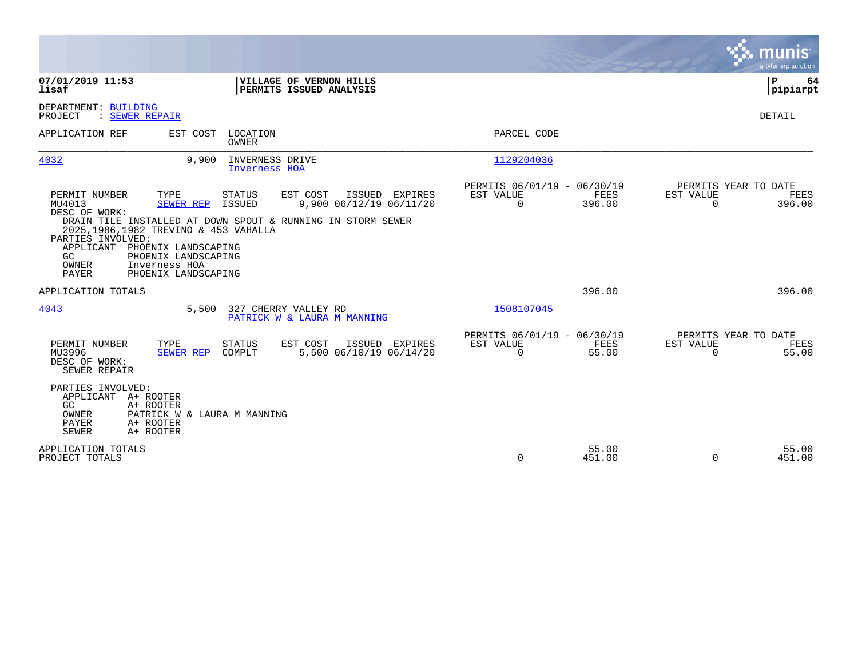|                                                                                                                                                                                                                                                                                                                     |                                                                        | munis<br>a tyler erp solution                                      |
|---------------------------------------------------------------------------------------------------------------------------------------------------------------------------------------------------------------------------------------------------------------------------------------------------------------------|------------------------------------------------------------------------|--------------------------------------------------------------------|
| 07/01/2019 11:53<br>VILLAGE OF VERNON HILLS<br>lisaf<br>PERMITS ISSUED ANALYSIS                                                                                                                                                                                                                                     |                                                                        | ΙP<br>64<br> pipiarpt                                              |
| DEPARTMENT: BUILDING<br>PROJECT<br>: SEWER REPAIR                                                                                                                                                                                                                                                                   |                                                                        | DETAIL                                                             |
| LOCATION<br>APPLICATION REF<br>EST COST<br>OWNER                                                                                                                                                                                                                                                                    | PARCEL CODE                                                            |                                                                    |
| 4032<br>9,900<br>INVERNESS DRIVE<br>Inverness HOA                                                                                                                                                                                                                                                                   | 1129204036                                                             |                                                                    |
| TYPE<br>EST COST<br>PERMIT NUMBER<br><b>STATUS</b><br>ISSUED EXPIRES<br>MU4013<br>ISSUED<br>9,900 06/12/19 06/11/20<br>SEWER REP<br>DESC OF WORK:<br>DRAIN TILE INSTALLED AT DOWN SPOUT & RUNNING IN STORM SEWER<br>2025, 1986, 1982 TREVINO & 453 VAHALLA<br>PARTIES INVOLVED:<br>APPLICANT<br>PHOENIX LANDSCAPING | PERMITS 06/01/19 - 06/30/19<br>FEES<br>EST VALUE<br>$\Omega$<br>396.00 | PERMITS YEAR TO DATE<br>EST VALUE<br>FEES<br>$\mathbf 0$<br>396.00 |
| GC<br>PHOENIX LANDSCAPING<br>OWNER<br>Inverness HOA<br>PAYER<br>PHOENIX LANDSCAPING                                                                                                                                                                                                                                 |                                                                        |                                                                    |
| APPLICATION TOTALS<br>4043<br>5,500<br>327 CHERRY VALLEY RD                                                                                                                                                                                                                                                         | 396.00<br>1508107045                                                   | 396.00                                                             |
| PATRICK W & LAURA M MANNING                                                                                                                                                                                                                                                                                         |                                                                        |                                                                    |
| EST COST<br>PERMIT NUMBER<br>TYPE<br><b>STATUS</b><br>ISSUED EXPIRES<br>MU3996<br>5,500 06/10/19 06/14/20<br>SEWER REP<br>COMPLT<br>DESC OF WORK:<br>SEWER REPAIR                                                                                                                                                   | PERMITS 06/01/19 - 06/30/19<br>EST VALUE<br>FEES<br>$\Omega$<br>55.00  | PERMITS YEAR TO DATE<br>EST VALUE<br>FEES<br>$\Omega$<br>55.00     |
| PARTIES INVOLVED:<br>APPLICANT A+ ROOTER<br>GC<br>A+ ROOTER<br>OWNER<br>PATRICK W & LAURA M MANNING<br>PAYER<br>A+ ROOTER<br>SEWER<br>A+ ROOTER                                                                                                                                                                     |                                                                        |                                                                    |
| APPLICATION TOTALS<br>PROJECT TOTALS                                                                                                                                                                                                                                                                                | 55.00<br>0<br>451.00                                                   | 55.00<br>$\Omega$<br>451.00                                        |

**College**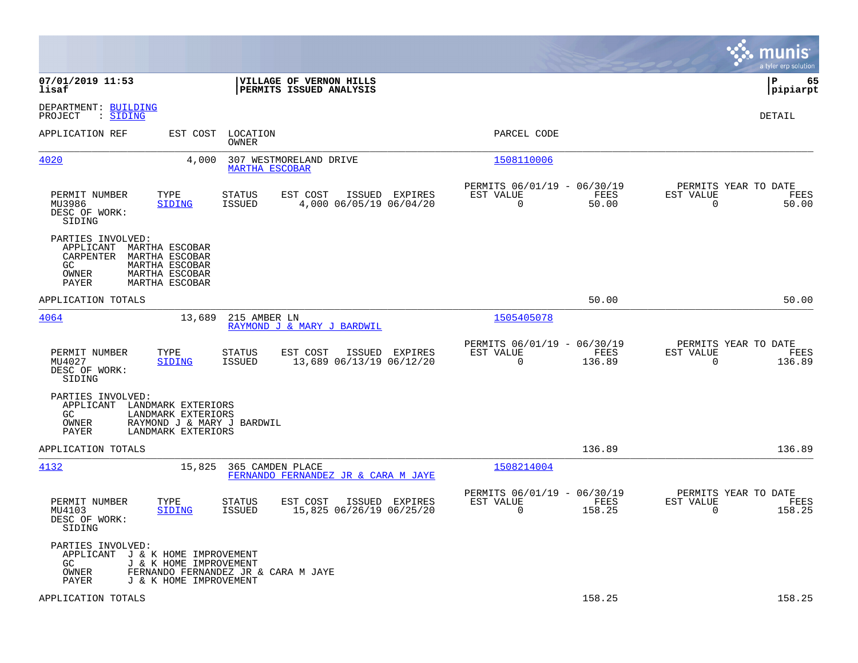|                                                                                                                                                                          |                                                                           | munis<br>a tyler erp solution                                      |
|--------------------------------------------------------------------------------------------------------------------------------------------------------------------------|---------------------------------------------------------------------------|--------------------------------------------------------------------|
| 07/01/2019 11:53<br>VILLAGE OF VERNON HILLS<br>lisaf<br>PERMITS ISSUED ANALYSIS                                                                                          |                                                                           | lР<br>65<br> pipiarpt                                              |
| DEPARTMENT: BUILDING<br>PROJECT<br>: SIDING                                                                                                                              |                                                                           | DETAIL                                                             |
| APPLICATION REF<br>EST COST<br>LOCATION<br>OWNER                                                                                                                         | PARCEL CODE                                                               |                                                                    |
| 4020<br>4,000<br>307 WESTMORELAND DRIVE<br>MARTHA ESCOBAR                                                                                                                | 1508110006                                                                |                                                                    |
| TYPE<br>EST COST<br>ISSUED EXPIRES<br>PERMIT NUMBER<br>STATUS<br>MU3986<br><b>SIDING</b><br>ISSUED<br>4,000 06/05/19 06/04/20<br>DESC OF WORK:<br>SIDING                 | PERMITS 06/01/19 - 06/30/19<br>EST VALUE<br>FEES<br>$\mathbf 0$<br>50.00  | PERMITS YEAR TO DATE<br>EST VALUE<br>FEES<br>$\mathbf 0$<br>50.00  |
| PARTIES INVOLVED:<br>MARTHA ESCOBAR<br>APPLICANT<br>CARPENTER<br>MARTHA ESCOBAR<br>GC<br>MARTHA ESCOBAR<br>OWNER<br>MARTHA ESCOBAR<br>PAYER<br>MARTHA ESCOBAR            |                                                                           |                                                                    |
| APPLICATION TOTALS                                                                                                                                                       | 50.00                                                                     | 50.00                                                              |
| 4064<br>13,689<br>215 AMBER LN<br>RAYMOND J & MARY J BARDWIL                                                                                                             | 1505405078                                                                |                                                                    |
| PERMIT NUMBER<br>TYPE<br>STATUS<br>EST COST<br>ISSUED EXPIRES<br>MU4027<br>SIDING<br>ISSUED<br>13,689 06/13/19 06/12/20<br>DESC OF WORK:<br>SIDING                       | PERMITS 06/01/19 - 06/30/19<br>EST VALUE<br>FEES<br>$\mathbf 0$<br>136.89 | PERMITS YEAR TO DATE<br>EST VALUE<br>FEES<br>$\mathbf 0$<br>136.89 |
| PARTIES INVOLVED:<br>APPLICANT LANDMARK EXTERIORS<br>GC<br>LANDMARK EXTERIORS<br>OWNER<br>RAYMOND J & MARY J BARDWIL<br>LANDMARK EXTERIORS<br>PAYER                      |                                                                           |                                                                    |
| APPLICATION TOTALS                                                                                                                                                       | 136.89                                                                    | 136.89                                                             |
| 4132<br>15,825<br>365 CAMDEN PLACE<br>FERNANDO FERNANDEZ JR & CARA M JAYE                                                                                                | 1508214004                                                                |                                                                    |
| PERMIT NUMBER<br>TYPE<br>STATUS<br>EST COST<br>ISSUED EXPIRES<br><b>ISSUED</b><br>15,825 06/26/19 06/25/20<br>MU4103<br><b>SIDING</b><br>DESC OF WORK:<br>SIDING         | PERMITS 06/01/19 - 06/30/19<br>EST VALUE<br>FEES<br>$\mathbf 0$<br>158.25 | PERMITS YEAR TO DATE<br>EST VALUE<br>FEES<br>$\mathbf 0$<br>158.25 |
| PARTIES INVOLVED:<br>APPLICANT J & K HOME IMPROVEMENT<br>GC<br>J & K HOME IMPROVEMENT<br>OWNER<br>FERNANDO FERNANDEZ JR & CARA M JAYE<br>J & K HOME IMPROVEMENT<br>PAYER |                                                                           |                                                                    |
| APPLICATION TOTALS                                                                                                                                                       | 158.25                                                                    | 158.25                                                             |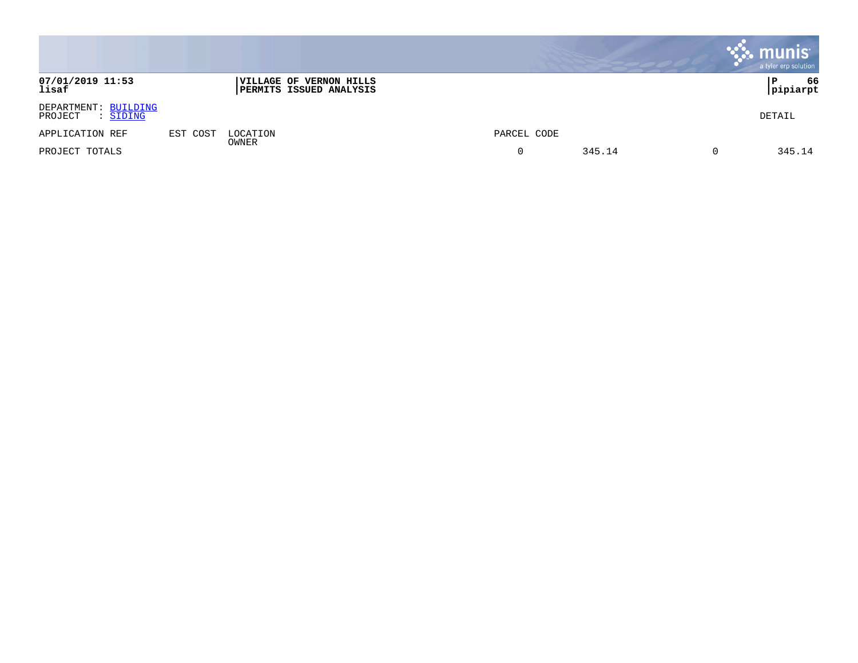|                                                    |          |                                                           |                         | <b>munis</b><br>a tyler erp solution |
|----------------------------------------------------|----------|-----------------------------------------------------------|-------------------------|--------------------------------------|
| 07/01/2019 11:53<br>lisaf                          |          | VILLAGE OF VERNON HILLS<br><b>PERMITS ISSUED ANALYSIS</b> |                         | 66<br>Р<br> pipiarpt                 |
| DEPARTMENT: BUILDING<br>PROJECT<br>: <u>SIDING</u> |          |                                                           |                         | DETAIL                               |
| APPLICATION REF                                    | EST COST | LOCATION                                                  | PARCEL CODE             |                                      |
| PROJECT TOTALS                                     |          | OWNER                                                     | 345.14<br>0<br>$\Omega$ | 345.14                               |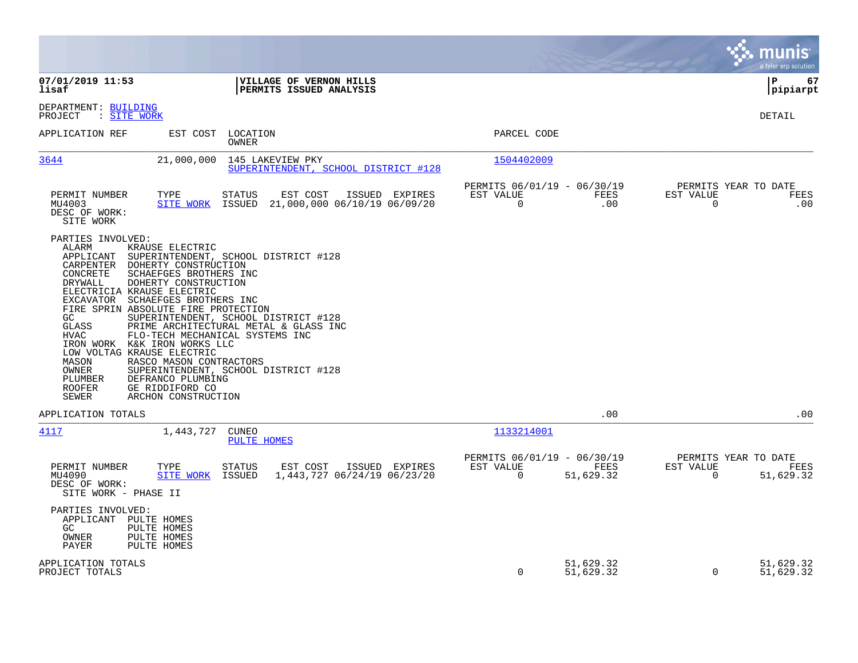|                                                                                                                                                                                                                                                                                                                                                                                                                                                                                                                                                                                                                                                                                                                          |                                                                              | $\ddots$ munis<br>a tyler erp solution                                |
|--------------------------------------------------------------------------------------------------------------------------------------------------------------------------------------------------------------------------------------------------------------------------------------------------------------------------------------------------------------------------------------------------------------------------------------------------------------------------------------------------------------------------------------------------------------------------------------------------------------------------------------------------------------------------------------------------------------------------|------------------------------------------------------------------------------|-----------------------------------------------------------------------|
| 07/01/2019 11:53<br>VILLAGE OF VERNON HILLS<br>lisaf<br>PERMITS ISSUED ANALYSIS                                                                                                                                                                                                                                                                                                                                                                                                                                                                                                                                                                                                                                          |                                                                              | ΙP<br>67<br> pipiarpt                                                 |
| DEPARTMENT: BUILDING<br>: <u>SITE WORK</u><br>PROJECT                                                                                                                                                                                                                                                                                                                                                                                                                                                                                                                                                                                                                                                                    |                                                                              | <b>DETAIL</b>                                                         |
| APPLICATION REF<br>EST COST LOCATION<br><b>OWNER</b>                                                                                                                                                                                                                                                                                                                                                                                                                                                                                                                                                                                                                                                                     | PARCEL CODE                                                                  |                                                                       |
| 3644<br>21,000,000<br>145 LAKEVIEW PKY<br>SUPERINTENDENT, SCHOOL DISTRICT #128                                                                                                                                                                                                                                                                                                                                                                                                                                                                                                                                                                                                                                           | 1504402009                                                                   |                                                                       |
| PERMIT NUMBER<br>TYPE<br><b>STATUS</b><br>EST COST<br>ISSUED EXPIRES<br>SITE WORK ISSUED 21,000,000 06/10/19 06/09/20<br>MU4003<br>DESC OF WORK:<br>SITE WORK                                                                                                                                                                                                                                                                                                                                                                                                                                                                                                                                                            | PERMITS 06/01/19 - 06/30/19<br>EST VALUE<br>FEES<br>$\overline{0}$<br>.00    | PERMITS YEAR TO DATE<br>EST VALUE<br>FEES<br>$\mathbf 0$<br>.00       |
| PARTIES INVOLVED:<br>ALARM<br>KRAUSE ELECTRIC<br>APPLICANT<br>SUPERINTENDENT, SCHOOL DISTRICT #128<br>CARPENTER DOHERTY CONSTRUCTION<br>CONCRETE<br>SCHAEFGES BROTHERS INC<br>DRYWALL<br>DOHERTY CONSTRUCTION<br>ELECTRICIA KRAUSE ELECTRIC<br>EXCAVATOR SCHAEFGES BROTHERS INC<br>FIRE SPRIN ABSOLUTE FIRE PROTECTION<br>GC<br>SUPERINTENDENT, SCHOOL DISTRICT #128<br>GLASS<br>PRIME ARCHITECTURAL METAL & GLASS INC<br>FLO-TECH MECHANICAL SYSTEMS INC<br>HVAC<br>IRON WORK K&K IRON WORKS LLC<br>LOW VOLTAG KRAUSE ELECTRIC<br>RASCO MASON CONTRACTORS<br>MASON<br>SUPERINTENDENT, SCHOOL DISTRICT #128<br>OWNER<br>PLUMBER<br>DEFRANCO PLUMBING<br><b>ROOFER</b><br>GE RIDDIFORD CO<br>SEWER<br>ARCHON CONSTRUCTION |                                                                              |                                                                       |
| APPLICATION TOTALS                                                                                                                                                                                                                                                                                                                                                                                                                                                                                                                                                                                                                                                                                                       | .00                                                                          | .00                                                                   |
| 4117<br>1,443,727 CUNEO<br><b>PULTE HOMES</b>                                                                                                                                                                                                                                                                                                                                                                                                                                                                                                                                                                                                                                                                            | 1133214001                                                                   |                                                                       |
| PERMIT NUMBER<br>TYPE<br>ISSUED EXPIRES<br><b>STATUS</b><br>EST COST<br><b>SITE WORK</b><br>ISSUED<br>1,443,727 06/24/19 06/23/20<br>MU4090<br>DESC OF WORK:<br>SITE WORK - PHASE II                                                                                                                                                                                                                                                                                                                                                                                                                                                                                                                                     | PERMITS 06/01/19 - 06/30/19<br>FEES<br>EST VALUE<br>51,629.32<br>$\mathbf 0$ | PERMITS YEAR TO DATE<br>EST VALUE<br>FEES<br>$\mathbf 0$<br>51,629.32 |
| PARTIES INVOLVED:<br>APPLICANT PULTE HOMES<br>GC<br>PULTE HOMES<br>OWNER<br>PULTE HOMES<br><b>PAYER</b><br>PULTE HOMES                                                                                                                                                                                                                                                                                                                                                                                                                                                                                                                                                                                                   |                                                                              |                                                                       |
| APPLICATION TOTALS<br>PROJECT TOTALS                                                                                                                                                                                                                                                                                                                                                                                                                                                                                                                                                                                                                                                                                     | 51,629.32<br>$\mathbf 0$<br>51,629.32                                        | 51,629.32<br>51,629.32<br>0                                           |

 $\blacksquare$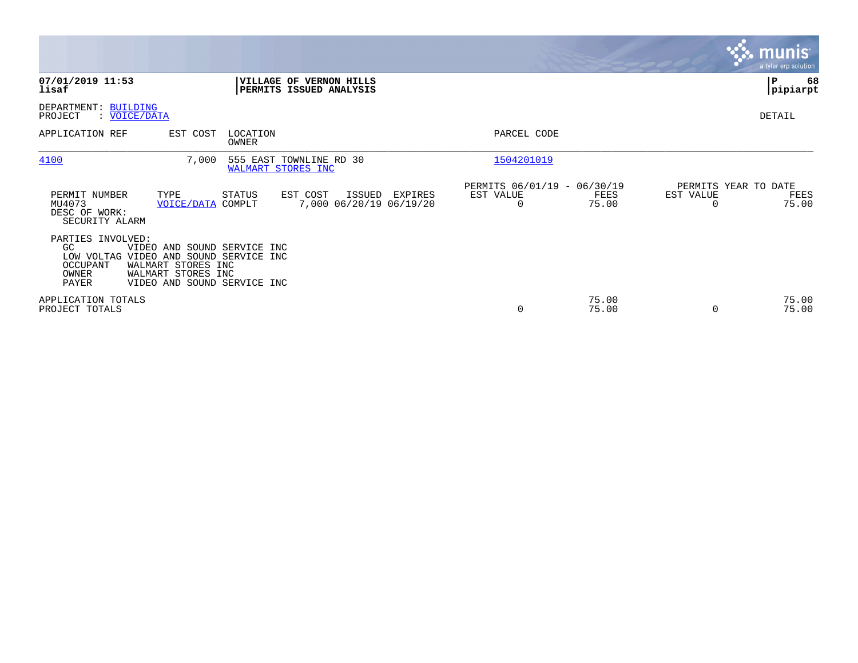|                                                                                                 |                                                                                                        |                   |                                                    |         |                                               |                |                                   | <b>munis</b><br>a tyler erp solution |
|-------------------------------------------------------------------------------------------------|--------------------------------------------------------------------------------------------------------|-------------------|----------------------------------------------------|---------|-----------------------------------------------|----------------|-----------------------------------|--------------------------------------|
| 07/01/2019 11:53<br>lisaf                                                                       |                                                                                                        |                   | VILLAGE OF VERNON HILLS<br>PERMITS ISSUED ANALYSIS |         |                                               |                |                                   | ∣P<br>68<br> pipiarpt                |
| DEPARTMENT: BUILDING<br>: VOICE/DATA<br>PROJECT                                                 |                                                                                                        |                   |                                                    |         |                                               |                |                                   | DETAIL                               |
| APPLICATION REF                                                                                 | EST COST                                                                                               | LOCATION<br>OWNER |                                                    |         | PARCEL CODE                                   |                |                                   |                                      |
| 4100                                                                                            | 7,000                                                                                                  |                   | 555 EAST TOWNLINE RD 30<br>WALMART STORES INC      |         | 1504201019                                    |                |                                   |                                      |
| PERMIT NUMBER<br>MU4073<br>DESC OF WORK:<br>SECURITY ALARM                                      | TYPE<br>VOICE/DATA COMPLT                                                                              | STATUS            | EST COST<br>ISSUED<br>7,000 06/20/19 06/19/20      | EXPIRES | PERMITS 06/01/19 - 06/30/19<br>EST VALUE<br>0 | FEES<br>75.00  | PERMITS YEAR TO DATE<br>EST VALUE | FEES<br>75.00                        |
| PARTIES INVOLVED:<br>GC<br>LOW VOLTAG VIDEO AND SOUND SERVICE INC<br>OCCUPANT<br>OWNER<br>PAYER | VIDEO AND SOUND SERVICE INC<br>WALMART STORES INC<br>WALMART STORES INC<br>VIDEO AND SOUND SERVICE INC |                   |                                                    |         |                                               |                |                                   |                                      |
| APPLICATION TOTALS<br>PROJECT TOTALS                                                            |                                                                                                        |                   |                                                    |         | 0                                             | 75.00<br>75.00 |                                   | 75.00<br>75.00                       |

the property of the control of

and the contract of the contract of the contract of the contract of the contract of the contract of the contract of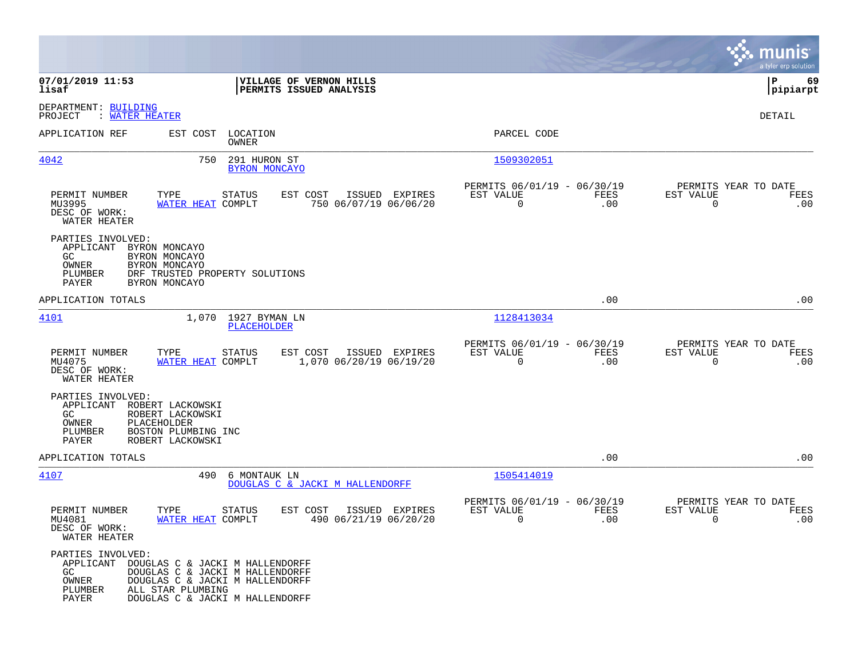|                                                                                                                                                                     |                                                                                                                                          |                                                                               | munis<br>a tyler erp solution                                   |
|---------------------------------------------------------------------------------------------------------------------------------------------------------------------|------------------------------------------------------------------------------------------------------------------------------------------|-------------------------------------------------------------------------------|-----------------------------------------------------------------|
| 07/01/2019 11:53<br>lisaf                                                                                                                                           | VILLAGE OF VERNON HILLS<br>PERMITS ISSUED ANALYSIS                                                                                       |                                                                               | l P<br>69<br> pipiarpt                                          |
| DEPARTMENT: BUILDING<br>PROJECT<br>: WATER HEATER                                                                                                                   |                                                                                                                                          |                                                                               | DETAIL                                                          |
| APPLICATION REF<br>EST COST                                                                                                                                         | LOCATION<br>OWNER                                                                                                                        | PARCEL CODE                                                                   |                                                                 |
| 4042                                                                                                                                                                | 750<br>291 HURON ST<br>BYRON MONCAYO                                                                                                     | 1509302051                                                                    |                                                                 |
| PERMIT NUMBER<br>TYPE<br>MU3995<br>DESC OF WORK:<br>WATER HEATER                                                                                                    | STATUS<br>EST COST<br>ISSUED EXPIRES<br>WATER HEAT COMPLT<br>750 06/07/19 06/06/20                                                       | PERMITS 06/01/19 - 06/30/19<br>EST VALUE<br>FEES<br>$\mathbf 0$<br>.00        | PERMITS YEAR TO DATE<br>EST VALUE<br>FEES<br>$\mathbf 0$<br>.00 |
| PARTIES INVOLVED:<br>APPLICANT BYRON MONCAYO<br>GC<br>BYRON MONCAYO<br>OWNER<br>BYRON MONCAYO<br>PLUMBER<br>PAYER<br>BYRON MONCAYO                                  | DRF TRUSTED PROPERTY SOLUTIONS                                                                                                           |                                                                               |                                                                 |
| APPLICATION TOTALS                                                                                                                                                  |                                                                                                                                          | .00                                                                           | .00                                                             |
| 4101<br>1,070                                                                                                                                                       | 1927 BYMAN LN<br>PLACEHOLDER                                                                                                             | 1128413034                                                                    |                                                                 |
| PERMIT NUMBER<br>TYPE<br>MU4075<br>DESC OF WORK:<br>WATER HEATER                                                                                                    | STATUS<br>EST COST<br>ISSUED EXPIRES<br>WATER HEAT COMPLT<br>1,070 06/20/19 06/19/20                                                     | PERMITS 06/01/19 - 06/30/19<br>EST VALUE<br>FEES<br>$\overline{0}$<br>.00     | PERMITS YEAR TO DATE<br>EST VALUE<br>FEES<br>0<br>.00           |
| PARTIES INVOLVED:<br>APPLICANT<br>ROBERT LACKOWSKI<br>ROBERT LACKOWSKI<br>GC<br>OWNER<br>PLACEHOLDER<br>PLUMBER<br>BOSTON PLUMBING INC<br>ROBERT LACKOWSKI<br>PAYER |                                                                                                                                          |                                                                               |                                                                 |
| APPLICATION TOTALS                                                                                                                                                  |                                                                                                                                          | .00                                                                           | .00                                                             |
| 4107                                                                                                                                                                | 490<br>6 MONTAUK LN<br>DOUGLAS C & JACKI M HALLENDORFF                                                                                   | 1505414019                                                                    |                                                                 |
| PERMIT NUMBER<br>TYPE<br>MU4081<br>DESC OF WORK:<br>WATER HEATER                                                                                                    | <b>STATUS</b><br>EST COST<br>ISSUED EXPIRES<br>490 06/21/19 06/20/20<br>WATER HEAT COMPLT                                                | PERMITS 06/01/19 - 06/30/19<br>EST VALUE<br><b>FEES</b><br>$\mathbf 0$<br>.00 | PERMITS YEAR TO DATE<br>EST VALUE<br>FEES<br>$\mathbf 0$<br>.00 |
| PARTIES INVOLVED:<br>APPLICANT<br>GC.<br><b>OWNER</b><br>ALL STAR PLUMBING<br>PLUMBER<br><b>PAYER</b>                                                               | DOUGLAS C & JACKI M HALLENDORFF<br>DOUGLAS C & JACKI M HALLENDORFF<br>DOUGLAS C & JACKI M HALLENDORFF<br>DOUGLAS C & JACKI M HALLENDORFF |                                                                               |                                                                 |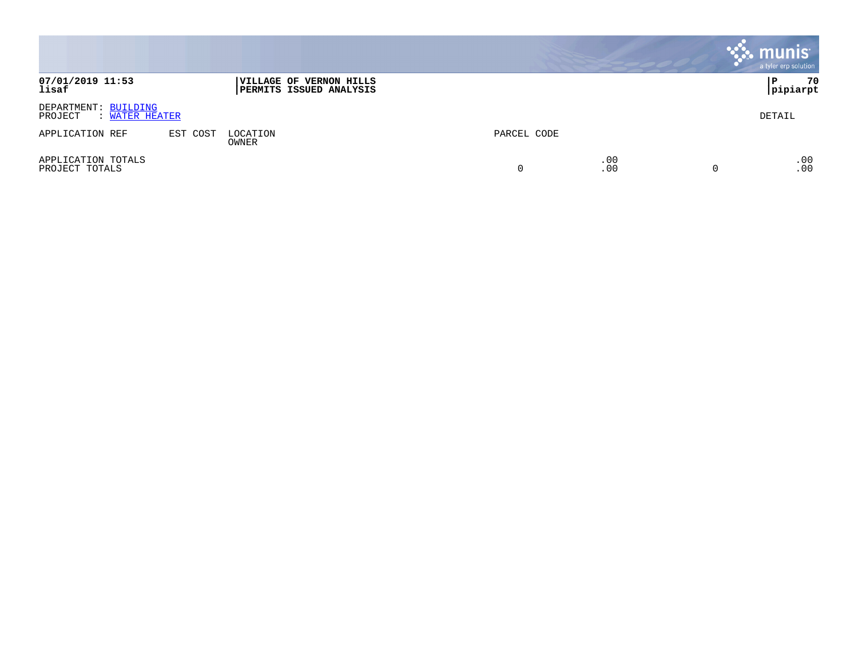|                                                        |          |                                                    |             |            | munis<br>a tyler erp solution |
|--------------------------------------------------------|----------|----------------------------------------------------|-------------|------------|-------------------------------|
| 07/01/2019 11:53<br>lisaf                              |          | VILLAGE OF VERNON HILLS<br>PERMITS ISSUED ANALYSIS |             |            | 70<br>l P<br> pipiarpt        |
| DEPARTMENT: BUILDING<br>PROJECT<br><b>WATER HEATER</b> |          |                                                    |             |            | DETAIL                        |
| APPLICATION REF                                        | EST COST | LOCATION<br>OWNER                                  | PARCEL CODE |            |                               |
| APPLICATION TOTALS<br>PROJECT TOTALS                   |          |                                                    | 0           | .00<br>.00 | .00<br>.00                    |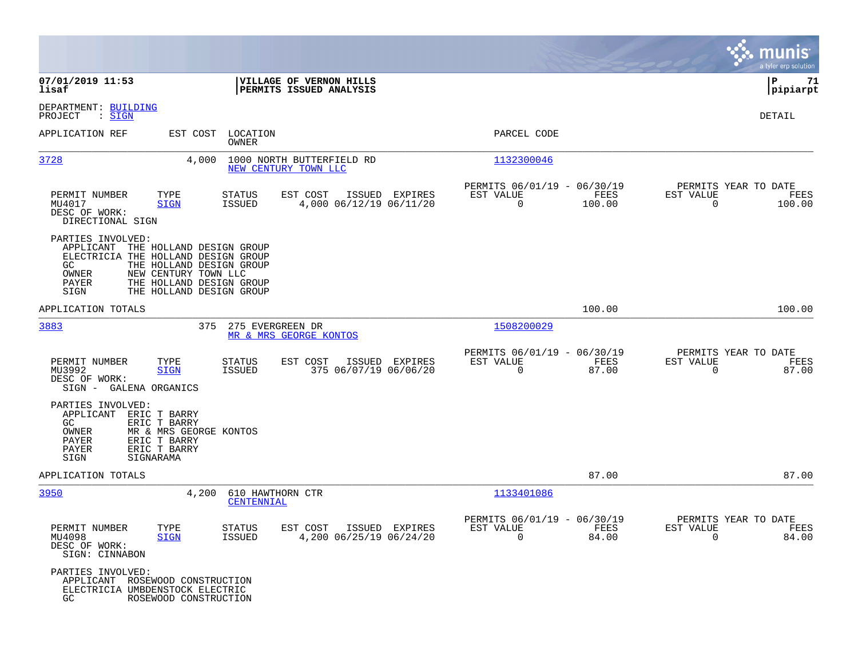|                                                                                                                                                                                |                                                                                  |                                                                           | munis<br>a tyler erp solution                                      |
|--------------------------------------------------------------------------------------------------------------------------------------------------------------------------------|----------------------------------------------------------------------------------|---------------------------------------------------------------------------|--------------------------------------------------------------------|
| 07/01/2019 11:53<br>lisaf                                                                                                                                                      | VILLAGE OF VERNON HILLS<br>PERMITS ISSUED ANALYSIS                               |                                                                           | P<br>71<br> pipiarpt                                               |
| DEPARTMENT: BUILDING<br>PROJECT<br>: <u>SIGN</u>                                                                                                                               |                                                                                  |                                                                           | DETAIL                                                             |
| APPLICATION REF                                                                                                                                                                | EST COST LOCATION<br>OWNER                                                       | PARCEL CODE                                                               |                                                                    |
| 3728                                                                                                                                                                           | 4,000<br>1000 NORTH BUTTERFIELD RD<br>NEW CENTURY TOWN LLC                       | 1132300046                                                                |                                                                    |
| PERMIT NUMBER<br>TYPE<br>MU4017<br><b>SIGN</b><br>DESC OF WORK:<br>DIRECTIONAL SIGN                                                                                            | ISSUED EXPIRES<br>STATUS<br>EST COST<br><b>ISSUED</b><br>4,000 06/12/19 06/11/20 | PERMITS 06/01/19 - 06/30/19<br>FEES<br>EST VALUE<br>$\mathbf 0$<br>100.00 | PERMITS YEAR TO DATE<br>EST VALUE<br>FEES<br>$\mathbf 0$<br>100.00 |
| PARTIES INVOLVED:<br>APPLICANT THE HOLLAND DESIGN GROUP<br>ELECTRICIA THE HOLLAND DESIGN GROUP<br>GC.<br>NEW CENTURY TOWN LLC<br>OWNER<br>PAYER<br>SIGN                        | THE HOLLAND DESIGN GROUP<br>THE HOLLAND DESIGN GROUP<br>THE HOLLAND DESIGN GROUP |                                                                           |                                                                    |
| APPLICATION TOTALS                                                                                                                                                             |                                                                                  | 100.00                                                                    | 100.00                                                             |
| 3883                                                                                                                                                                           | 375<br>275 EVERGREEN DR<br>MR & MRS GEORGE KONTOS                                | 1508200029                                                                |                                                                    |
| PERMIT NUMBER<br>TYPE<br>MU3992<br><b>SIGN</b><br>DESC OF WORK:<br>SIGN - GALENA ORGANICS                                                                                      | EST COST<br>ISSUED EXPIRES<br>STATUS<br>375 06/07/19 06/06/20<br><b>ISSUED</b>   | PERMITS 06/01/19 - 06/30/19<br>EST VALUE<br>FEES<br>$\mathbf 0$<br>87.00  | PERMITS YEAR TO DATE<br>EST VALUE<br>FEES<br>0<br>87.00            |
| PARTIES INVOLVED:<br>APPLICANT<br>ERIC T BARRY<br>ERIC T BARRY<br>GC<br>OWNER<br>MR & MRS GEORGE KONTOS<br>ERIC T BARRY<br>PAYER<br>PAYER<br>ERIC T BARRY<br>SIGN<br>SIGNARAMA |                                                                                  |                                                                           |                                                                    |
| APPLICATION TOTALS                                                                                                                                                             |                                                                                  | 87.00                                                                     | 87.00                                                              |
| 3950                                                                                                                                                                           | 4,200<br>610 HAWTHORN CTR<br>CENTENNIAL                                          | 1133401086                                                                |                                                                    |
| PERMIT NUMBER<br>TYPE<br>MU4098<br><b>SIGN</b><br>DESC OF WORK:<br>SIGN: CINNABON                                                                                              | STATUS<br>EST COST ISSUED EXPIRES<br>4,200 06/25/19 06/24/20<br>ISSUED           | PERMITS 06/01/19 - 06/30/19<br>FEES<br>EST VALUE<br>$\Omega$<br>84.00     | PERMITS YEAR TO DATE<br>EST VALUE<br>FEES<br>$\Omega$<br>84.00     |
| PARTIES INVOLVED:<br>APPLICANT ROSEWOOD CONSTRUCTION<br>ELECTRICIA UMBDENSTOCK ELECTRIC<br>GC.<br>ROSEWOOD CONSTRUCTION                                                        |                                                                                  |                                                                           |                                                                    |